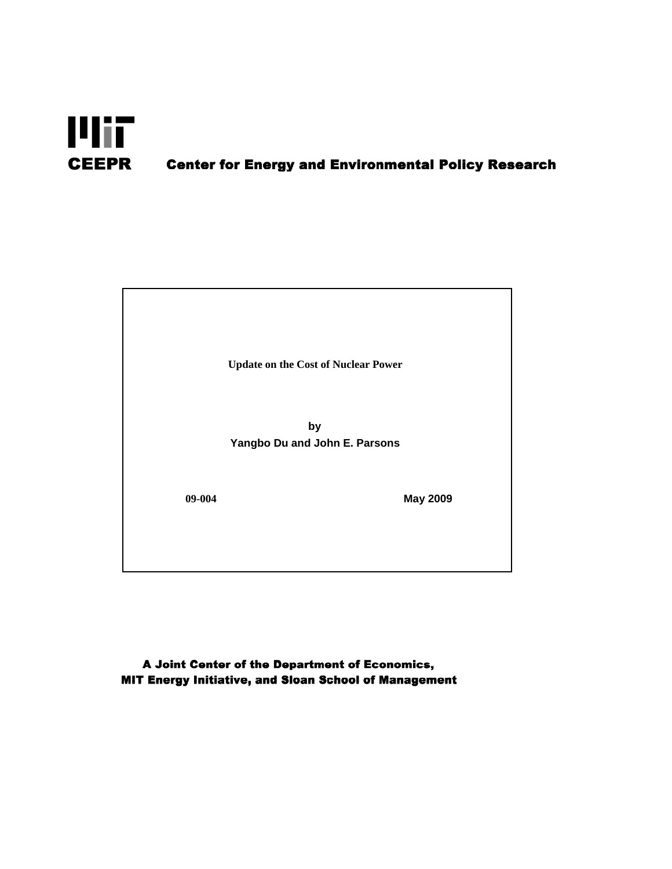



A Joint Center of the Department of Economics, MIT Energy Initiative, and Sloan School of Management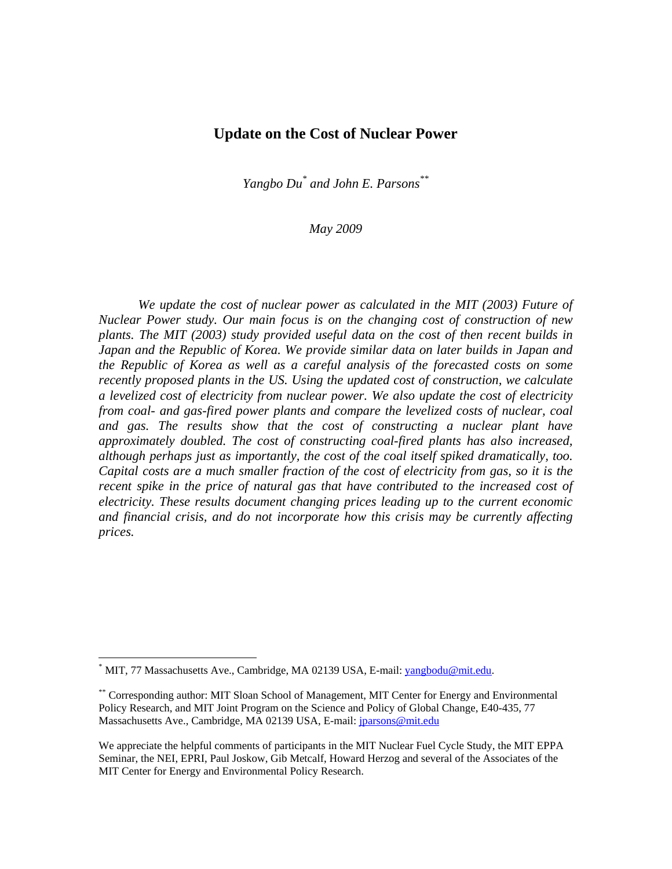# **Update on the Cost of Nuclear Power**

*Yangbo Du\* and John E. Parsons\*\** 

*May 2009*

We update the cost of nuclear power as calculated in the MIT (2003) Future of *Nuclear Power study. Our main focus is on the changing cost of construction of new plants. The MIT (2003) study provided useful data on the cost of then recent builds in Japan and the Republic of Korea. We provide similar data on later builds in Japan and the Republic of Korea as well as a careful analysis of the forecasted costs on some recently proposed plants in the US. Using the updated cost of construction, we calculate a levelized cost of electricity from nuclear power. We also update the cost of electricity from coal- and gas-fired power plants and compare the levelized costs of nuclear, coal and gas. The results show that the cost of constructing a nuclear plant have approximately doubled. The cost of constructing coal-fired plants has also increased, although perhaps just as importantly, the cost of the coal itself spiked dramatically, too. Capital costs are a much smaller fraction of the cost of electricity from gas, so it is the recent spike in the price of natural gas that have contributed to the increased cost of electricity. These results document changing prices leading up to the current economic and financial crisis, and do not incorporate how this crisis may be currently affecting prices.* 

 $\overline{a}$ 

<sup>&</sup>lt;sup>\*</sup> MIT, 77 Massachusetts Ave., Cambridge, MA 02139 USA, E-mail: *yangbodu@mit.edu.* 

<sup>\*\*</sup> Corresponding author: MIT Sloan School of Management, MIT Center for Energy and Environmental Policy Research, and MIT Joint Program on the Science and Policy of Global Change, E40-435, 77 Massachusetts Ave., Cambridge, MA 02139 USA, E-mail: *jparsons@mit.edu* 

We appreciate the helpful comments of participants in the MIT Nuclear Fuel Cycle Study, the MIT EPPA Seminar, the NEI, EPRI, Paul Joskow, Gib Metcalf, Howard Herzog and several of the Associates of the MIT Center for Energy and Environmental Policy Research.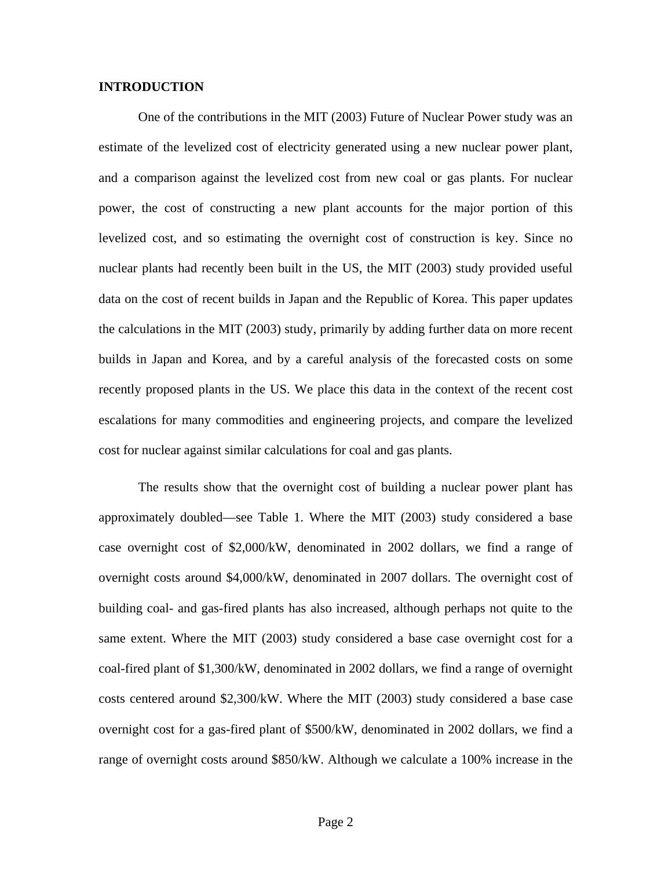# **INTRODUCTION**

One of the contributions in the MIT (2003) Future of Nuclear Power study was an estimate of the levelized cost of electricity generated using a new nuclear power plant, and a comparison against the levelized cost from new coal or gas plants. For nuclear power, the cost of constructing a new plant accounts for the major portion of this levelized cost, and so estimating the overnight cost of construction is key. Since no nuclear plants had recently been built in the US, the MIT (2003) study provided useful data on the cost of recent builds in Japan and the Republic of Korea. This paper updates the calculations in the MIT (2003) study, primarily by adding further data on more recent builds in Japan and Korea, and by a careful analysis of the forecasted costs on some recently proposed plants in the US. We place this data in the context of the recent cost escalations for many commodities and engineering projects, and compare the levelized cost for nuclear against similar calculations for coal and gas plants.

The results show that the overnight cost of building a nuclear power plant has approximately doubled—see Table 1. Where the MIT (2003) study considered a base case overnight cost of \$2,000/kW, denominated in 2002 dollars, we find a range of overnight costs around \$4,000/kW, denominated in 2007 dollars. The overnight cost of building coal- and gas-fired plants has also increased, although perhaps not quite to the same extent. Where the MIT (2003) study considered a base case overnight cost for a coal-fired plant of \$1,300/kW, denominated in 2002 dollars, we find a range of overnight costs centered around \$2,300/kW. Where the MIT (2003) study considered a base case overnight cost for a gas-fired plant of \$500/kW, denominated in 2002 dollars, we find a range of overnight costs around \$850/kW. Although we calculate a 100% increase in the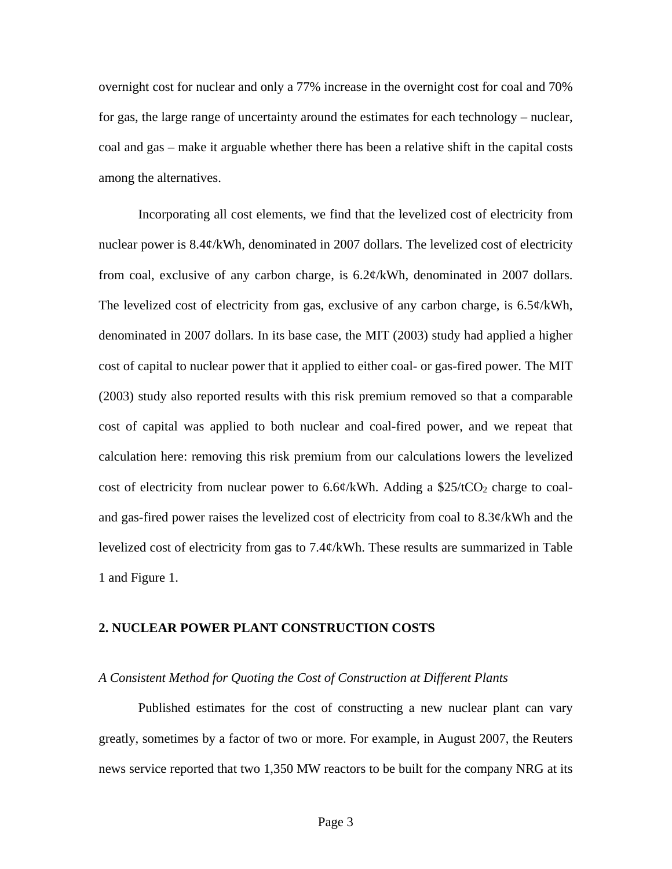overnight cost for nuclear and only a 77% increase in the overnight cost for coal and 70% for gas, the large range of uncertainty around the estimates for each technology – nuclear, coal and gas – make it arguable whether there has been a relative shift in the capital costs among the alternatives.

Incorporating all cost elements, we find that the levelized cost of electricity from nuclear power is 8.4¢/kWh, denominated in 2007 dollars. The levelized cost of electricity from coal, exclusive of any carbon charge, is 6.2¢/kWh, denominated in 2007 dollars. The levelized cost of electricity from gas, exclusive of any carbon charge, is 6.5¢/kWh, denominated in 2007 dollars. In its base case, the MIT (2003) study had applied a higher cost of capital to nuclear power that it applied to either coal- or gas-fired power. The MIT (2003) study also reported results with this risk premium removed so that a comparable cost of capital was applied to both nuclear and coal-fired power, and we repeat that calculation here: removing this risk premium from our calculations lowers the levelized cost of electricity from nuclear power to  $6.6¢/kWh$ . Adding a \$25/tCO<sub>2</sub> charge to coaland gas-fired power raises the levelized cost of electricity from coal to 8.3¢/kWh and the levelized cost of electricity from gas to 7.4¢/kWh. These results are summarized in Table 1 and Figure 1.

# **2. NUCLEAR POWER PLANT CONSTRUCTION COSTS**

### *A Consistent Method for Quoting the Cost of Construction at Different Plants*

Published estimates for the cost of constructing a new nuclear plant can vary greatly, sometimes by a factor of two or more. For example, in August 2007, the Reuters news service reported that two 1,350 MW reactors to be built for the company NRG at its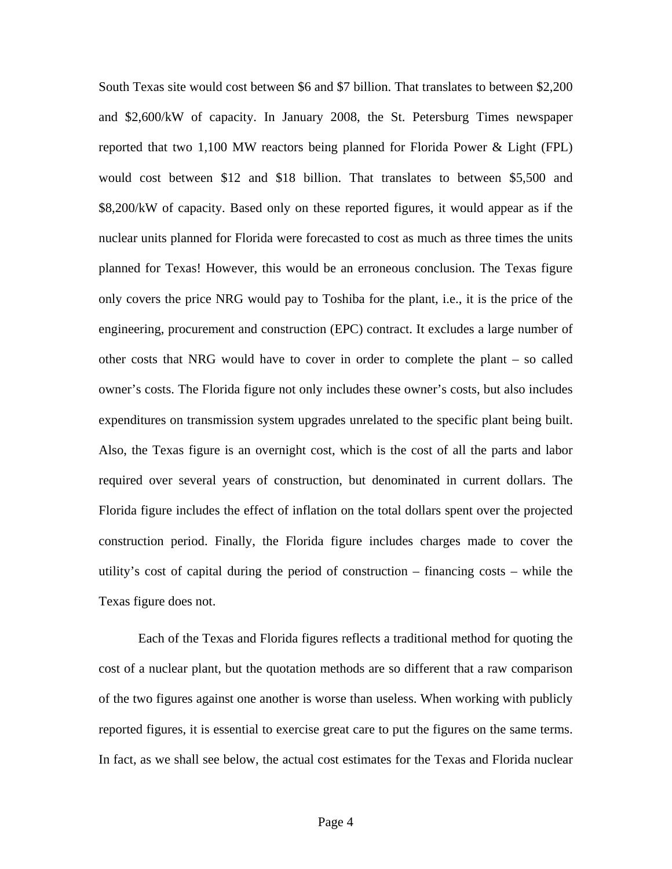South Texas site would cost between \$6 and \$7 billion. That translates to between \$2,200 and \$2,600/kW of capacity. In January 2008, the St. Petersburg Times newspaper reported that two 1,100 MW reactors being planned for Florida Power & Light (FPL) would cost between \$12 and \$18 billion. That translates to between \$5,500 and \$8,200/kW of capacity. Based only on these reported figures, it would appear as if the nuclear units planned for Florida were forecasted to cost as much as three times the units planned for Texas! However, this would be an erroneous conclusion. The Texas figure only covers the price NRG would pay to Toshiba for the plant, i.e., it is the price of the engineering, procurement and construction (EPC) contract. It excludes a large number of other costs that NRG would have to cover in order to complete the plant – so called owner's costs. The Florida figure not only includes these owner's costs, but also includes expenditures on transmission system upgrades unrelated to the specific plant being built. Also, the Texas figure is an overnight cost, which is the cost of all the parts and labor required over several years of construction, but denominated in current dollars. The Florida figure includes the effect of inflation on the total dollars spent over the projected construction period. Finally, the Florida figure includes charges made to cover the utility's cost of capital during the period of construction – financing costs – while the Texas figure does not.

Each of the Texas and Florida figures reflects a traditional method for quoting the cost of a nuclear plant, but the quotation methods are so different that a raw comparison of the two figures against one another is worse than useless. When working with publicly reported figures, it is essential to exercise great care to put the figures on the same terms. In fact, as we shall see below, the actual cost estimates for the Texas and Florida nuclear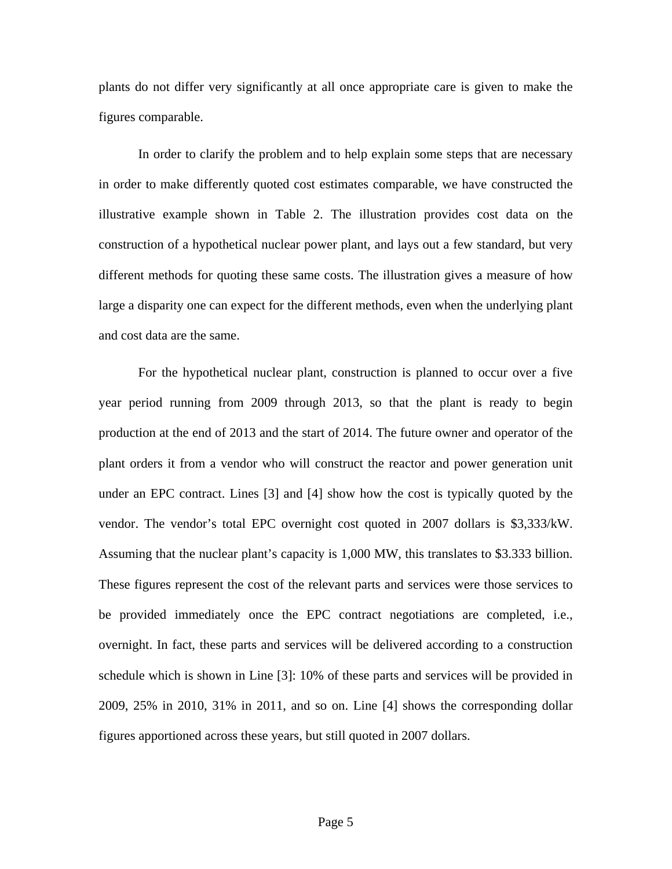plants do not differ very significantly at all once appropriate care is given to make the figures comparable.

In order to clarify the problem and to help explain some steps that are necessary in order to make differently quoted cost estimates comparable, we have constructed the illustrative example shown in Table 2. The illustration provides cost data on the construction of a hypothetical nuclear power plant, and lays out a few standard, but very different methods for quoting these same costs. The illustration gives a measure of how large a disparity one can expect for the different methods, even when the underlying plant and cost data are the same.

For the hypothetical nuclear plant, construction is planned to occur over a five year period running from 2009 through 2013, so that the plant is ready to begin production at the end of 2013 and the start of 2014. The future owner and operator of the plant orders it from a vendor who will construct the reactor and power generation unit under an EPC contract. Lines [3] and [4] show how the cost is typically quoted by the vendor. The vendor's total EPC overnight cost quoted in 2007 dollars is \$3,333/kW. Assuming that the nuclear plant's capacity is 1,000 MW, this translates to \$3.333 billion. These figures represent the cost of the relevant parts and services were those services to be provided immediately once the EPC contract negotiations are completed, i.e., overnight. In fact, these parts and services will be delivered according to a construction schedule which is shown in Line [3]: 10% of these parts and services will be provided in 2009, 25% in 2010, 31% in 2011, and so on. Line [4] shows the corresponding dollar figures apportioned across these years, but still quoted in 2007 dollars.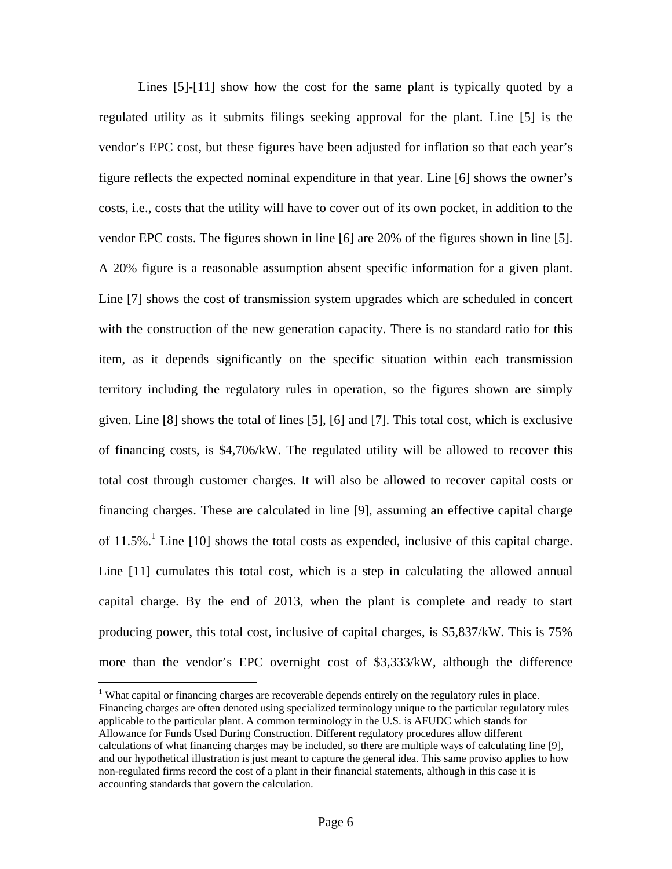Lines [5]-[11] show how the cost for the same plant is typically quoted by a regulated utility as it submits filings seeking approval for the plant. Line [5] is the vendor's EPC cost, but these figures have been adjusted for inflation so that each year's figure reflects the expected nominal expenditure in that year. Line [6] shows the owner's costs, i.e., costs that the utility will have to cover out of its own pocket, in addition to the vendor EPC costs. The figures shown in line [6] are 20% of the figures shown in line [5]. A 20% figure is a reasonable assumption absent specific information for a given plant. Line [7] shows the cost of transmission system upgrades which are scheduled in concert with the construction of the new generation capacity. There is no standard ratio for this item, as it depends significantly on the specific situation within each transmission territory including the regulatory rules in operation, so the figures shown are simply given. Line [8] shows the total of lines [5], [6] and [7]. This total cost, which is exclusive of financing costs, is \$4,706/kW. The regulated utility will be allowed to recover this total cost through customer charges. It will also be allowed to recover capital costs or financing charges. These are calculated in line [9], assuming an effective capital charge of  $11.5\%$ .<sup>1</sup> Line [10] shows the total costs as expended, inclusive of this capital charge. Line [11] cumulates this total cost, which is a step in calculating the allowed annual capital charge. By the end of 2013, when the plant is complete and ready to start producing power, this total cost, inclusive of capital charges, is \$5,837/kW. This is 75% more than the vendor's EPC overnight cost of \$3,333/kW, although the difference

1

<sup>&</sup>lt;sup>1</sup> What capital or financing charges are recoverable depends entirely on the regulatory rules in place. Financing charges are often denoted using specialized terminology unique to the particular regulatory rules applicable to the particular plant. A common terminology in the U.S. is AFUDC which stands for Allowance for Funds Used During Construction. Different regulatory procedures allow different calculations of what financing charges may be included, so there are multiple ways of calculating line [9], and our hypothetical illustration is just meant to capture the general idea. This same proviso applies to how non-regulated firms record the cost of a plant in their financial statements, although in this case it is accounting standards that govern the calculation.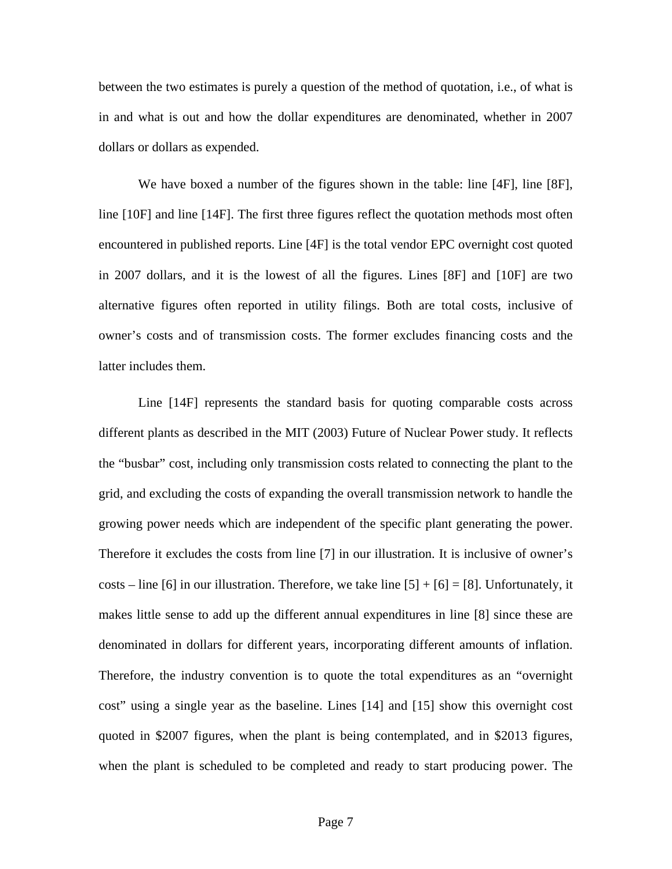between the two estimates is purely a question of the method of quotation, i.e., of what is in and what is out and how the dollar expenditures are denominated, whether in 2007 dollars or dollars as expended.

We have boxed a number of the figures shown in the table: line [4F], line [8F], line [10F] and line [14F]. The first three figures reflect the quotation methods most often encountered in published reports. Line [4F] is the total vendor EPC overnight cost quoted in 2007 dollars, and it is the lowest of all the figures. Lines [8F] and [10F] are two alternative figures often reported in utility filings. Both are total costs, inclusive of owner's costs and of transmission costs. The former excludes financing costs and the latter includes them.

Line [14F] represents the standard basis for quoting comparable costs across different plants as described in the MIT (2003) Future of Nuclear Power study. It reflects the "busbar" cost, including only transmission costs related to connecting the plant to the grid, and excluding the costs of expanding the overall transmission network to handle the growing power needs which are independent of the specific plant generating the power. Therefore it excludes the costs from line [7] in our illustration. It is inclusive of owner's costs – line [6] in our illustration. Therefore, we take line  $[5] + [6] = [8]$ . Unfortunately, it makes little sense to add up the different annual expenditures in line [8] since these are denominated in dollars for different years, incorporating different amounts of inflation. Therefore, the industry convention is to quote the total expenditures as an "overnight cost" using a single year as the baseline. Lines [14] and [15] show this overnight cost quoted in \$2007 figures, when the plant is being contemplated, and in \$2013 figures, when the plant is scheduled to be completed and ready to start producing power. The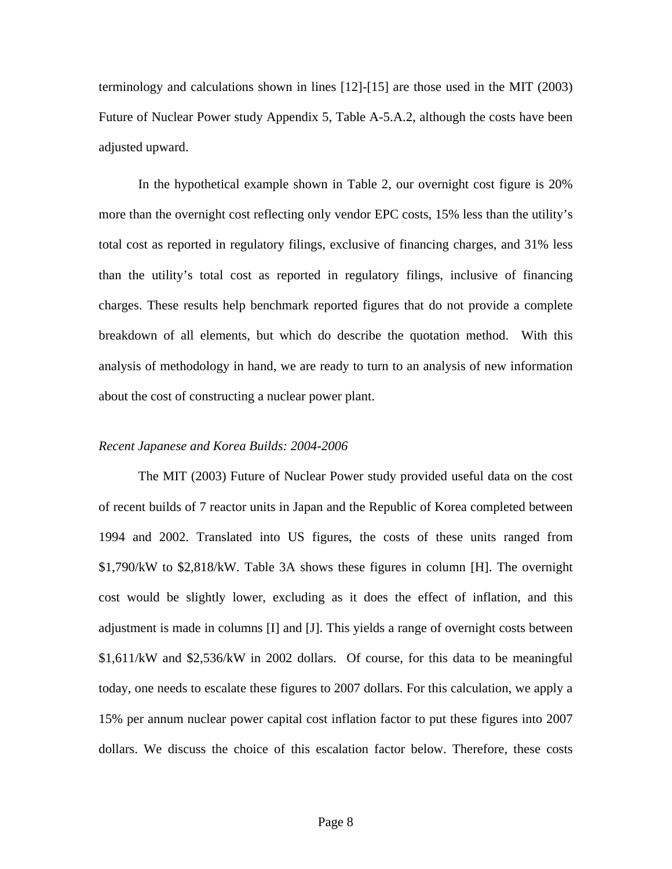terminology and calculations shown in lines [12]-[15] are those used in the MIT (2003) Future of Nuclear Power study Appendix 5, Table A-5.A.2, although the costs have been adjusted upward.

In the hypothetical example shown in Table 2, our overnight cost figure is 20% more than the overnight cost reflecting only vendor EPC costs, 15% less than the utility's total cost as reported in regulatory filings, exclusive of financing charges, and 31% less than the utility's total cost as reported in regulatory filings, inclusive of financing charges. These results help benchmark reported figures that do not provide a complete breakdown of all elements, but which do describe the quotation method. With this analysis of methodology in hand, we are ready to turn to an analysis of new information about the cost of constructing a nuclear power plant.

## *Recent Japanese and Korea Builds: 2004-2006*

The MIT (2003) Future of Nuclear Power study provided useful data on the cost of recent builds of 7 reactor units in Japan and the Republic of Korea completed between 1994 and 2002. Translated into US figures, the costs of these units ranged from \$1,790/kW to \$2,818/kW. Table 3A shows these figures in column [H]. The overnight cost would be slightly lower, excluding as it does the effect of inflation, and this adjustment is made in columns [I] and [J]. This yields a range of overnight costs between \$1,611/kW and \$2,536/kW in 2002 dollars. Of course, for this data to be meaningful today, one needs to escalate these figures to 2007 dollars. For this calculation, we apply a 15% per annum nuclear power capital cost inflation factor to put these figures into 2007 dollars. We discuss the choice of this escalation factor below. Therefore, these costs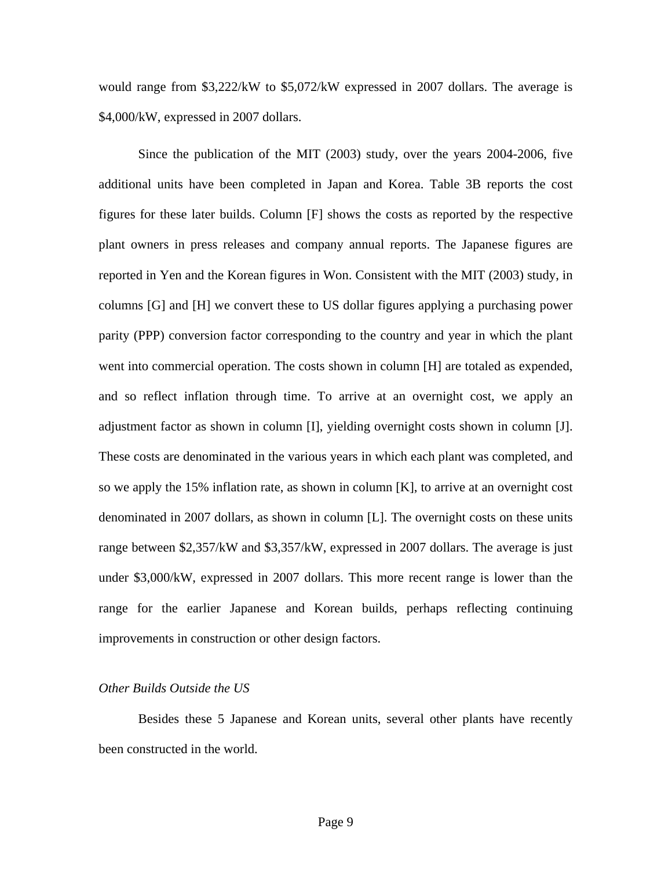would range from \$3,222/kW to \$5,072/kW expressed in 2007 dollars. The average is \$4,000/kW, expressed in 2007 dollars.

Since the publication of the MIT (2003) study, over the years 2004-2006, five additional units have been completed in Japan and Korea. Table 3B reports the cost figures for these later builds. Column [F] shows the costs as reported by the respective plant owners in press releases and company annual reports. The Japanese figures are reported in Yen and the Korean figures in Won. Consistent with the MIT (2003) study, in columns [G] and [H] we convert these to US dollar figures applying a purchasing power parity (PPP) conversion factor corresponding to the country and year in which the plant went into commercial operation. The costs shown in column [H] are totaled as expended, and so reflect inflation through time. To arrive at an overnight cost, we apply an adjustment factor as shown in column [I], yielding overnight costs shown in column [J]. These costs are denominated in the various years in which each plant was completed, and so we apply the 15% inflation rate, as shown in column [K], to arrive at an overnight cost denominated in 2007 dollars, as shown in column [L]. The overnight costs on these units range between \$2,357/kW and \$3,357/kW, expressed in 2007 dollars. The average is just under \$3,000/kW, expressed in 2007 dollars. This more recent range is lower than the range for the earlier Japanese and Korean builds, perhaps reflecting continuing improvements in construction or other design factors.

## *Other Builds Outside the US*

Besides these 5 Japanese and Korean units, several other plants have recently been constructed in the world.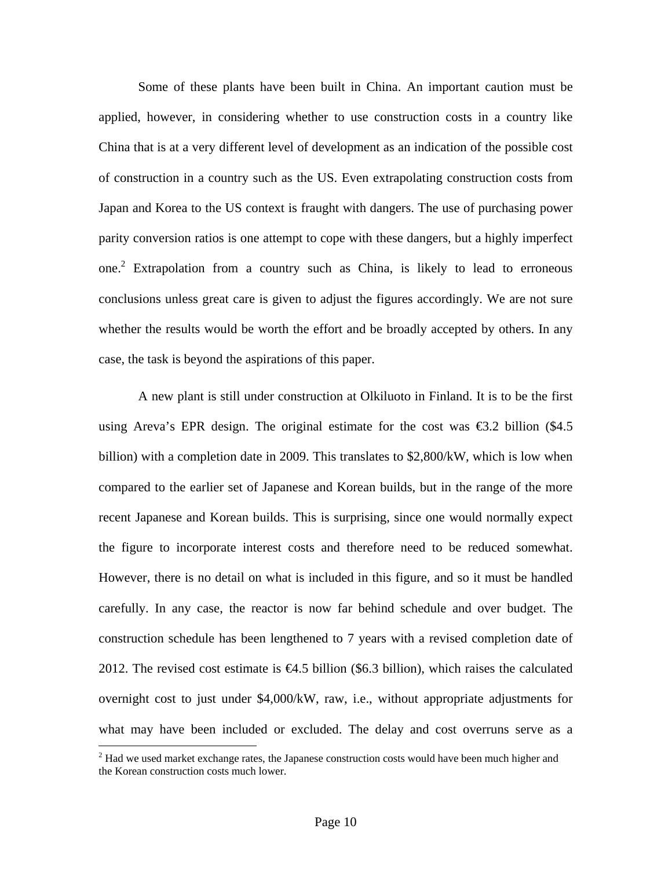Some of these plants have been built in China. An important caution must be applied, however, in considering whether to use construction costs in a country like China that is at a very different level of development as an indication of the possible cost of construction in a country such as the US. Even extrapolating construction costs from Japan and Korea to the US context is fraught with dangers. The use of purchasing power parity conversion ratios is one attempt to cope with these dangers, but a highly imperfect one.<sup>2</sup> Extrapolation from a country such as China, is likely to lead to erroneous conclusions unless great care is given to adjust the figures accordingly. We are not sure whether the results would be worth the effort and be broadly accepted by others. In any case, the task is beyond the aspirations of this paper.

A new plant is still under construction at Olkiluoto in Finland. It is to be the first using Areva's EPR design. The original estimate for the cost was  $\epsilon$ 3.2 billion (\$4.5 billion) with a completion date in 2009. This translates to \$2,800/kW, which is low when compared to the earlier set of Japanese and Korean builds, but in the range of the more recent Japanese and Korean builds. This is surprising, since one would normally expect the figure to incorporate interest costs and therefore need to be reduced somewhat. However, there is no detail on what is included in this figure, and so it must be handled carefully. In any case, the reactor is now far behind schedule and over budget. The construction schedule has been lengthened to 7 years with a revised completion date of 2012. The revised cost estimate is  $\bigoplus$ .5 billion (\$6.3 billion), which raises the calculated overnight cost to just under \$4,000/kW, raw, i.e., without appropriate adjustments for what may have been included or excluded. The delay and cost overruns serve as a

1

 $2<sup>2</sup>$  Had we used market exchange rates, the Japanese construction costs would have been much higher and the Korean construction costs much lower.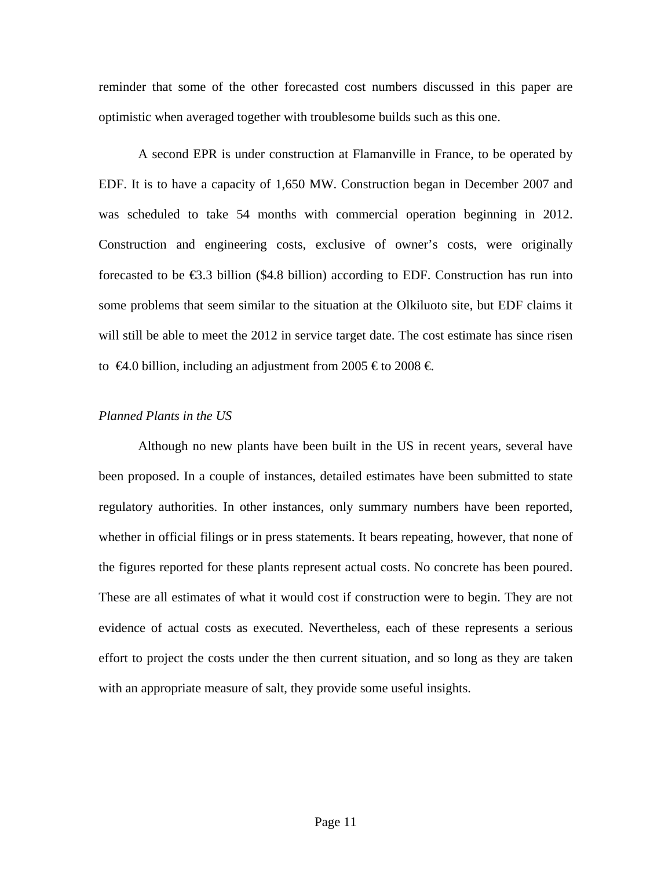reminder that some of the other forecasted cost numbers discussed in this paper are optimistic when averaged together with troublesome builds such as this one.

A second EPR is under construction at Flamanville in France, to be operated by EDF. It is to have a capacity of 1,650 MW. Construction began in December 2007 and was scheduled to take 54 months with commercial operation beginning in 2012. Construction and engineering costs, exclusive of owner's costs, were originally forecasted to be  $\epsilon$ 3.3 billion (\$4.8 billion) according to EDF. Construction has run into some problems that seem similar to the situation at the Olkiluoto site, but EDF claims it will still be able to meet the 2012 in service target date. The cost estimate has since risen to  $\in$ 4.0 billion, including an adjustment from 2005 € to 2008 €.

# *Planned Plants in the US*

Although no new plants have been built in the US in recent years, several have been proposed. In a couple of instances, detailed estimates have been submitted to state regulatory authorities. In other instances, only summary numbers have been reported, whether in official filings or in press statements. It bears repeating, however, that none of the figures reported for these plants represent actual costs. No concrete has been poured. These are all estimates of what it would cost if construction were to begin. They are not evidence of actual costs as executed. Nevertheless, each of these represents a serious effort to project the costs under the then current situation, and so long as they are taken with an appropriate measure of salt, they provide some useful insights.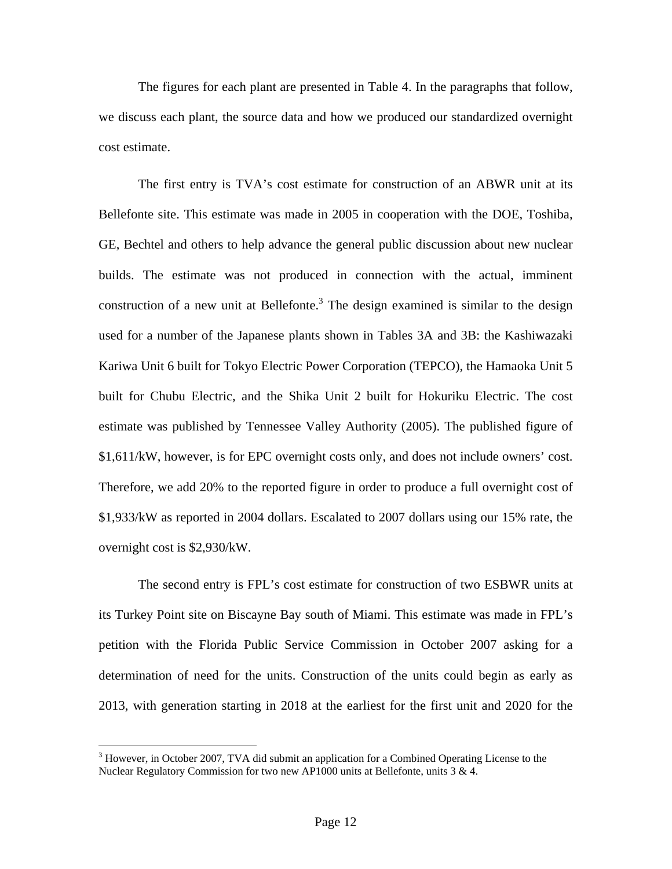The figures for each plant are presented in Table 4. In the paragraphs that follow, we discuss each plant, the source data and how we produced our standardized overnight cost estimate.

The first entry is TVA's cost estimate for construction of an ABWR unit at its Bellefonte site. This estimate was made in 2005 in cooperation with the DOE, Toshiba, GE, Bechtel and others to help advance the general public discussion about new nuclear builds. The estimate was not produced in connection with the actual, imminent construction of a new unit at Bellefonte.<sup>3</sup> The design examined is similar to the design used for a number of the Japanese plants shown in Tables 3A and 3B: the Kashiwazaki Kariwa Unit 6 built for Tokyo Electric Power Corporation (TEPCO), the Hamaoka Unit 5 built for Chubu Electric, and the Shika Unit 2 built for Hokuriku Electric. The cost estimate was published by Tennessee Valley Authority (2005). The published figure of \$1,611/kW, however, is for EPC overnight costs only, and does not include owners' cost. Therefore, we add 20% to the reported figure in order to produce a full overnight cost of \$1,933/kW as reported in 2004 dollars. Escalated to 2007 dollars using our 15% rate, the overnight cost is \$2,930/kW.

The second entry is FPL's cost estimate for construction of two ESBWR units at its Turkey Point site on Biscayne Bay south of Miami. This estimate was made in FPL's petition with the Florida Public Service Commission in October 2007 asking for a determination of need for the units. Construction of the units could begin as early as 2013, with generation starting in 2018 at the earliest for the first unit and 2020 for the

1

<sup>&</sup>lt;sup>3</sup> However, in October 2007, TVA did submit an application for a Combined Operating License to the Nuclear Regulatory Commission for two new AP1000 units at Bellefonte, units 3 & 4.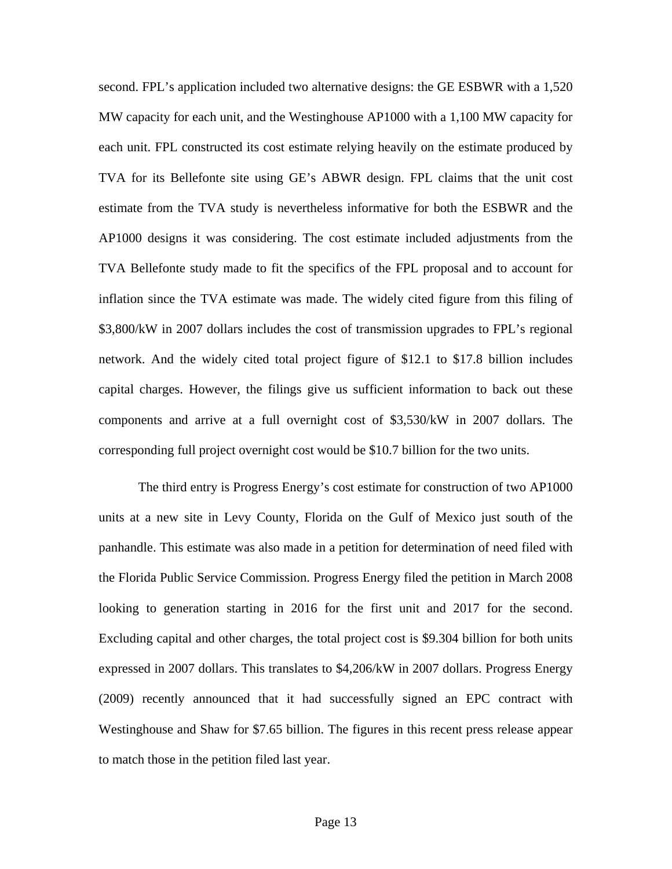second. FPL's application included two alternative designs: the GE ESBWR with a 1,520 MW capacity for each unit, and the Westinghouse AP1000 with a 1,100 MW capacity for each unit. FPL constructed its cost estimate relying heavily on the estimate produced by TVA for its Bellefonte site using GE's ABWR design. FPL claims that the unit cost estimate from the TVA study is nevertheless informative for both the ESBWR and the AP1000 designs it was considering. The cost estimate included adjustments from the TVA Bellefonte study made to fit the specifics of the FPL proposal and to account for inflation since the TVA estimate was made. The widely cited figure from this filing of \$3,800/kW in 2007 dollars includes the cost of transmission upgrades to FPL's regional network. And the widely cited total project figure of \$12.1 to \$17.8 billion includes capital charges. However, the filings give us sufficient information to back out these components and arrive at a full overnight cost of \$3,530/kW in 2007 dollars. The corresponding full project overnight cost would be \$10.7 billion for the two units.

The third entry is Progress Energy's cost estimate for construction of two AP1000 units at a new site in Levy County, Florida on the Gulf of Mexico just south of the panhandle. This estimate was also made in a petition for determination of need filed with the Florida Public Service Commission. Progress Energy filed the petition in March 2008 looking to generation starting in 2016 for the first unit and 2017 for the second. Excluding capital and other charges, the total project cost is \$9.304 billion for both units expressed in 2007 dollars. This translates to \$4,206/kW in 2007 dollars. Progress Energy (2009) recently announced that it had successfully signed an EPC contract with Westinghouse and Shaw for \$7.65 billion. The figures in this recent press release appear to match those in the petition filed last year.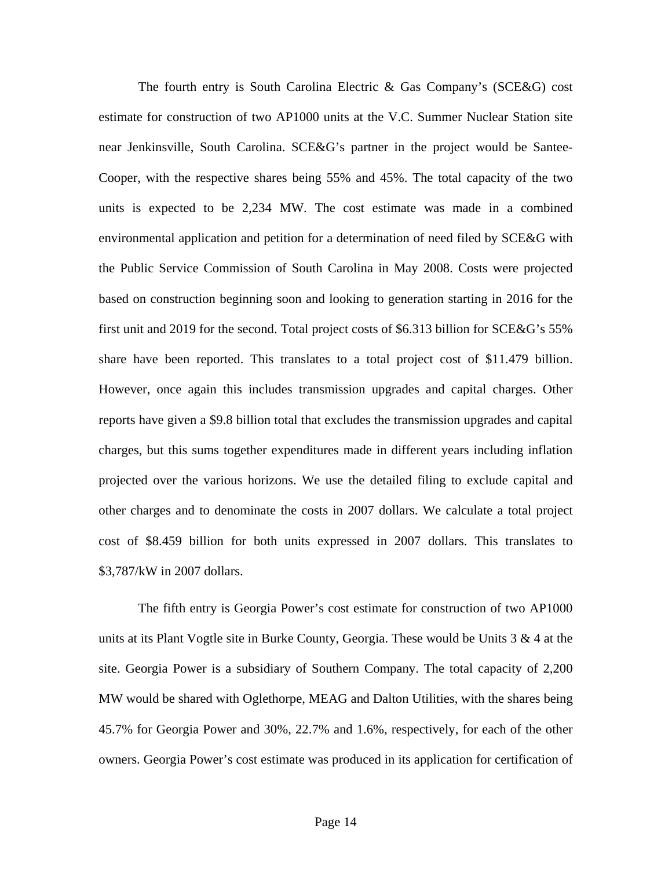The fourth entry is South Carolina Electric & Gas Company's (SCE&G) cost estimate for construction of two AP1000 units at the V.C. Summer Nuclear Station site near Jenkinsville, South Carolina. SCE&G's partner in the project would be Santee-Cooper, with the respective shares being 55% and 45%. The total capacity of the two units is expected to be 2,234 MW. The cost estimate was made in a combined environmental application and petition for a determination of need filed by SCE&G with the Public Service Commission of South Carolina in May 2008. Costs were projected based on construction beginning soon and looking to generation starting in 2016 for the first unit and 2019 for the second. Total project costs of \$6.313 billion for SCE&G's 55% share have been reported. This translates to a total project cost of \$11.479 billion. However, once again this includes transmission upgrades and capital charges. Other reports have given a \$9.8 billion total that excludes the transmission upgrades and capital charges, but this sums together expenditures made in different years including inflation projected over the various horizons. We use the detailed filing to exclude capital and other charges and to denominate the costs in 2007 dollars. We calculate a total project cost of \$8.459 billion for both units expressed in 2007 dollars. This translates to \$3,787/kW in 2007 dollars.

The fifth entry is Georgia Power's cost estimate for construction of two AP1000 units at its Plant Vogtle site in Burke County, Georgia. These would be Units  $3 \& 4$  at the site. Georgia Power is a subsidiary of Southern Company. The total capacity of 2,200 MW would be shared with Oglethorpe, MEAG and Dalton Utilities, with the shares being 45.7% for Georgia Power and 30%, 22.7% and 1.6%, respectively, for each of the other owners. Georgia Power's cost estimate was produced in its application for certification of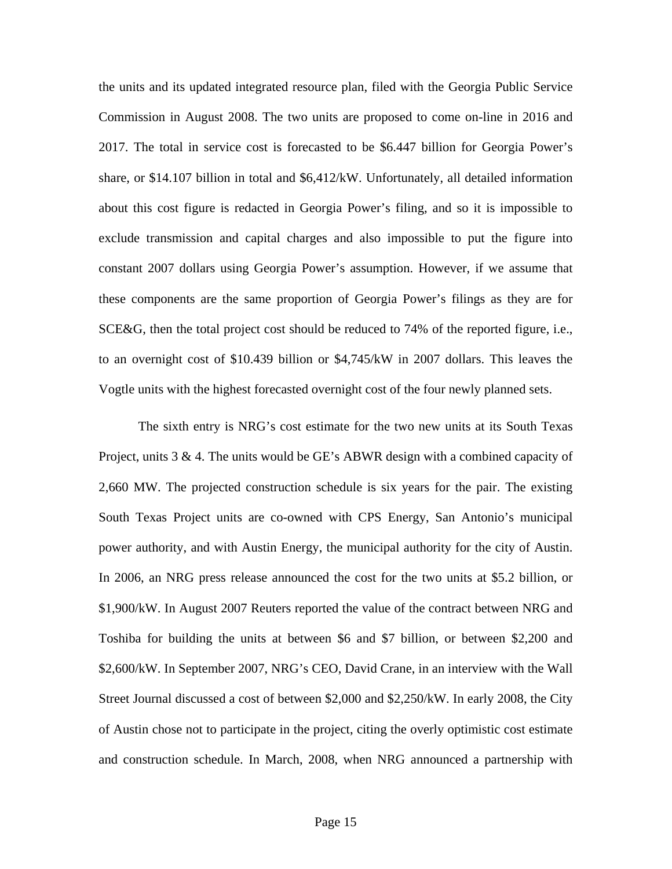the units and its updated integrated resource plan, filed with the Georgia Public Service Commission in August 2008. The two units are proposed to come on-line in 2016 and 2017. The total in service cost is forecasted to be \$6.447 billion for Georgia Power's share, or \$14.107 billion in total and \$6,412/kW. Unfortunately, all detailed information about this cost figure is redacted in Georgia Power's filing, and so it is impossible to exclude transmission and capital charges and also impossible to put the figure into constant 2007 dollars using Georgia Power's assumption. However, if we assume that these components are the same proportion of Georgia Power's filings as they are for SCE&G, then the total project cost should be reduced to 74% of the reported figure, i.e., to an overnight cost of \$10.439 billion or \$4,745/kW in 2007 dollars. This leaves the Vogtle units with the highest forecasted overnight cost of the four newly planned sets.

The sixth entry is NRG's cost estimate for the two new units at its South Texas Project, units  $3 \& 4$ . The units would be GE's ABWR design with a combined capacity of 2,660 MW. The projected construction schedule is six years for the pair. The existing South Texas Project units are co-owned with CPS Energy, San Antonio's municipal power authority, and with Austin Energy, the municipal authority for the city of Austin. In 2006, an NRG press release announced the cost for the two units at \$5.2 billion, or \$1,900/kW. In August 2007 Reuters reported the value of the contract between NRG and Toshiba for building the units at between \$6 and \$7 billion, or between \$2,200 and \$2,600/kW. In September 2007, NRG's CEO, David Crane, in an interview with the Wall Street Journal discussed a cost of between \$2,000 and \$2,250/kW. In early 2008, the City of Austin chose not to participate in the project, citing the overly optimistic cost estimate and construction schedule. In March, 2008, when NRG announced a partnership with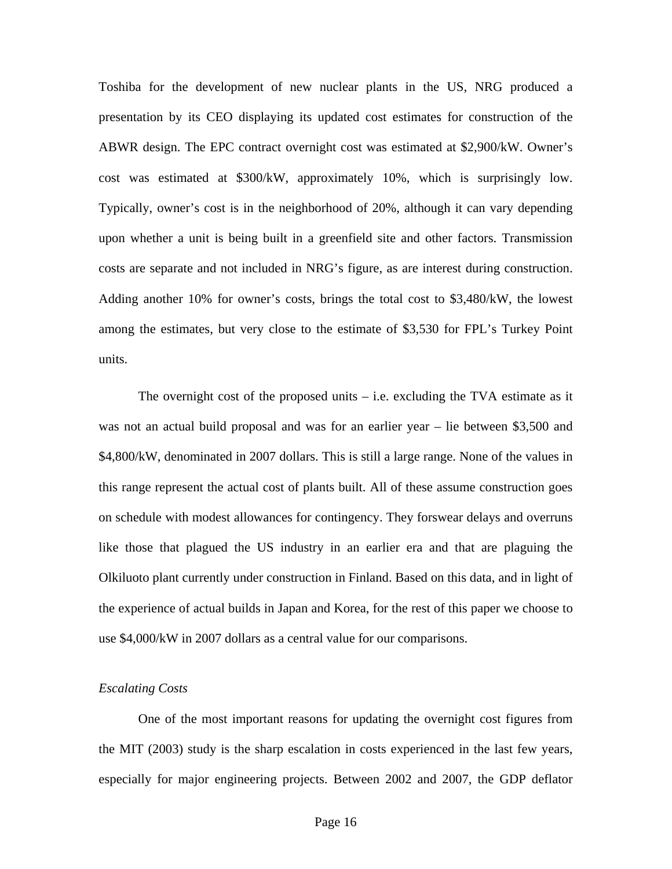Toshiba for the development of new nuclear plants in the US, NRG produced a presentation by its CEO displaying its updated cost estimates for construction of the ABWR design. The EPC contract overnight cost was estimated at \$2,900/kW. Owner's cost was estimated at \$300/kW, approximately 10%, which is surprisingly low. Typically, owner's cost is in the neighborhood of 20%, although it can vary depending upon whether a unit is being built in a greenfield site and other factors. Transmission costs are separate and not included in NRG's figure, as are interest during construction. Adding another 10% for owner's costs, brings the total cost to \$3,480/kW, the lowest among the estimates, but very close to the estimate of \$3,530 for FPL's Turkey Point units.

The overnight cost of the proposed units  $-$  i.e. excluding the TVA estimate as it was not an actual build proposal and was for an earlier year – lie between \$3,500 and \$4,800/kW, denominated in 2007 dollars. This is still a large range. None of the values in this range represent the actual cost of plants built. All of these assume construction goes on schedule with modest allowances for contingency. They forswear delays and overruns like those that plagued the US industry in an earlier era and that are plaguing the Olkiluoto plant currently under construction in Finland. Based on this data, and in light of the experience of actual builds in Japan and Korea, for the rest of this paper we choose to use \$4,000/kW in 2007 dollars as a central value for our comparisons.

# *Escalating Costs*

One of the most important reasons for updating the overnight cost figures from the MIT (2003) study is the sharp escalation in costs experienced in the last few years, especially for major engineering projects. Between 2002 and 2007, the GDP deflator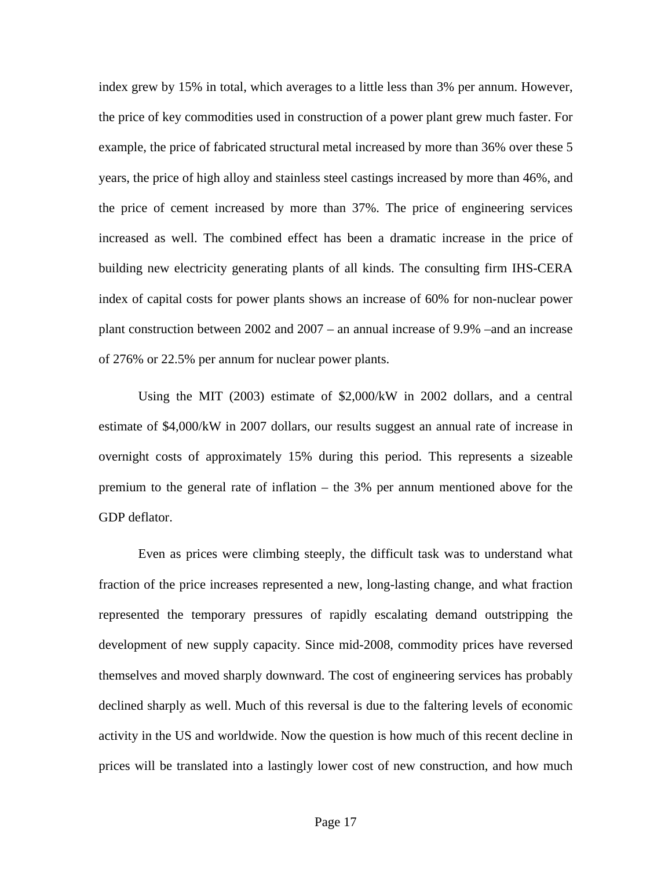index grew by 15% in total, which averages to a little less than 3% per annum. However, the price of key commodities used in construction of a power plant grew much faster. For example, the price of fabricated structural metal increased by more than 36% over these 5 years, the price of high alloy and stainless steel castings increased by more than 46%, and the price of cement increased by more than 37%. The price of engineering services increased as well. The combined effect has been a dramatic increase in the price of building new electricity generating plants of all kinds. The consulting firm IHS-CERA index of capital costs for power plants shows an increase of 60% for non-nuclear power plant construction between 2002 and 2007 – an annual increase of 9.9% –and an increase of 276% or 22.5% per annum for nuclear power plants.

Using the MIT (2003) estimate of \$2,000/kW in 2002 dollars, and a central estimate of \$4,000/kW in 2007 dollars, our results suggest an annual rate of increase in overnight costs of approximately 15% during this period. This represents a sizeable premium to the general rate of inflation – the 3% per annum mentioned above for the GDP deflator.

Even as prices were climbing steeply, the difficult task was to understand what fraction of the price increases represented a new, long-lasting change, and what fraction represented the temporary pressures of rapidly escalating demand outstripping the development of new supply capacity. Since mid-2008, commodity prices have reversed themselves and moved sharply downward. The cost of engineering services has probably declined sharply as well. Much of this reversal is due to the faltering levels of economic activity in the US and worldwide. Now the question is how much of this recent decline in prices will be translated into a lastingly lower cost of new construction, and how much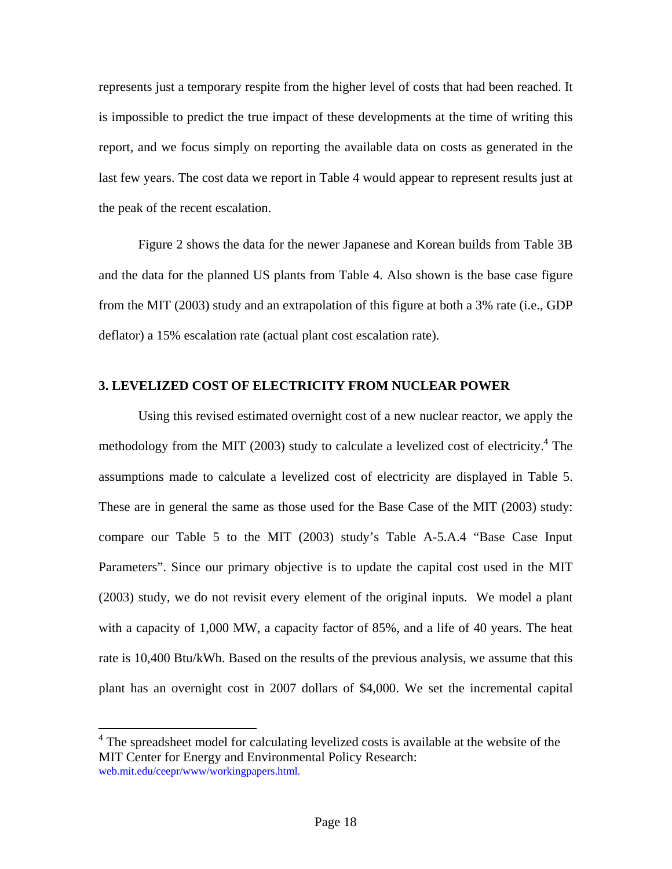represents just a temporary respite from the higher level of costs that had been reached. It is impossible to predict the true impact of these developments at the time of writing this report, and we focus simply on reporting the available data on costs as generated in the last few years. The cost data we report in Table 4 would appear to represent results just at the peak of the recent escalation.

Figure 2 shows the data for the newer Japanese and Korean builds from Table 3B and the data for the planned US plants from Table 4. Also shown is the base case figure from the MIT (2003) study and an extrapolation of this figure at both a 3% rate (i.e., GDP deflator) a 15% escalation rate (actual plant cost escalation rate).

# **3. LEVELIZED COST OF ELECTRICITY FROM NUCLEAR POWER**

Using this revised estimated overnight cost of a new nuclear reactor, we apply the methodology from the MIT (2003) study to calculate a levelized cost of electricity.<sup>4</sup> The assumptions made to calculate a levelized cost of electricity are displayed in Table 5. These are in general the same as those used for the Base Case of the MIT (2003) study: compare our Table 5 to the MIT (2003) study's Table A-5.A.4 "Base Case Input Parameters". Since our primary objective is to update the capital cost used in the MIT (2003) study, we do not revisit every element of the original inputs. We model a plant with a capacity of 1,000 MW, a capacity factor of 85%, and a life of 40 years. The heat rate is 10,400 Btu/kWh. Based on the results of the previous analysis, we assume that this plant has an overnight cost in 2007 dollars of \$4,000. We set the incremental capital

 $\overline{a}$ 

<sup>&</sup>lt;sup>4</sup> The spreadsheet model for calculating levelized costs is available at the website of the MIT Center for Energy and Environmental Policy Research: web.mit.edu/ceepr/www/workingpapers.html.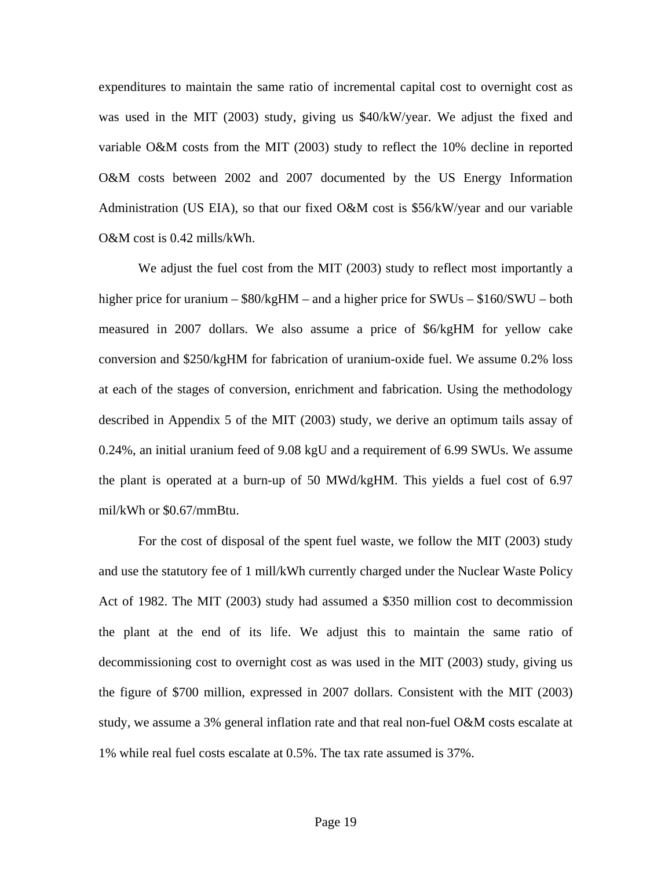expenditures to maintain the same ratio of incremental capital cost to overnight cost as was used in the MIT (2003) study, giving us \$40/kW/year. We adjust the fixed and variable O&M costs from the MIT (2003) study to reflect the 10% decline in reported O&M costs between 2002 and 2007 documented by the US Energy Information Administration (US EIA), so that our fixed O&M cost is \$56/kW/year and our variable O&M cost is 0.42 mills/kWh.

We adjust the fuel cost from the MIT (2003) study to reflect most importantly a higher price for uranium –  $$80/kgHM$  – and a higher price for SWUs –  $$160/SWU - both$ measured in 2007 dollars. We also assume a price of \$6/kgHM for yellow cake conversion and \$250/kgHM for fabrication of uranium-oxide fuel. We assume 0.2% loss at each of the stages of conversion, enrichment and fabrication. Using the methodology described in Appendix 5 of the MIT (2003) study, we derive an optimum tails assay of 0.24%, an initial uranium feed of 9.08 kgU and a requirement of 6.99 SWUs. We assume the plant is operated at a burn-up of 50 MWd/kgHM. This yields a fuel cost of 6.97 mil/kWh or \$0.67/mmBtu.

For the cost of disposal of the spent fuel waste, we follow the MIT (2003) study and use the statutory fee of 1 mill/kWh currently charged under the Nuclear Waste Policy Act of 1982. The MIT (2003) study had assumed a \$350 million cost to decommission the plant at the end of its life. We adjust this to maintain the same ratio of decommissioning cost to overnight cost as was used in the MIT (2003) study, giving us the figure of \$700 million, expressed in 2007 dollars. Consistent with the MIT (2003) study, we assume a 3% general inflation rate and that real non-fuel O&M costs escalate at 1% while real fuel costs escalate at 0.5%. The tax rate assumed is 37%.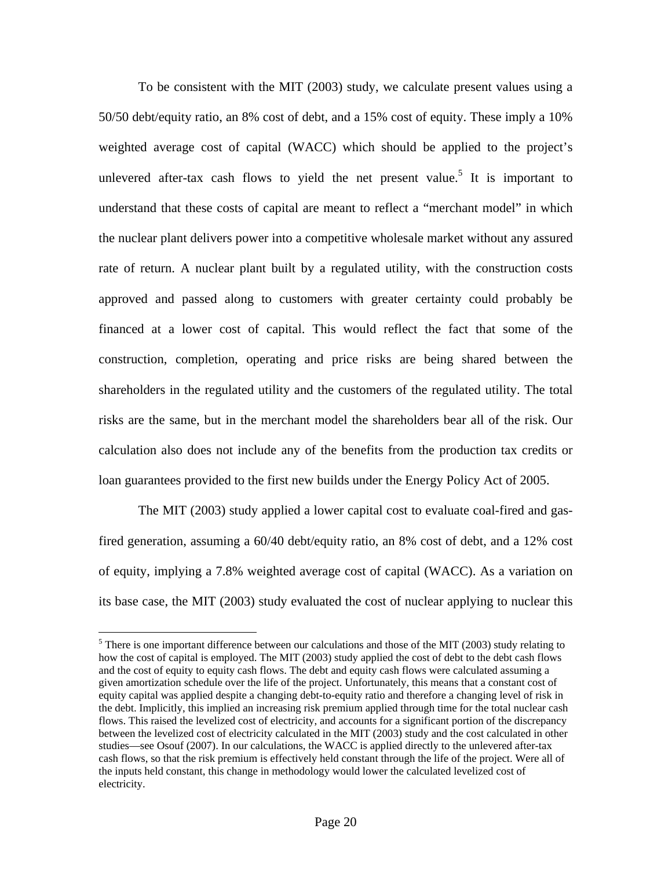To be consistent with the MIT (2003) study, we calculate present values using a 50/50 debt/equity ratio, an 8% cost of debt, and a 15% cost of equity. These imply a 10% weighted average cost of capital (WACC) which should be applied to the project's unlevered after-tax cash flows to yield the net present value.<sup>5</sup> It is important to understand that these costs of capital are meant to reflect a "merchant model" in which the nuclear plant delivers power into a competitive wholesale market without any assured rate of return. A nuclear plant built by a regulated utility, with the construction costs approved and passed along to customers with greater certainty could probably be financed at a lower cost of capital. This would reflect the fact that some of the construction, completion, operating and price risks are being shared between the shareholders in the regulated utility and the customers of the regulated utility. The total risks are the same, but in the merchant model the shareholders bear all of the risk. Our calculation also does not include any of the benefits from the production tax credits or loan guarantees provided to the first new builds under the Energy Policy Act of 2005.

The MIT (2003) study applied a lower capital cost to evaluate coal-fired and gasfired generation, assuming a 60/40 debt/equity ratio, an 8% cost of debt, and a 12% cost of equity, implying a 7.8% weighted average cost of capital (WACC). As a variation on its base case, the MIT (2003) study evaluated the cost of nuclear applying to nuclear this

 $\overline{a}$ 

 $<sup>5</sup>$  There is one important difference between our calculations and those of the MIT (2003) study relating to</sup> how the cost of capital is employed. The MIT (2003) study applied the cost of debt to the debt cash flows and the cost of equity to equity cash flows. The debt and equity cash flows were calculated assuming a given amortization schedule over the life of the project. Unfortunately, this means that a constant cost of equity capital was applied despite a changing debt-to-equity ratio and therefore a changing level of risk in the debt. Implicitly, this implied an increasing risk premium applied through time for the total nuclear cash flows. This raised the levelized cost of electricity, and accounts for a significant portion of the discrepancy between the levelized cost of electricity calculated in the MIT (2003) study and the cost calculated in other studies—see Osouf (2007). In our calculations, the WACC is applied directly to the unlevered after-tax cash flows, so that the risk premium is effectively held constant through the life of the project. Were all of the inputs held constant, this change in methodology would lower the calculated levelized cost of electricity.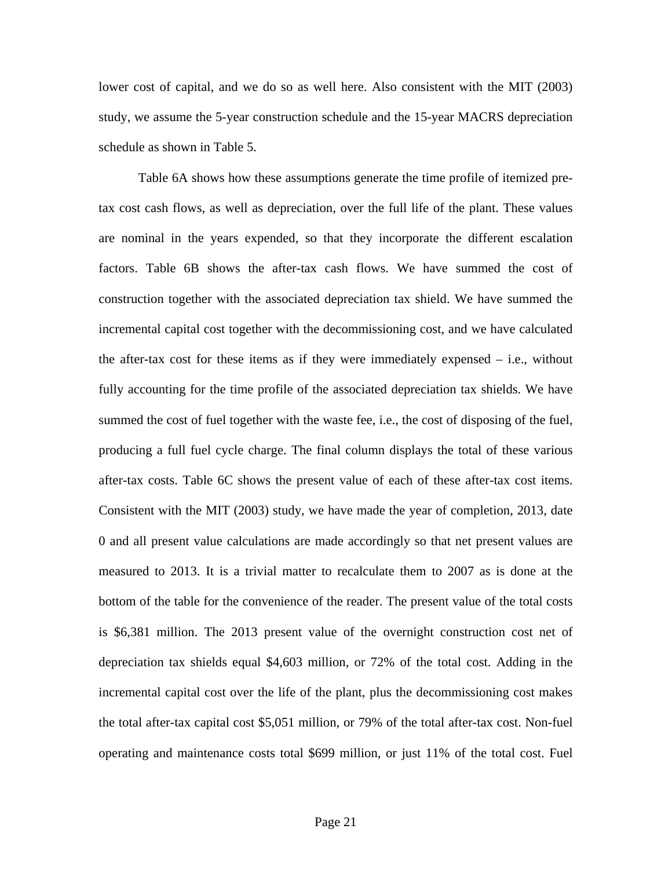lower cost of capital, and we do so as well here. Also consistent with the MIT (2003) study, we assume the 5-year construction schedule and the 15-year MACRS depreciation schedule as shown in Table 5.

Table 6A shows how these assumptions generate the time profile of itemized pretax cost cash flows, as well as depreciation, over the full life of the plant. These values are nominal in the years expended, so that they incorporate the different escalation factors. Table 6B shows the after-tax cash flows. We have summed the cost of construction together with the associated depreciation tax shield. We have summed the incremental capital cost together with the decommissioning cost, and we have calculated the after-tax cost for these items as if they were immediately expensed  $-$  i.e., without fully accounting for the time profile of the associated depreciation tax shields. We have summed the cost of fuel together with the waste fee, i.e., the cost of disposing of the fuel, producing a full fuel cycle charge. The final column displays the total of these various after-tax costs. Table 6C shows the present value of each of these after-tax cost items. Consistent with the MIT (2003) study, we have made the year of completion, 2013, date 0 and all present value calculations are made accordingly so that net present values are measured to 2013. It is a trivial matter to recalculate them to 2007 as is done at the bottom of the table for the convenience of the reader. The present value of the total costs is \$6,381 million. The 2013 present value of the overnight construction cost net of depreciation tax shields equal \$4,603 million, or 72% of the total cost. Adding in the incremental capital cost over the life of the plant, plus the decommissioning cost makes the total after-tax capital cost \$5,051 million, or 79% of the total after-tax cost. Non-fuel operating and maintenance costs total \$699 million, or just 11% of the total cost. Fuel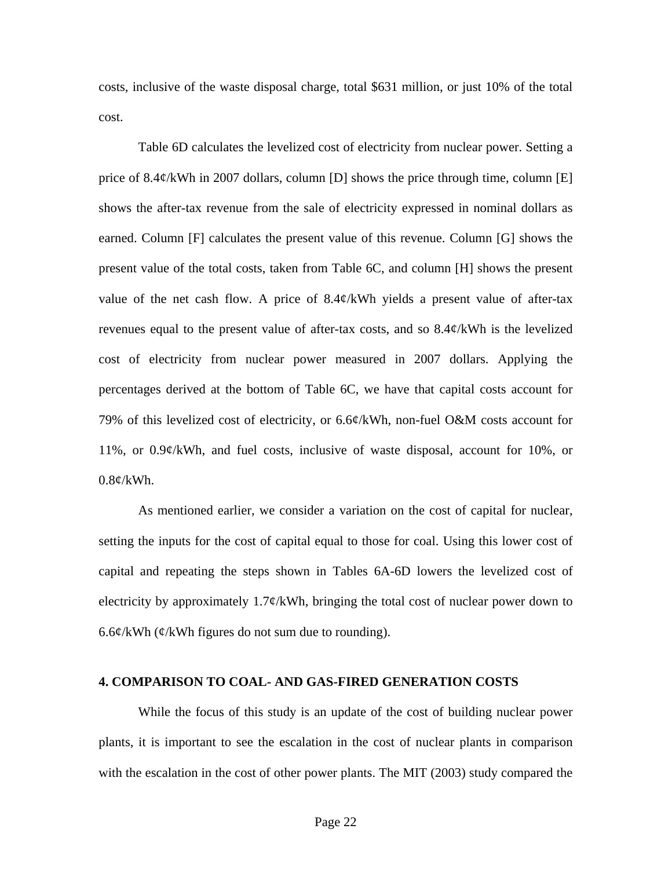costs, inclusive of the waste disposal charge, total \$631 million, or just 10% of the total cost.

Table 6D calculates the levelized cost of electricity from nuclear power. Setting a price of  $8.4¢$ /kWh in 2007 dollars, column [D] shows the price through time, column [E] shows the after-tax revenue from the sale of electricity expressed in nominal dollars as earned. Column [F] calculates the present value of this revenue. Column [G] shows the present value of the total costs, taken from Table 6C, and column [H] shows the present value of the net cash flow. A price of  $8.4\frac{\epsilon}{k}$  wh yields a present value of after-tax revenues equal to the present value of after-tax costs, and so 8.4¢/kWh is the levelized cost of electricity from nuclear power measured in 2007 dollars. Applying the percentages derived at the bottom of Table 6C, we have that capital costs account for 79% of this levelized cost of electricity, or  $6.6¢/kWh$ , non-fuel O&M costs account for 11%, or 0.9¢/kWh, and fuel costs, inclusive of waste disposal, account for 10%, or  $0.8$ ¢/kWh.

As mentioned earlier, we consider a variation on the cost of capital for nuclear, setting the inputs for the cost of capital equal to those for coal. Using this lower cost of capital and repeating the steps shown in Tables 6A-6D lowers the levelized cost of electricity by approximately  $1.7\frac{\mu}{kWh}$ , bringing the total cost of nuclear power down to  $6.6¢/kWh$  ( $¢/kWh$  figures do not sum due to rounding).

# **4. COMPARISON TO COAL- AND GAS-FIRED GENERATION COSTS**

While the focus of this study is an update of the cost of building nuclear power plants, it is important to see the escalation in the cost of nuclear plants in comparison with the escalation in the cost of other power plants. The MIT (2003) study compared the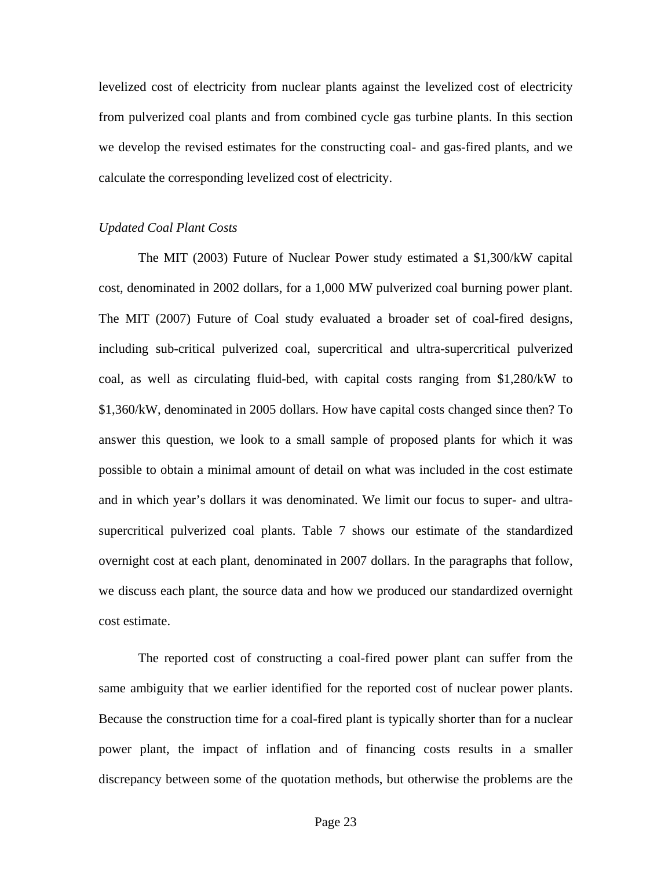levelized cost of electricity from nuclear plants against the levelized cost of electricity from pulverized coal plants and from combined cycle gas turbine plants. In this section we develop the revised estimates for the constructing coal- and gas-fired plants, and we calculate the corresponding levelized cost of electricity.

### *Updated Coal Plant Costs*

The MIT (2003) Future of Nuclear Power study estimated a \$1,300/kW capital cost, denominated in 2002 dollars, for a 1,000 MW pulverized coal burning power plant. The MIT (2007) Future of Coal study evaluated a broader set of coal-fired designs, including sub-critical pulverized coal, supercritical and ultra-supercritical pulverized coal, as well as circulating fluid-bed, with capital costs ranging from \$1,280/kW to \$1,360/kW, denominated in 2005 dollars. How have capital costs changed since then? To answer this question, we look to a small sample of proposed plants for which it was possible to obtain a minimal amount of detail on what was included in the cost estimate and in which year's dollars it was denominated. We limit our focus to super- and ultrasupercritical pulverized coal plants. Table 7 shows our estimate of the standardized overnight cost at each plant, denominated in 2007 dollars. In the paragraphs that follow, we discuss each plant, the source data and how we produced our standardized overnight cost estimate.

The reported cost of constructing a coal-fired power plant can suffer from the same ambiguity that we earlier identified for the reported cost of nuclear power plants. Because the construction time for a coal-fired plant is typically shorter than for a nuclear power plant, the impact of inflation and of financing costs results in a smaller discrepancy between some of the quotation methods, but otherwise the problems are the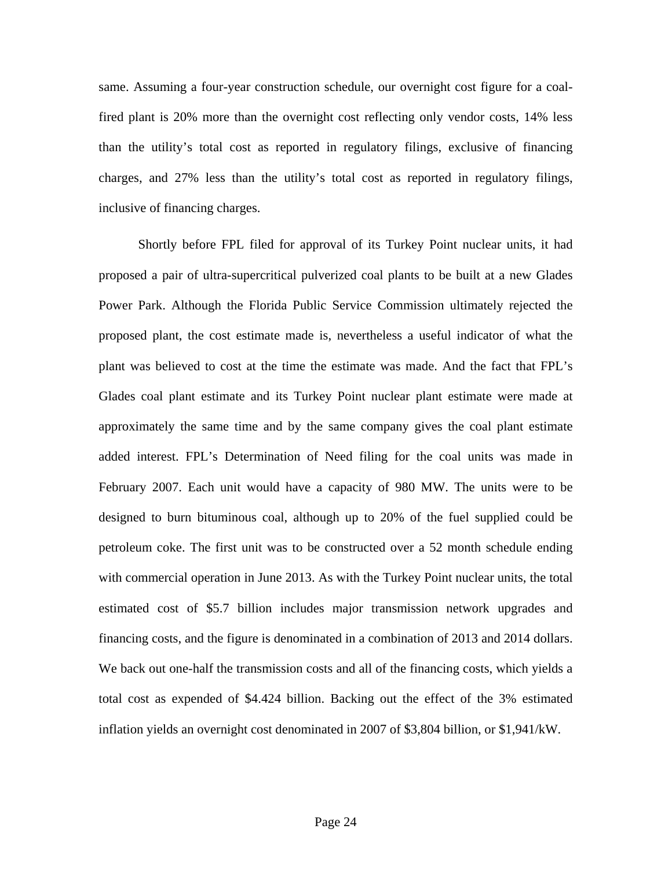same. Assuming a four-year construction schedule, our overnight cost figure for a coalfired plant is 20% more than the overnight cost reflecting only vendor costs, 14% less than the utility's total cost as reported in regulatory filings, exclusive of financing charges, and 27% less than the utility's total cost as reported in regulatory filings, inclusive of financing charges.

Shortly before FPL filed for approval of its Turkey Point nuclear units, it had proposed a pair of ultra-supercritical pulverized coal plants to be built at a new Glades Power Park. Although the Florida Public Service Commission ultimately rejected the proposed plant, the cost estimate made is, nevertheless a useful indicator of what the plant was believed to cost at the time the estimate was made. And the fact that FPL's Glades coal plant estimate and its Turkey Point nuclear plant estimate were made at approximately the same time and by the same company gives the coal plant estimate added interest. FPL's Determination of Need filing for the coal units was made in February 2007. Each unit would have a capacity of 980 MW. The units were to be designed to burn bituminous coal, although up to 20% of the fuel supplied could be petroleum coke. The first unit was to be constructed over a 52 month schedule ending with commercial operation in June 2013. As with the Turkey Point nuclear units, the total estimated cost of \$5.7 billion includes major transmission network upgrades and financing costs, and the figure is denominated in a combination of 2013 and 2014 dollars. We back out one-half the transmission costs and all of the financing costs, which yields a total cost as expended of \$4.424 billion. Backing out the effect of the 3% estimated inflation yields an overnight cost denominated in 2007 of \$3,804 billion, or \$1,941/kW.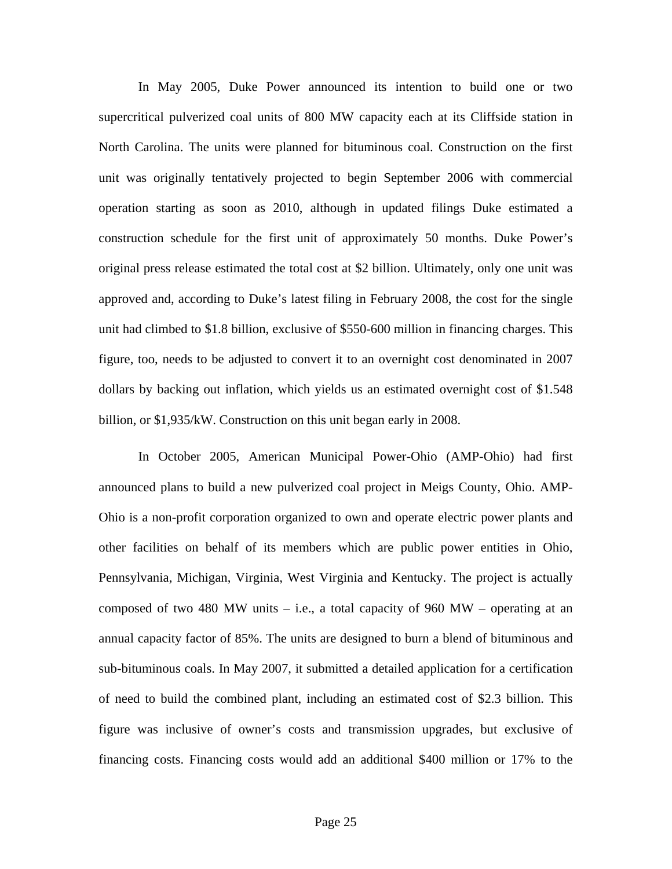In May 2005, Duke Power announced its intention to build one or two supercritical pulverized coal units of 800 MW capacity each at its Cliffside station in North Carolina. The units were planned for bituminous coal. Construction on the first unit was originally tentatively projected to begin September 2006 with commercial operation starting as soon as 2010, although in updated filings Duke estimated a construction schedule for the first unit of approximately 50 months. Duke Power's original press release estimated the total cost at \$2 billion. Ultimately, only one unit was approved and, according to Duke's latest filing in February 2008, the cost for the single unit had climbed to \$1.8 billion, exclusive of \$550-600 million in financing charges. This figure, too, needs to be adjusted to convert it to an overnight cost denominated in 2007 dollars by backing out inflation, which yields us an estimated overnight cost of \$1.548 billion, or \$1,935/kW. Construction on this unit began early in 2008.

In October 2005, American Municipal Power-Ohio (AMP-Ohio) had first announced plans to build a new pulverized coal project in Meigs County, Ohio. AMP-Ohio is a non-profit corporation organized to own and operate electric power plants and other facilities on behalf of its members which are public power entities in Ohio, Pennsylvania, Michigan, Virginia, West Virginia and Kentucky. The project is actually composed of two 480 MW units  $-$  i.e., a total capacity of 960 MW  $-$  operating at an annual capacity factor of 85%. The units are designed to burn a blend of bituminous and sub-bituminous coals. In May 2007, it submitted a detailed application for a certification of need to build the combined plant, including an estimated cost of \$2.3 billion. This figure was inclusive of owner's costs and transmission upgrades, but exclusive of financing costs. Financing costs would add an additional \$400 million or 17% to the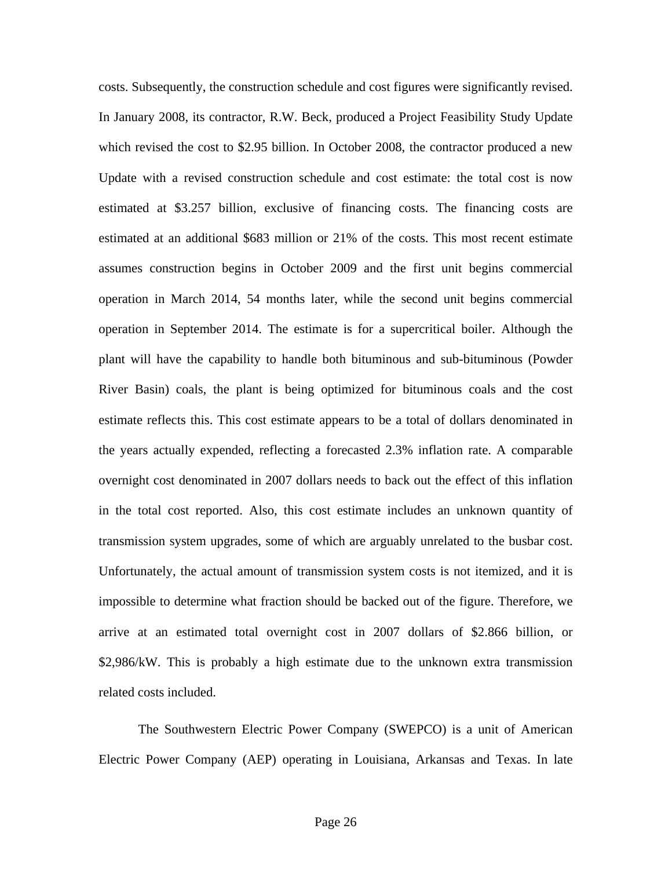costs. Subsequently, the construction schedule and cost figures were significantly revised. In January 2008, its contractor, R.W. Beck, produced a Project Feasibility Study Update which revised the cost to \$2.95 billion. In October 2008, the contractor produced a new Update with a revised construction schedule and cost estimate: the total cost is now estimated at \$3.257 billion, exclusive of financing costs. The financing costs are estimated at an additional \$683 million or 21% of the costs. This most recent estimate assumes construction begins in October 2009 and the first unit begins commercial operation in March 2014, 54 months later, while the second unit begins commercial operation in September 2014. The estimate is for a supercritical boiler. Although the plant will have the capability to handle both bituminous and sub-bituminous (Powder River Basin) coals, the plant is being optimized for bituminous coals and the cost estimate reflects this. This cost estimate appears to be a total of dollars denominated in the years actually expended, reflecting a forecasted 2.3% inflation rate. A comparable overnight cost denominated in 2007 dollars needs to back out the effect of this inflation in the total cost reported. Also, this cost estimate includes an unknown quantity of transmission system upgrades, some of which are arguably unrelated to the busbar cost. Unfortunately, the actual amount of transmission system costs is not itemized, and it is impossible to determine what fraction should be backed out of the figure. Therefore, we arrive at an estimated total overnight cost in 2007 dollars of \$2.866 billion, or \$2,986/kW. This is probably a high estimate due to the unknown extra transmission related costs included.

The Southwestern Electric Power Company (SWEPCO) is a unit of American Electric Power Company (AEP) operating in Louisiana, Arkansas and Texas. In late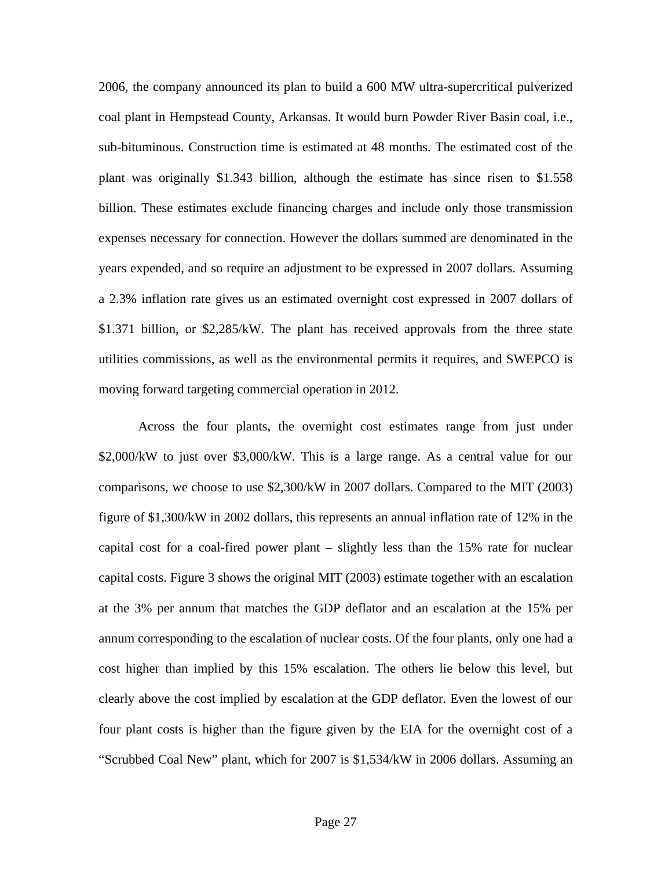2006, the company announced its plan to build a 600 MW ultra-supercritical pulverized coal plant in Hempstead County, Arkansas. It would burn Powder River Basin coal, i.e., sub-bituminous. Construction time is estimated at 48 months. The estimated cost of the plant was originally \$1.343 billion, although the estimate has since risen to \$1.558 billion. These estimates exclude financing charges and include only those transmission expenses necessary for connection. However the dollars summed are denominated in the years expended, and so require an adjustment to be expressed in 2007 dollars. Assuming a 2.3% inflation rate gives us an estimated overnight cost expressed in 2007 dollars of \$1.371 billion, or \$2,285/kW. The plant has received approvals from the three state utilities commissions, as well as the environmental permits it requires, and SWEPCO is moving forward targeting commercial operation in 2012.

Across the four plants, the overnight cost estimates range from just under \$2,000/kW to just over \$3,000/kW. This is a large range. As a central value for our comparisons, we choose to use \$2,300/kW in 2007 dollars. Compared to the MIT (2003) figure of \$1,300/kW in 2002 dollars, this represents an annual inflation rate of 12% in the capital cost for a coal-fired power plant – slightly less than the 15% rate for nuclear capital costs. Figure 3 shows the original MIT (2003) estimate together with an escalation at the 3% per annum that matches the GDP deflator and an escalation at the 15% per annum corresponding to the escalation of nuclear costs. Of the four plants, only one had a cost higher than implied by this 15% escalation. The others lie below this level, but clearly above the cost implied by escalation at the GDP deflator. Even the lowest of our four plant costs is higher than the figure given by the EIA for the overnight cost of a "Scrubbed Coal New" plant, which for 2007 is \$1,534/kW in 2006 dollars. Assuming an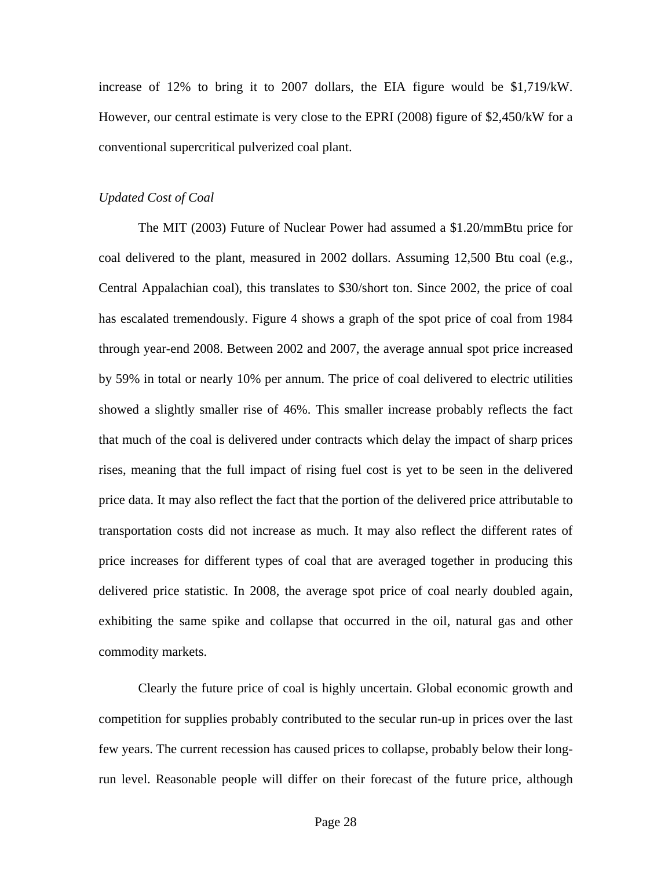increase of 12% to bring it to 2007 dollars, the EIA figure would be \$1,719/kW. However, our central estimate is very close to the EPRI (2008) figure of \$2,450/kW for a conventional supercritical pulverized coal plant.

### *Updated Cost of Coal*

The MIT (2003) Future of Nuclear Power had assumed a \$1.20/mmBtu price for coal delivered to the plant, measured in 2002 dollars. Assuming 12,500 Btu coal (e.g., Central Appalachian coal), this translates to \$30/short ton. Since 2002, the price of coal has escalated tremendously. Figure 4 shows a graph of the spot price of coal from 1984 through year-end 2008. Between 2002 and 2007, the average annual spot price increased by 59% in total or nearly 10% per annum. The price of coal delivered to electric utilities showed a slightly smaller rise of 46%. This smaller increase probably reflects the fact that much of the coal is delivered under contracts which delay the impact of sharp prices rises, meaning that the full impact of rising fuel cost is yet to be seen in the delivered price data. It may also reflect the fact that the portion of the delivered price attributable to transportation costs did not increase as much. It may also reflect the different rates of price increases for different types of coal that are averaged together in producing this delivered price statistic. In 2008, the average spot price of coal nearly doubled again, exhibiting the same spike and collapse that occurred in the oil, natural gas and other commodity markets.

Clearly the future price of coal is highly uncertain. Global economic growth and competition for supplies probably contributed to the secular run-up in prices over the last few years. The current recession has caused prices to collapse, probably below their longrun level. Reasonable people will differ on their forecast of the future price, although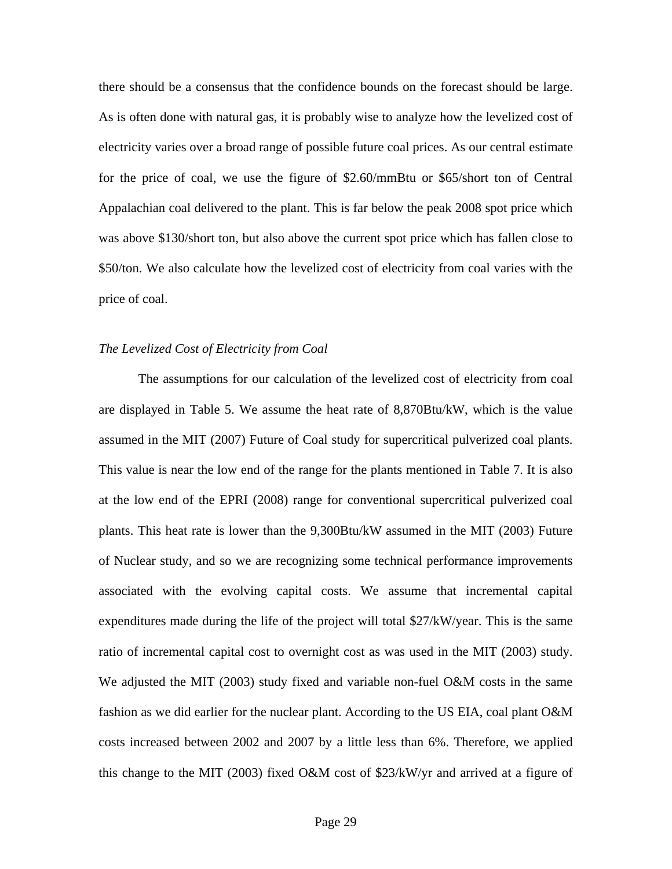there should be a consensus that the confidence bounds on the forecast should be large. As is often done with natural gas, it is probably wise to analyze how the levelized cost of electricity varies over a broad range of possible future coal prices. As our central estimate for the price of coal, we use the figure of \$2.60/mmBtu or \$65/short ton of Central Appalachian coal delivered to the plant. This is far below the peak 2008 spot price which was above \$130/short ton, but also above the current spot price which has fallen close to \$50/ton. We also calculate how the levelized cost of electricity from coal varies with the price of coal.

### *The Levelized Cost of Electricity from Coal*

The assumptions for our calculation of the levelized cost of electricity from coal are displayed in Table 5. We assume the heat rate of 8,870Btu/kW, which is the value assumed in the MIT (2007) Future of Coal study for supercritical pulverized coal plants. This value is near the low end of the range for the plants mentioned in Table 7. It is also at the low end of the EPRI (2008) range for conventional supercritical pulverized coal plants. This heat rate is lower than the 9,300Btu/kW assumed in the MIT (2003) Future of Nuclear study, and so we are recognizing some technical performance improvements associated with the evolving capital costs. We assume that incremental capital expenditures made during the life of the project will total \$27/kW/year. This is the same ratio of incremental capital cost to overnight cost as was used in the MIT (2003) study. We adjusted the MIT (2003) study fixed and variable non-fuel O&M costs in the same fashion as we did earlier for the nuclear plant. According to the US EIA, coal plant O&M costs increased between 2002 and 2007 by a little less than 6%. Therefore, we applied this change to the MIT (2003) fixed O&M cost of \$23/kW/yr and arrived at a figure of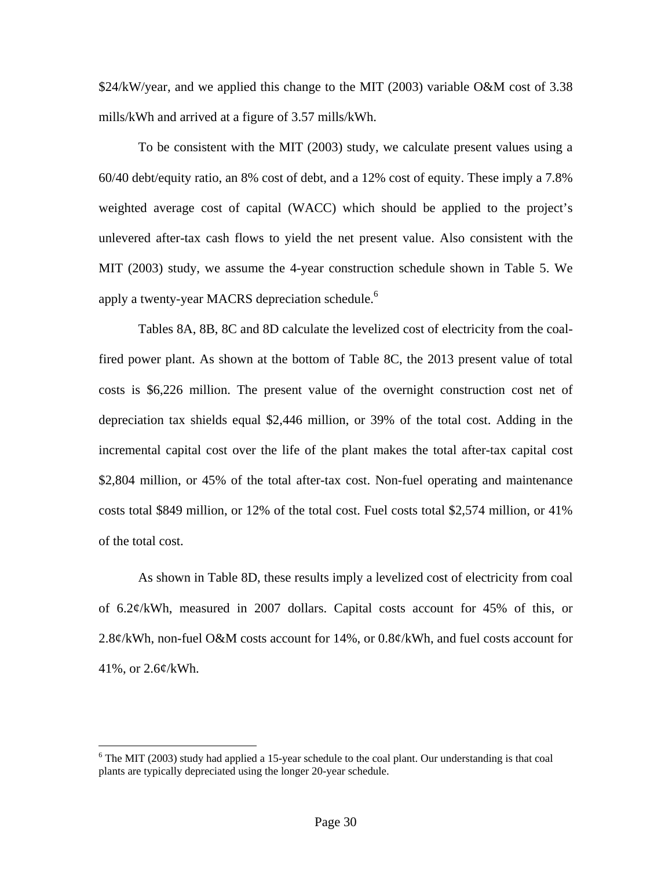\$24/kW/year, and we applied this change to the MIT (2003) variable O&M cost of 3.38 mills/kWh and arrived at a figure of 3.57 mills/kWh.

To be consistent with the MIT (2003) study, we calculate present values using a 60/40 debt/equity ratio, an 8% cost of debt, and a 12% cost of equity. These imply a 7.8% weighted average cost of capital (WACC) which should be applied to the project's unlevered after-tax cash flows to yield the net present value. Also consistent with the MIT (2003) study, we assume the 4-year construction schedule shown in Table 5. We apply a twenty-year MACRS depreciation schedule.<sup>6</sup>

Tables 8A, 8B, 8C and 8D calculate the levelized cost of electricity from the coalfired power plant. As shown at the bottom of Table 8C, the 2013 present value of total costs is \$6,226 million. The present value of the overnight construction cost net of depreciation tax shields equal \$2,446 million, or 39% of the total cost. Adding in the incremental capital cost over the life of the plant makes the total after-tax capital cost \$2,804 million, or 45% of the total after-tax cost. Non-fuel operating and maintenance costs total \$849 million, or 12% of the total cost. Fuel costs total \$2,574 million, or 41% of the total cost.

As shown in Table 8D, these results imply a levelized cost of electricity from coal of 6.2¢/kWh, measured in 2007 dollars. Capital costs account for 45% of this, or 2.8¢/kWh, non-fuel O&M costs account for 14%, or 0.8¢/kWh, and fuel costs account for 41%, or 2.6¢/kWh.

1

 $6$  The MIT (2003) study had applied a 15-year schedule to the coal plant. Our understanding is that coal plants are typically depreciated using the longer 20-year schedule.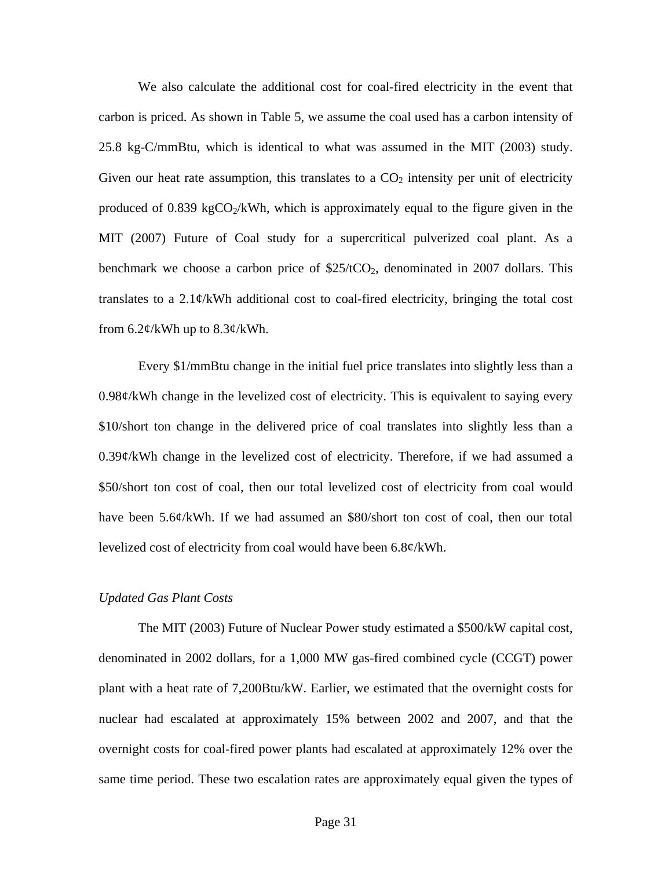We also calculate the additional cost for coal-fired electricity in the event that carbon is priced. As shown in Table 5, we assume the coal used has a carbon intensity of 25.8 kg-C/mmBtu, which is identical to what was assumed in the MIT (2003) study. Given our heat rate assumption, this translates to a  $CO<sub>2</sub>$  intensity per unit of electricity produced of  $0.839 \text{ kgCO}_2/\text{kWh}$ , which is approximately equal to the figure given in the MIT (2007) Future of Coal study for a supercritical pulverized coal plant. As a benchmark we choose a carbon price of  $$25/1CO<sub>2</sub>$ , denominated in 2007 dollars. This translates to a  $2.1\phi$ /kWh additional cost to coal-fired electricity, bringing the total cost from  $6.2\frac{\cancel{c}}{kWh}$  up to  $8.3\frac{\cancel{c}}{kWh}$ .

Every \$1/mmBtu change in the initial fuel price translates into slightly less than a 0.98¢/kWh change in the levelized cost of electricity. This is equivalent to saying every \$10/short ton change in the delivered price of coal translates into slightly less than a  $0.39\ell/kWh$  change in the levelized cost of electricity. Therefore, if we had assumed a \$50/short ton cost of coal, then our total levelized cost of electricity from coal would have been 5.6¢/kWh. If we had assumed an \$80/short ton cost of coal, then our total levelized cost of electricity from coal would have been 6.8¢/kWh.

# *Updated Gas Plant Costs*

The MIT (2003) Future of Nuclear Power study estimated a \$500/kW capital cost, denominated in 2002 dollars, for a 1,000 MW gas-fired combined cycle (CCGT) power plant with a heat rate of 7,200Btu/kW. Earlier, we estimated that the overnight costs for nuclear had escalated at approximately 15% between 2002 and 2007, and that the overnight costs for coal-fired power plants had escalated at approximately 12% over the same time period. These two escalation rates are approximately equal given the types of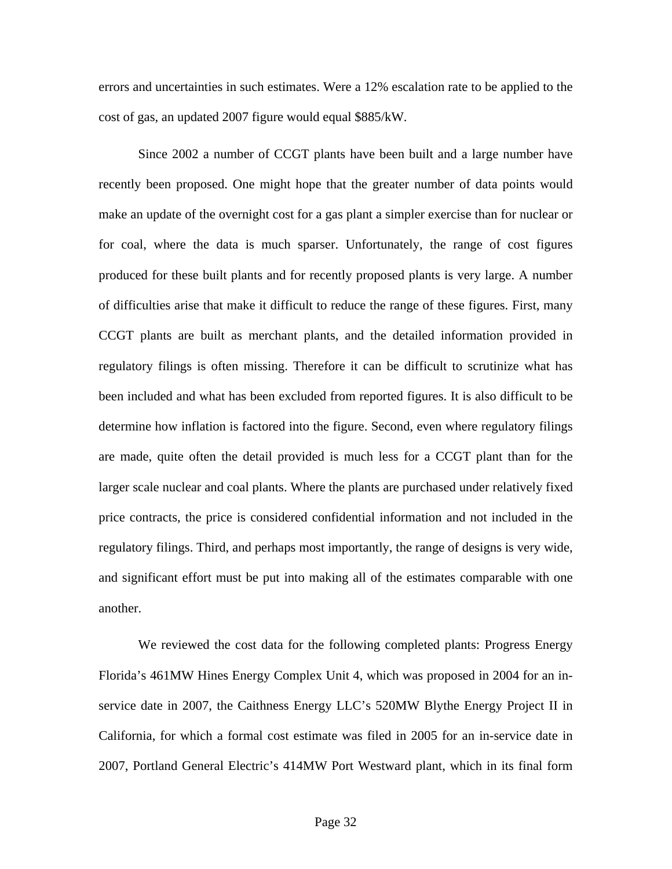errors and uncertainties in such estimates. Were a 12% escalation rate to be applied to the cost of gas, an updated 2007 figure would equal \$885/kW.

Since 2002 a number of CCGT plants have been built and a large number have recently been proposed. One might hope that the greater number of data points would make an update of the overnight cost for a gas plant a simpler exercise than for nuclear or for coal, where the data is much sparser. Unfortunately, the range of cost figures produced for these built plants and for recently proposed plants is very large. A number of difficulties arise that make it difficult to reduce the range of these figures. First, many CCGT plants are built as merchant plants, and the detailed information provided in regulatory filings is often missing. Therefore it can be difficult to scrutinize what has been included and what has been excluded from reported figures. It is also difficult to be determine how inflation is factored into the figure. Second, even where regulatory filings are made, quite often the detail provided is much less for a CCGT plant than for the larger scale nuclear and coal plants. Where the plants are purchased under relatively fixed price contracts, the price is considered confidential information and not included in the regulatory filings. Third, and perhaps most importantly, the range of designs is very wide, and significant effort must be put into making all of the estimates comparable with one another.

We reviewed the cost data for the following completed plants: Progress Energy Florida's 461MW Hines Energy Complex Unit 4, which was proposed in 2004 for an inservice date in 2007, the Caithness Energy LLC's 520MW Blythe Energy Project II in California, for which a formal cost estimate was filed in 2005 for an in-service date in 2007, Portland General Electric's 414MW Port Westward plant, which in its final form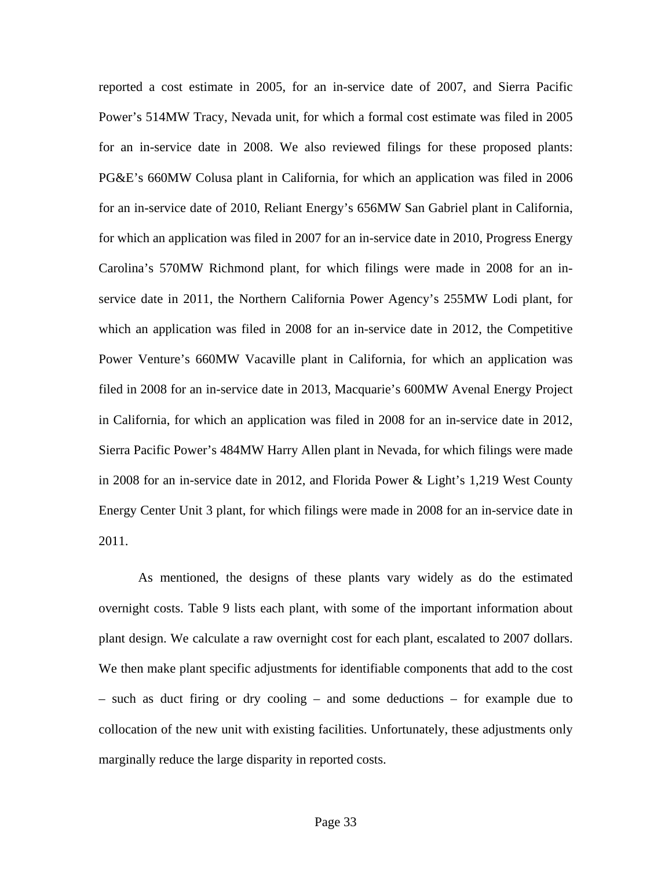reported a cost estimate in 2005, for an in-service date of 2007, and Sierra Pacific Power's 514MW Tracy, Nevada unit, for which a formal cost estimate was filed in 2005 for an in-service date in 2008. We also reviewed filings for these proposed plants: PG&E's 660MW Colusa plant in California, for which an application was filed in 2006 for an in-service date of 2010, Reliant Energy's 656MW San Gabriel plant in California, for which an application was filed in 2007 for an in-service date in 2010, Progress Energy Carolina's 570MW Richmond plant, for which filings were made in 2008 for an inservice date in 2011, the Northern California Power Agency's 255MW Lodi plant, for which an application was filed in 2008 for an in-service date in 2012, the Competitive Power Venture's 660MW Vacaville plant in California, for which an application was filed in 2008 for an in-service date in 2013, Macquarie's 600MW Avenal Energy Project in California, for which an application was filed in 2008 for an in-service date in 2012, Sierra Pacific Power's 484MW Harry Allen plant in Nevada, for which filings were made in 2008 for an in-service date in 2012, and Florida Power & Light's 1,219 West County Energy Center Unit 3 plant, for which filings were made in 2008 for an in-service date in 2011.

As mentioned, the designs of these plants vary widely as do the estimated overnight costs. Table 9 lists each plant, with some of the important information about plant design. We calculate a raw overnight cost for each plant, escalated to 2007 dollars. We then make plant specific adjustments for identifiable components that add to the cost – such as duct firing or dry cooling – and some deductions – for example due to collocation of the new unit with existing facilities. Unfortunately, these adjustments only marginally reduce the large disparity in reported costs.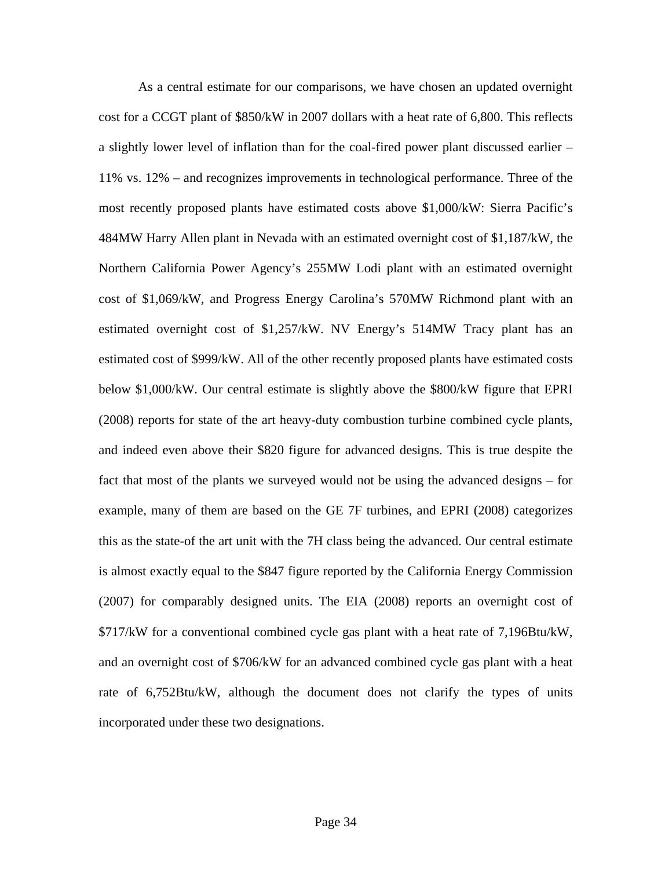As a central estimate for our comparisons, we have chosen an updated overnight cost for a CCGT plant of \$850/kW in 2007 dollars with a heat rate of 6,800. This reflects a slightly lower level of inflation than for the coal-fired power plant discussed earlier – 11% vs. 12% – and recognizes improvements in technological performance. Three of the most recently proposed plants have estimated costs above \$1,000/kW: Sierra Pacific's 484MW Harry Allen plant in Nevada with an estimated overnight cost of \$1,187/kW, the Northern California Power Agency's 255MW Lodi plant with an estimated overnight cost of \$1,069/kW, and Progress Energy Carolina's 570MW Richmond plant with an estimated overnight cost of \$1,257/kW. NV Energy's 514MW Tracy plant has an estimated cost of \$999/kW. All of the other recently proposed plants have estimated costs below \$1,000/kW. Our central estimate is slightly above the \$800/kW figure that EPRI (2008) reports for state of the art heavy-duty combustion turbine combined cycle plants, and indeed even above their \$820 figure for advanced designs. This is true despite the fact that most of the plants we surveyed would not be using the advanced designs – for example, many of them are based on the GE 7F turbines, and EPRI (2008) categorizes this as the state-of the art unit with the 7H class being the advanced. Our central estimate is almost exactly equal to the \$847 figure reported by the California Energy Commission (2007) for comparably designed units. The EIA (2008) reports an overnight cost of \$717/kW for a conventional combined cycle gas plant with a heat rate of 7,196Btu/kW, and an overnight cost of \$706/kW for an advanced combined cycle gas plant with a heat rate of 6,752Btu/kW, although the document does not clarify the types of units incorporated under these two designations.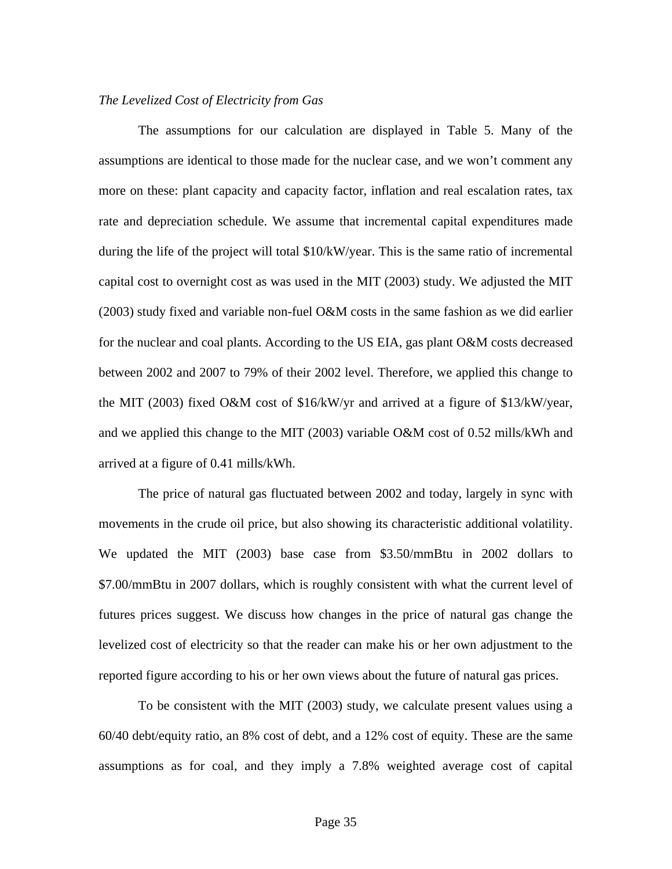# *The Levelized Cost of Electricity from Gas*

The assumptions for our calculation are displayed in Table 5. Many of the assumptions are identical to those made for the nuclear case, and we won't comment any more on these: plant capacity and capacity factor, inflation and real escalation rates, tax rate and depreciation schedule. We assume that incremental capital expenditures made during the life of the project will total \$10/kW/year. This is the same ratio of incremental capital cost to overnight cost as was used in the MIT (2003) study. We adjusted the MIT (2003) study fixed and variable non-fuel O&M costs in the same fashion as we did earlier for the nuclear and coal plants. According to the US EIA, gas plant O&M costs decreased between 2002 and 2007 to 79% of their 2002 level. Therefore, we applied this change to the MIT (2003) fixed O&M cost of \$16/kW/yr and arrived at a figure of \$13/kW/year, and we applied this change to the MIT (2003) variable O&M cost of 0.52 mills/kWh and arrived at a figure of 0.41 mills/kWh.

The price of natural gas fluctuated between 2002 and today, largely in sync with movements in the crude oil price, but also showing its characteristic additional volatility. We updated the MIT (2003) base case from \$3.50/mmBtu in 2002 dollars to \$7.00/mmBtu in 2007 dollars, which is roughly consistent with what the current level of futures prices suggest. We discuss how changes in the price of natural gas change the levelized cost of electricity so that the reader can make his or her own adjustment to the reported figure according to his or her own views about the future of natural gas prices.

To be consistent with the MIT (2003) study, we calculate present values using a 60/40 debt/equity ratio, an 8% cost of debt, and a 12% cost of equity. These are the same assumptions as for coal, and they imply a 7.8% weighted average cost of capital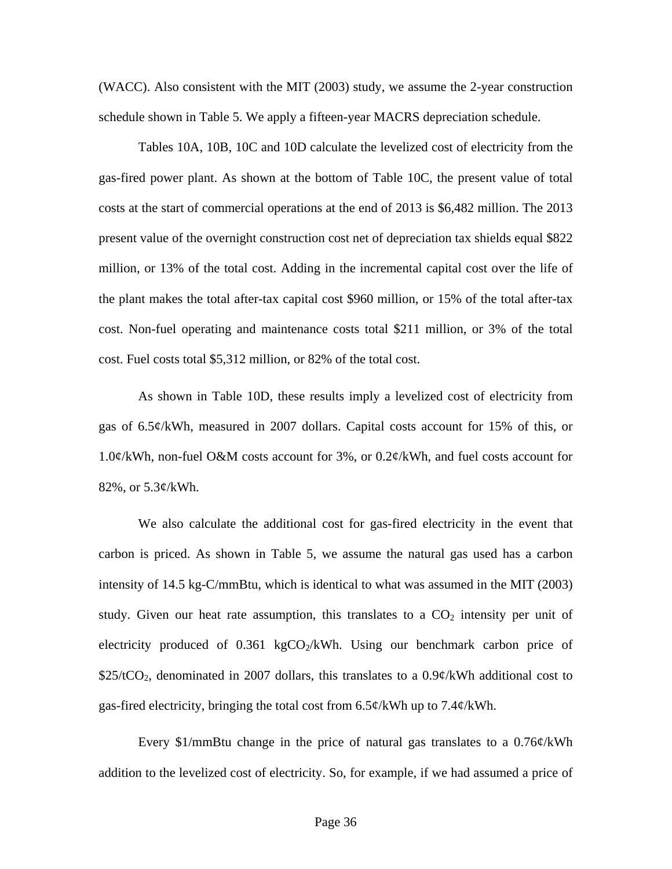(WACC). Also consistent with the MIT (2003) study, we assume the 2-year construction schedule shown in Table 5. We apply a fifteen-year MACRS depreciation schedule.

Tables 10A, 10B, 10C and 10D calculate the levelized cost of electricity from the gas-fired power plant. As shown at the bottom of Table 10C, the present value of total costs at the start of commercial operations at the end of 2013 is \$6,482 million. The 2013 present value of the overnight construction cost net of depreciation tax shields equal \$822 million, or 13% of the total cost. Adding in the incremental capital cost over the life of the plant makes the total after-tax capital cost \$960 million, or 15% of the total after-tax cost. Non-fuel operating and maintenance costs total \$211 million, or 3% of the total cost. Fuel costs total \$5,312 million, or 82% of the total cost.

As shown in Table 10D, these results imply a levelized cost of electricity from gas of 6.5¢/kWh, measured in 2007 dollars. Capital costs account for 15% of this, or 1.0¢/kWh, non-fuel O&M costs account for 3%, or 0.2¢/kWh, and fuel costs account for 82%, or  $5.3\frac{\cancel{e}}{kWh}$ .

We also calculate the additional cost for gas-fired electricity in the event that carbon is priced. As shown in Table 5, we assume the natural gas used has a carbon intensity of 14.5 kg-C/mmBtu, which is identical to what was assumed in the MIT (2003) study. Given our heat rate assumption, this translates to a  $CO<sub>2</sub>$  intensity per unit of electricity produced of  $0.361 \text{ kgCO}_2/\text{kWh}$ . Using our benchmark carbon price of  $$25/tCO<sub>2</sub>$ , denominated in 2007 dollars, this translates to a 0.9¢/kWh additional cost to gas-fired electricity, bringing the total cost from 6.5¢/kWh up to 7.4¢/kWh.

Every \$1/mmBtu change in the price of natural gas translates to a 0.76¢/kWh addition to the levelized cost of electricity. So, for example, if we had assumed a price of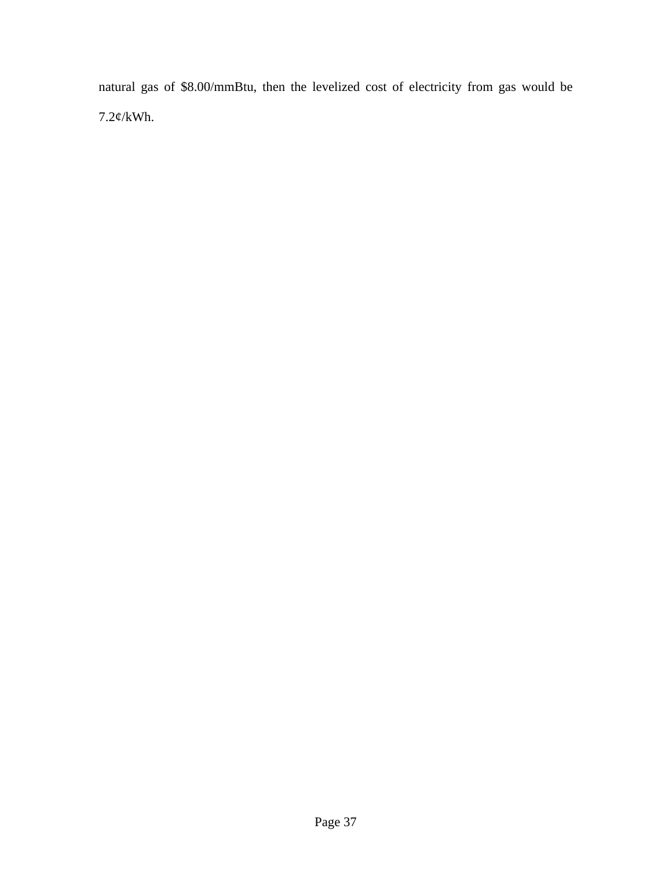natural gas of \$8.00/mmBtu, then the levelized cost of electricity from gas would be  $7.2 \phi/\mathrm{kWh}.$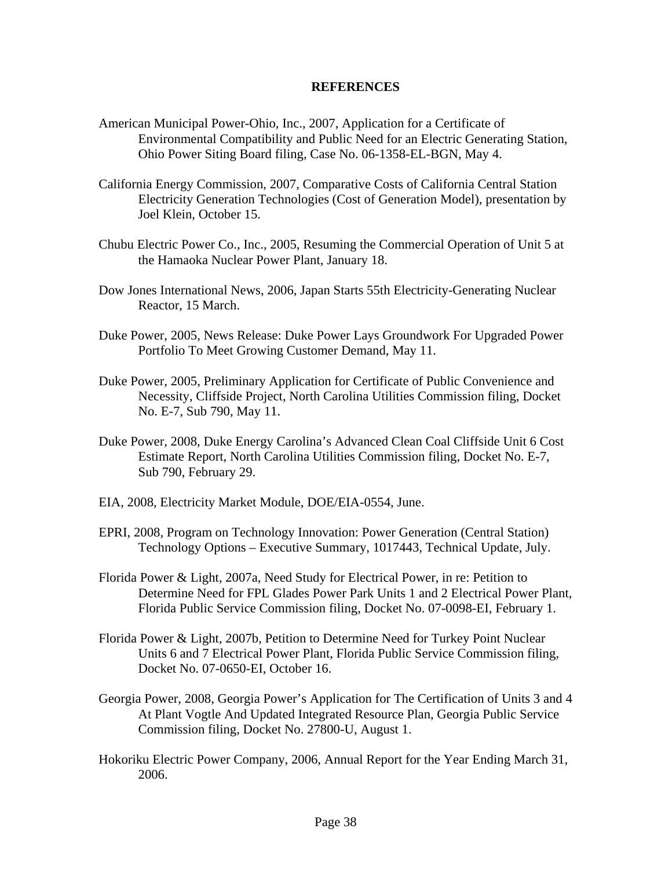# **REFERENCES**

- American Municipal Power-Ohio, Inc., 2007, Application for a Certificate of Environmental Compatibility and Public Need for an Electric Generating Station, Ohio Power Siting Board filing, Case No. 06-1358-EL-BGN, May 4.
- California Energy Commission, 2007, Comparative Costs of California Central Station Electricity Generation Technologies (Cost of Generation Model), presentation by Joel Klein, October 15.
- Chubu Electric Power Co., Inc., 2005, Resuming the Commercial Operation of Unit 5 at the Hamaoka Nuclear Power Plant, January 18.
- Dow Jones International News, 2006, Japan Starts 55th Electricity-Generating Nuclear Reactor, 15 March.
- Duke Power, 2005, News Release: Duke Power Lays Groundwork For Upgraded Power Portfolio To Meet Growing Customer Demand, May 11.
- Duke Power, 2005, Preliminary Application for Certificate of Public Convenience and Necessity, Cliffside Project, North Carolina Utilities Commission filing, Docket No. E-7, Sub 790, May 11.
- Duke Power, 2008, Duke Energy Carolina's Advanced Clean Coal Cliffside Unit 6 Cost Estimate Report, North Carolina Utilities Commission filing, Docket No. E-7, Sub 790, February 29.
- EIA, 2008, Electricity Market Module, DOE/EIA-0554, June.
- EPRI, 2008, Program on Technology Innovation: Power Generation (Central Station) Technology Options – Executive Summary, 1017443, Technical Update, July.
- Florida Power & Light, 2007a, Need Study for Electrical Power, in re: Petition to Determine Need for FPL Glades Power Park Units 1 and 2 Electrical Power Plant, Florida Public Service Commission filing, Docket No. 07-0098-EI, February 1.
- Florida Power & Light, 2007b, Petition to Determine Need for Turkey Point Nuclear Units 6 and 7 Electrical Power Plant, Florida Public Service Commission filing, Docket No. 07-0650-EI, October 16.
- Georgia Power, 2008, Georgia Power's Application for The Certification of Units 3 and 4 At Plant Vogtle And Updated Integrated Resource Plan, Georgia Public Service Commission filing, Docket No. 27800-U, August 1.
- Hokoriku Electric Power Company, 2006, Annual Report for the Year Ending March 31, 2006.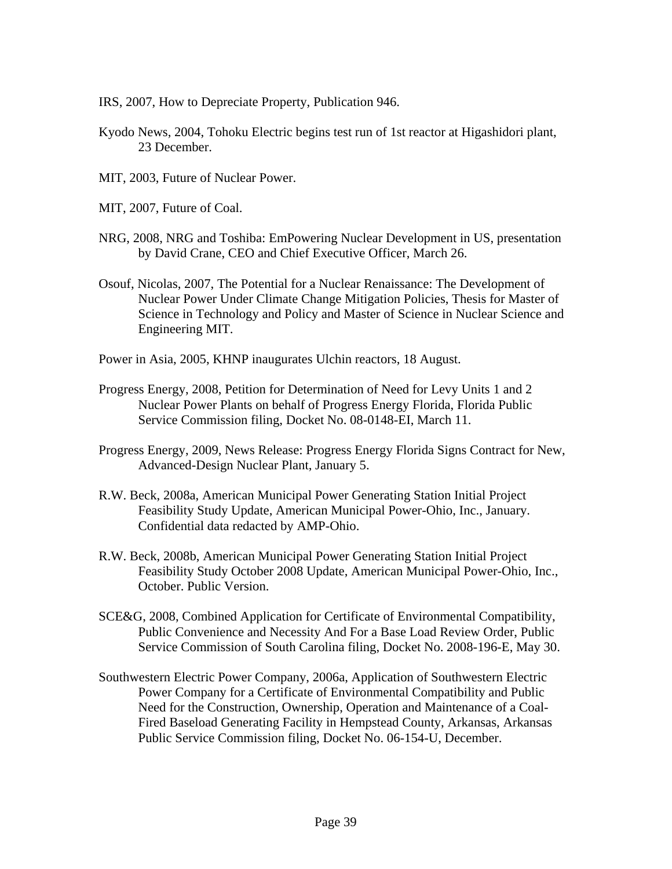IRS, 2007, How to Depreciate Property, Publication 946.

- Kyodo News, 2004, Tohoku Electric begins test run of 1st reactor at Higashidori plant, 23 December.
- MIT, 2003, Future of Nuclear Power.
- MIT, 2007, Future of Coal.
- NRG, 2008, NRG and Toshiba: EmPowering Nuclear Development in US, presentation by David Crane, CEO and Chief Executive Officer, March 26.
- Osouf, Nicolas, 2007, The Potential for a Nuclear Renaissance: The Development of Nuclear Power Under Climate Change Mitigation Policies, Thesis for Master of Science in Technology and Policy and Master of Science in Nuclear Science and Engineering MIT.
- Power in Asia, 2005, KHNP inaugurates Ulchin reactors, 18 August.
- Progress Energy, 2008, Petition for Determination of Need for Levy Units 1 and 2 Nuclear Power Plants on behalf of Progress Energy Florida, Florida Public Service Commission filing, Docket No. 08-0148-EI, March 11.
- Progress Energy, 2009, News Release: Progress Energy Florida Signs Contract for New, Advanced-Design Nuclear Plant, January 5.
- R.W. Beck, 2008a, American Municipal Power Generating Station Initial Project Feasibility Study Update, American Municipal Power-Ohio, Inc., January. Confidential data redacted by AMP-Ohio.
- R.W. Beck, 2008b, American Municipal Power Generating Station Initial Project Feasibility Study October 2008 Update, American Municipal Power-Ohio, Inc., October. Public Version.
- SCE&G, 2008, Combined Application for Certificate of Environmental Compatibility, Public Convenience and Necessity And For a Base Load Review Order, Public Service Commission of South Carolina filing, Docket No. 2008-196-E, May 30.
- Southwestern Electric Power Company, 2006a, Application of Southwestern Electric Power Company for a Certificate of Environmental Compatibility and Public Need for the Construction, Ownership, Operation and Maintenance of a Coal-Fired Baseload Generating Facility in Hempstead County, Arkansas, Arkansas Public Service Commission filing, Docket No. 06-154-U, December.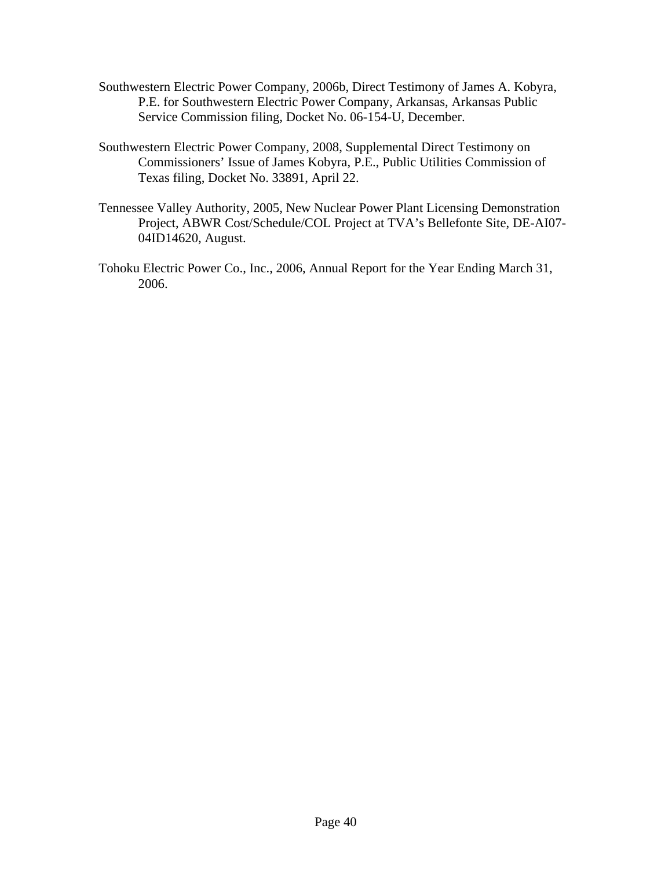- Southwestern Electric Power Company, 2006b, Direct Testimony of James A. Kobyra, P.E. for Southwestern Electric Power Company, Arkansas, Arkansas Public Service Commission filing, Docket No. 06-154-U, December.
- Southwestern Electric Power Company, 2008, Supplemental Direct Testimony on Commissioners' Issue of James Kobyra, P.E., Public Utilities Commission of Texas filing, Docket No. 33891, April 22.
- Tennessee Valley Authority, 2005, New Nuclear Power Plant Licensing Demonstration Project, ABWR Cost/Schedule/COL Project at TVA's Bellefonte Site, DE-AI07- 04ID14620, August.
- Tohoku Electric Power Co., Inc., 2006, Annual Report for the Year Ending March 31, 2006.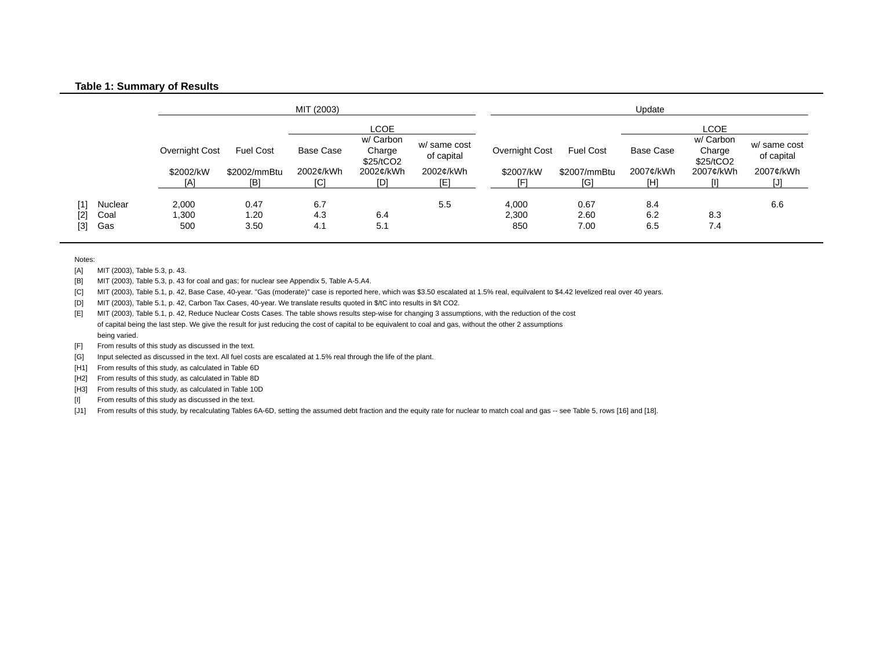### **Table 1: Summary of Results**

|       |         |                |                  | MIT (2003) |                                  |                            |                |                  | Update    |                                  |                            |
|-------|---------|----------------|------------------|------------|----------------------------------|----------------------------|----------------|------------------|-----------|----------------------------------|----------------------------|
|       |         |                |                  |            | <b>LCOE</b>                      |                            |                |                  |           | <b>LCOE</b>                      |                            |
|       |         | Overnight Cost | <b>Fuel Cost</b> | Base Case  | w/ Carbon<br>Charge<br>\$25/tCO2 | w/ same cost<br>of capital | Overnight Cost | <b>Fuel Cost</b> | Base Case | w/ Carbon<br>Charge<br>\$25/tCO2 | w/ same cost<br>of capital |
|       |         | \$2002/kW      | \$2002/mmBtu     | 2002¢/kWh  | 2002¢/kWh                        | 2002¢/kWh                  | \$2007/kW      | \$2007/mmBtu     | 2007¢/kWh | 2007¢/kWh                        | 2007¢/kWh                  |
|       |         | [A]            | [B]              | [C]        | [D]                              | [E]                        |                | [G]              |           |                                  |                            |
| $[1]$ | Nuclear | 2,000          | 0.47             | 6.7        |                                  | 5.5                        | 4,000          | 0.67             | 8.4       |                                  | 6.6                        |
| $[2]$ | Coal    | .300           | 1.20             | 4.3        | 6.4                              |                            | 2,300          | 2.60             | 6.2       | 8.3                              |                            |
| $[3]$ | Gas     | 500            | 3.50             | 4.1        | 5.1                              |                            | 850            | 7.00             | 6.5       | 7.4                              |                            |

Notes:

[A] MIT (2003), Table 5.3, p. 43.

[B] MIT (2003), Table 5.3, p. 43 for coal and gas; for nuclear see Appendix 5, Table A-5.A4.

[C] MIT (2003), Table 5.1, p. 42, Base Case, 40-year. "Gas (moderate)" case is reported here, which was \$3.50 escalated at 1.5% real, equilvalent to \$4.42 levelized real over 40 years.

[D] MIT (2003), Table 5.1, p. 42, Carbon Tax Cases, 40-year. We translate results quoted in \$/tC into results in \$/t CO2.

[E] MIT (2003), Table 5.1, p. 42, Reduce Nuclear Costs Cases. The table shows results step-wise for changing 3 assumptions, with the reduction of the cost of capital being the last step. We give the result for just reducing the cost of capital to be equivalent to coal and gas, without the other 2 assumptions being varied.

[F] From results of this study as discussed in the text.

[G] Input selected as discussed in the text. All fuel costs are escalated at 1.5% real through the life of the plant.

[H1] From results of this study, as calculated in Table 6D

[H2] From results of this study, as calculated in Table 8D

[H3] From results of this study, as calculated in Table 10D

[I] From results of this study as discussed in the text.

[J1] From results of this study, by recalculating Tables 6A-6D, setting the assumed debt fraction and the equity rate for nuclear to match coal and gas -- see Table 5, rows [16] and [18].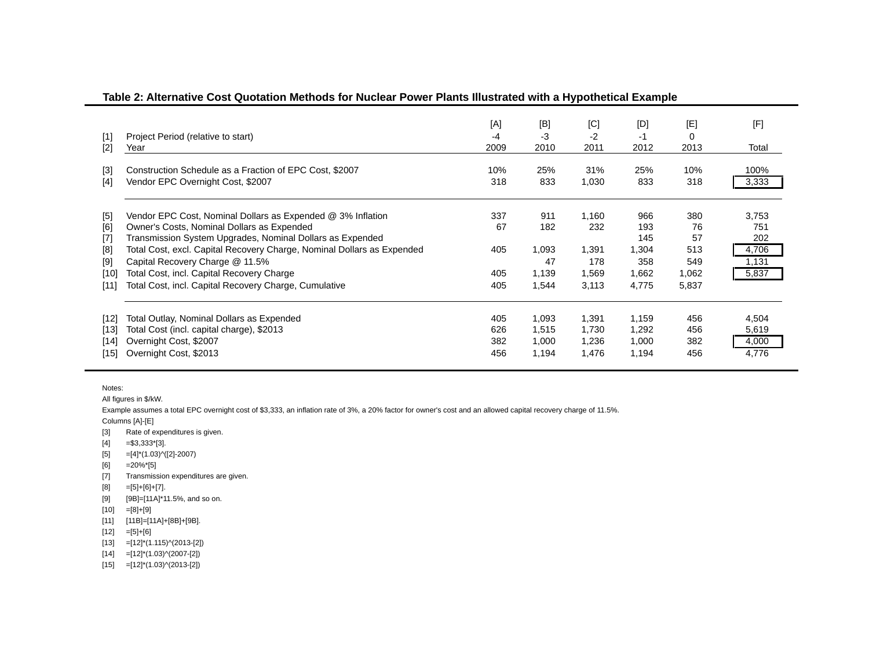## **Table 2: Alternative Cost Quotation Methods for Nuclear Power Plants Illustrated with a Hypothetical Example**

| $[1]$<br>$[2]$                     | Project Period (relative to start)<br>Year                                                                                                                                                                                                       | [A]<br>$-4$<br>2009      | [B]<br>$-3$<br>2010              | [C]<br>$-2$<br>2011              | [D]<br>$-1$<br>2012              | [E]<br>0<br>2013         | [F]<br>Total                     |
|------------------------------------|--------------------------------------------------------------------------------------------------------------------------------------------------------------------------------------------------------------------------------------------------|--------------------------|----------------------------------|----------------------------------|----------------------------------|--------------------------|----------------------------------|
| $[3]$<br>$[4]$                     | Construction Schedule as a Fraction of EPC Cost, \$2007<br>Vendor EPC Overnight Cost, \$2007                                                                                                                                                     | 10%<br>318               | 25%<br>833                       | 31%<br>1,030                     | 25%<br>833                       | 10%<br>318               | 100%<br>3,333                    |
| $[5]$<br>[6]<br>$[7]$<br>[8]       | Vendor EPC Cost, Nominal Dollars as Expended @ 3% Inflation<br>Owner's Costs, Nominal Dollars as Expended<br>Transmission System Upgrades, Nominal Dollars as Expended<br>Total Cost, excl. Capital Recovery Charge, Nominal Dollars as Expended | 337<br>67<br>405         | 911<br>182<br>1,093              | 1.160<br>232<br>1.391            | 966<br>193<br>145<br>1,304       | 380<br>76<br>57<br>513   | 3,753<br>751<br>202<br>4,706     |
| [9]<br>$[10]$<br>[11]              | Capital Recovery Charge @ 11.5%<br>Total Cost, incl. Capital Recovery Charge<br>Total Cost, incl. Capital Recovery Charge, Cumulative                                                                                                            | 405<br>405               | 47<br>1.139<br>1,544             | 178<br>1,569<br>3,113            | 358<br>1,662<br>4,775            | 549<br>1,062<br>5,837    | 1,131<br>5,837                   |
| $[12]$<br>$[13]$<br>$[14]$<br>[15] | Total Outlay, Nominal Dollars as Expended<br>Total Cost (incl. capital charge), \$2013<br>Overnight Cost, \$2007<br>Overnight Cost, \$2013                                                                                                       | 405<br>626<br>382<br>456 | 1,093<br>1,515<br>1,000<br>1,194 | 1,391<br>1,730<br>1,236<br>1,476 | 1,159<br>1,292<br>1,000<br>1,194 | 456<br>456<br>382<br>456 | 4,504<br>5,619<br>4,000<br>4,776 |

### Notes:

All figures in \$/kW.

Example assumes a total EPC overnight cost of \$3,333, an inflation rate of 3%, a 20% factor for owner's cost and an allowed capital recovery charge of 11.5%.

Columns [A]-[E]

- [3] Rate of expenditures is given.
- $[4]$  =\$3,333\*[3].
- $[5]$  =[4]\*(1.03)^([2]-2007)
- $[6]$  =20%\*[5]
- [7] Transmission expenditures are given.
- $[8] = [5]+[6]+[7].$
- [9] [9B]=[11A]\*11.5%, and so on.
- $[10] = [8]+[9]$
- [11] [11B]=[11A]+[8B]+[9B].
- $[12] = [5]+[6]$
- $[13] = [12]^*(1.115)^(2013-[2])$
- $[14]$  =[12]\*(1.03)^(2007-[2])
- $[15]$  =[12]\*(1.03)^(2013-[2])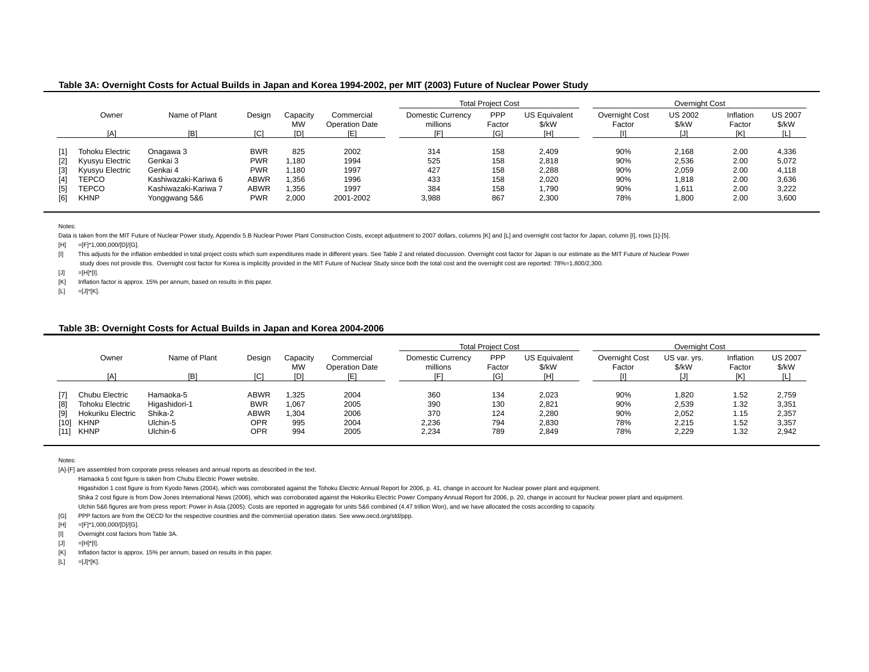#### **Table 3A: Overnight Costs for Actual Builds in Japan and Korea 1994-2002, per MIT (2003) Future of Nuclear Power Study**

|       |                 |                      |             |                       |                                     |                                      | <b>Total Project Cost</b> |                               |                          | Overnight Cost          |                     |                         |
|-------|-----------------|----------------------|-------------|-----------------------|-------------------------------------|--------------------------------------|---------------------------|-------------------------------|--------------------------|-------------------------|---------------------|-------------------------|
|       | Owner           | Name of Plant        | Design      | Capacity<br><b>MW</b> | Commercial<br><b>Operation Date</b> | <b>Domestic Currency</b><br>millions | <b>PPP</b><br>Factor      | <b>US Equivalent</b><br>\$/kW | Overnight Cost<br>Factor | <b>US 2002</b><br>\$/kW | Inflation<br>Factor | <b>US 2007</b><br>\$/kW |
|       | [A]             | [B]                  | [C]         | [D]                   | [E]                                 |                                      | [G]                       | ſΗl                           |                          | [J]                     | [K]                 | [L]                     |
| $[1]$ | Tohoku Electric | Onagawa 3            | <b>BWR</b>  | 825                   | 2002                                | 314                                  | 158                       | 2.409                         | 90%                      | 2,168                   | 2.00                | 4,336                   |
| $[2]$ | Kyusyu Electric | Genkai 3             | <b>PWR</b>  | 1,180                 | 1994                                | 525                                  | 158                       | 2,818                         | 90%                      | 2,536                   | 2.00                | 5,072                   |
| [3]   | Kyusyu Electric | Genkai 4             | <b>PWR</b>  | 1,180                 | 1997                                | 427                                  | 158                       | 2,288                         | 90%                      | 2,059                   | 2.00                | 4,118                   |
| [4]   | TEPCO           | Kashiwazaki-Kariwa 6 | <b>ABWR</b> | 1,356                 | 1996                                | 433                                  | 158                       | 2.020                         | 90%                      | 1,818                   | 2.00                | 3,636                   |
| [5]   | TEPCO           | Kashiwazaki-Kariwa 7 | <b>ABWR</b> | 1,356                 | 1997                                | 384                                  | 158                       | 1,790                         | 90%                      | 1,611                   | 2.00                | 3,222                   |
| [6]   | <b>KHNP</b>     | Yonggwang 5&6        | <b>PWR</b>  | 2,000                 | 2001-2002                           | 3,988                                | 867                       | 2,300                         | 78%                      | 1,800                   | 2.00                | 3,600                   |

Notes:

Data is taken from the MIT Future of Nuclear Power study, Appendix 5.B Nuclear Power Plant Construction Costs, except adjustment to 2007 dollars, columns [K] and JL] and overnight cost factor for Japan, column [I], rows [1

[H] =[F]\*1,000,000/[D]/[G].

[I] This adjusts for the inflation embedded in total project costs which sum expenditures made in different years. See Table 2 and related discussion. Overnight cost factor for Japan is our estimate as the MIT Future of Nu study does not provide this. Overnight cost factor for Korea is implicitly provided in the MIT Future of Nuclear Study since both the total cost and the overnight cost are reported: 78%=1,800/2,300.

 $[J] = [H]^*[1].$ 

[K] Inflation factor is approx. 15% per annum, based on results in this paper.

 $[L]$  =[J]\*[K].

#### **Table 3B: Overnight Costs for Actual Builds in Japan and Korea 2004-2006**

|            |                        |               |             |                       |                                     |                               | <b>Total Project Cost</b> |                               |                          | Overnight Cost        |                     |                         |
|------------|------------------------|---------------|-------------|-----------------------|-------------------------------------|-------------------------------|---------------------------|-------------------------------|--------------------------|-----------------------|---------------------|-------------------------|
|            | Owner                  | Name of Plant | Design      | Capacity<br><b>MW</b> | Commercial<br><b>Operation Date</b> | Domestic Currency<br>millions | PPP<br>Factor             | <b>US Equivalent</b><br>\$/kW | Overnight Cost<br>Factor | US var. yrs.<br>\$/kW | Inflation<br>Factor | <b>US 2007</b><br>\$/kW |
|            | ſА.                    | IB.           | [C]         | וסו                   |                                     |                               | [G]                       | [H]                           |                          |                       | [K]                 |                         |
| $\sqrt{7}$ | Chubu Electric         | Hamaoka-5     | <b>ABWR</b> | 1,325                 | 2004                                | 360                           | 134                       | 2,023                         | 90%                      | 1,820                 | 1.52                | 2,759                   |
| [8]        | <b>Tohoku Electric</b> | Higashidori-1 | <b>BWR</b>  | 1,067                 | 2005                                | 390                           | 130                       | 2,821                         | 90%                      | 2,539                 | 1.32                | 3,351                   |
| [9]        | Hokuriku Electric      | Shika-2       | <b>ABWR</b> | 1,304                 | 2006                                | 370                           | 124                       | 2,280                         | 90%                      | 2,052                 | 1.15                | 2,357                   |
|            | [10] KHNP              | Ulchin-5      | <b>OPR</b>  | 995                   | 2004                                | 2.236                         | 794                       | 2,830                         | 78%                      | 2,215                 | 1.52                | 3,357                   |
|            | $[11]$ KHNP            | Ulchin-6      | OPR         | 994                   | 2005                                | 2,234                         | 789                       | 2,849                         | 78%                      | 2,229                 | 1.32                | 2,942                   |

Notes:

[A]-[F] are assembled from corporate press releases and annual reports as described in the text.

Hamaoka 5 cost figure is taken from Chubu Electric Power website.

Higashidori 1 cost figure is from Kyodo News (2004), which was corroborated against the Tohoku Electric Annual Report for 2006, p. 41, change in account for Nuclear power plant and equipment.

Shika 2 cost figure is from Dow Jones International News (2006), which was corroborated against the Hokoriku Electric Power Company Annual Report for 2006, p. 20, change in account for Nuclear power plant and equipment.

Ulchin 5&6 figures are from press report: Power in Asia (2005). Costs are reported in aggregate for units 5&6 combined (4.47 trillion Won), and we have allocated the costs according to capacity.

[G] PPP factors are from the OECD for the respective countries and the commercial operation dates. See www.oecd.org/std/ppp.

[H] =[F]\*1,000,000/[D]/[G].

[I] Overnight cost factors from Table 3A.

 $[J] = [H]^*[1].$ 

[K] Inflation factor is approx. 15% per annum, based on results in this paper.

 $[L]$  =[J]\*[K].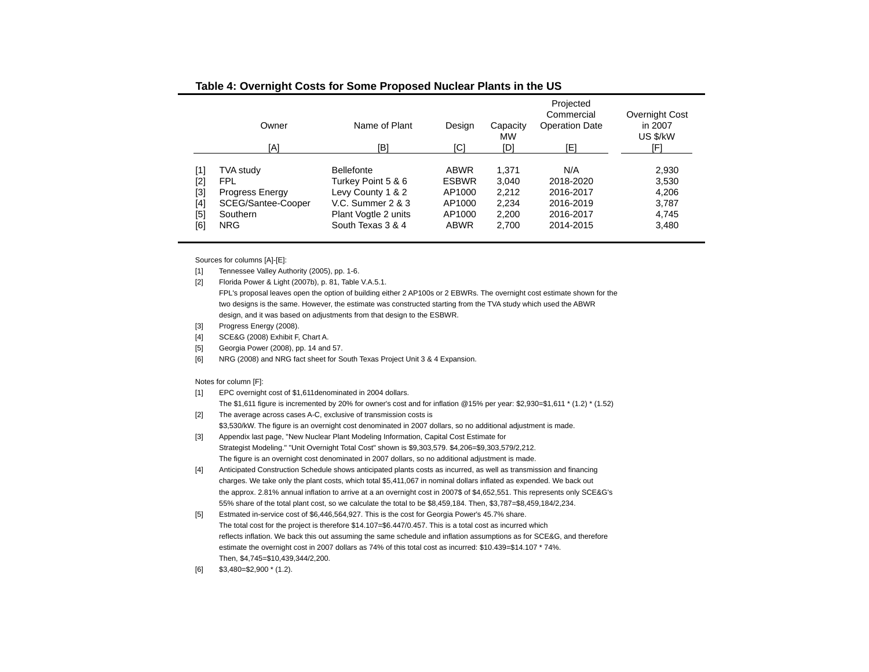|                                          | Owner                                                                                             | Name of Plant                                                                                                                  | Design                                                     | Capacity<br><b>MW</b>                              | Projected<br>Commercial<br><b>Operation Date</b>                     | Overnight Cost<br>in 2007<br>US \$/kW              |
|------------------------------------------|---------------------------------------------------------------------------------------------------|--------------------------------------------------------------------------------------------------------------------------------|------------------------------------------------------------|----------------------------------------------------|----------------------------------------------------------------------|----------------------------------------------------|
|                                          | [A]                                                                                               | [B]                                                                                                                            | [C]                                                        | וסז                                                | [E]                                                                  | [F]                                                |
| [1]<br>[2]<br>[3]<br>[4]<br>$[5]$<br>[6] | TVA study<br><b>FPL</b><br><b>Progress Energy</b><br>SCEG/Santee-Cooper<br>Southern<br><b>NRG</b> | <b>Bellefonte</b><br>Turkey Point 5 & 6<br>Levy County 1 & 2<br>V.C. Summer 2 & 3<br>Plant Vogtle 2 units<br>South Texas 3 & 4 | ABWR<br><b>ESBWR</b><br>AP1000<br>AP1000<br>AP1000<br>ABWR | 1,371<br>3,040<br>2,212<br>2,234<br>2.200<br>2,700 | N/A<br>2018-2020<br>2016-2017<br>2016-2019<br>2016-2017<br>2014-2015 | 2,930<br>3,530<br>4,206<br>3,787<br>4.745<br>3,480 |

### **Table 4: Overnight Costs for Some Proposed Nuclear Plants in the US**

Sources for columns [A]-[E]:

- [1] Tennessee Valley Authority (2005), pp. 1-6.
- [2] Florida Power & Light (2007b), p. 81, Table V.A.5.1. FPL's proposal leaves open the option of building either 2 AP100s or 2 EBWRs. The overnight cost estimate shown for the two designs is the same. However, the estimate was constructed starting from the TVA study which used the ABWR design, and it was based on adjustments from that design to the ESBWR.
- [3] Progress Energy (2008).
- [4] SCE&G (2008) Exhibit F, Chart A.
- [5] Georgia Power (2008), pp. 14 and 57.
- [6] NRG (2008) and NRG fact sheet for South Texas Project Unit 3 & 4 Expansion.

#### Notes for column [F]:

- [1] EPC overnight cost of \$1,611denominated in 2004 dollars.
- The \$1,611 figure is incremented by 20% for owner's cost and for inflation @15% per year: \$2,930=\$1,611 \* (1.2) \* (1.52) [2] The average across cases A-C, exclusive of transmission costs is
- \$3,530/kW. The figure is an overnight cost denominated in 2007 dollars, so no additional adjustment is made.
- [3] Appendix last page, "New Nuclear Plant Modeling Information, Capital Cost Estimate for Strategist Modeling." "Unit Overnight Total Cost" shown is \$9,303,579. \$4,206=\$9,303,579/2,212. The figure is an overnight cost denominated in 2007 dollars, so no additional adjustment is made.
- [4] Anticipated Construction Schedule shows anticipated plants costs as incurred, as well as transmission and financing charges. We take only the plant costs, which total \$5,411,067 in nominal dollars inflated as expended. We back out the approx. 2.81% annual inflation to arrive at a an overnight cost in 2007\$ of \$4,652,551. This represents only SCE&G's 55% share of the total plant cost, so we calculate the total to be \$8,459,184. Then, \$3,787=\$8,459,184/2,234.
- [5] Estmated in-service cost of \$6,446,564,927. This is the cost for Georgia Power's 45.7% share. The total cost for the project is therefore \$14.107=\$6.447/0.457. This is a total cost as incurred which reflects inflation. We back this out assuming the same schedule and inflation assumptions as for SCE&G, and therefore estimate the overnight cost in 2007 dollars as 74% of this total cost as incurred: \$10.439=\$14.107 \* 74%. Then, \$4,745=\$10,439,344/2,200.
- $[6]$  \$3,480=\$2,900  $*(1.2)$ .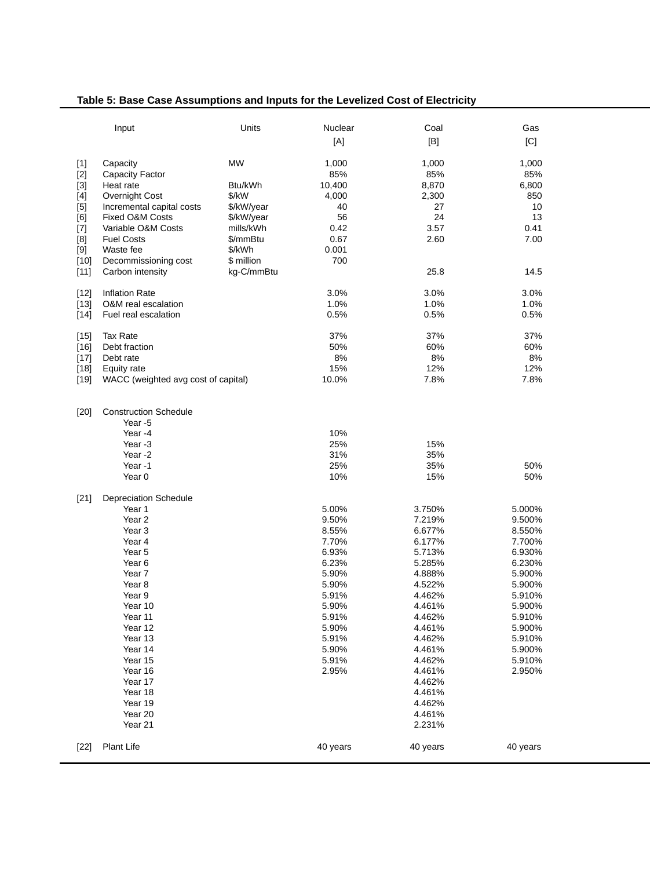| Table 5: Base Case Assumptions and Inputs for the Levelized Cost of Electricity |  |
|---------------------------------------------------------------------------------|--|
|                                                                                 |  |

|                                                                                               | Input                                                                                                                                                                                                                                                                 | Units                                                                                                             | Nuclear<br>[A]                                                                                                                               | Coal<br>[B]                                                                                                                                                                                                    | Gas<br>[C]                                                                                                                                                   |
|-----------------------------------------------------------------------------------------------|-----------------------------------------------------------------------------------------------------------------------------------------------------------------------------------------------------------------------------------------------------------------------|-------------------------------------------------------------------------------------------------------------------|----------------------------------------------------------------------------------------------------------------------------------------------|----------------------------------------------------------------------------------------------------------------------------------------------------------------------------------------------------------------|--------------------------------------------------------------------------------------------------------------------------------------------------------------|
| $[1]$<br>$[2]$<br>$[3]$<br>$[4]$<br>$[5]$<br>[6]<br>$[7]$<br>[8]<br>$[9]$<br>$[10]$<br>$[11]$ | Capacity<br><b>Capacity Factor</b><br>Heat rate<br>Overnight Cost<br>Incremental capital costs<br>Fixed O&M Costs<br>Variable O&M Costs<br><b>Fuel Costs</b><br>Waste fee<br>Decommissioning cost<br>Carbon intensity                                                 | MW<br>Btu/kWh<br>\$/kW<br>\$/kW/year<br>\$/kW/year<br>mills/kWh<br>\$/mmBtu<br>\$/kWh<br>\$ million<br>kg-C/mmBtu | 1,000<br>85%<br>10,400<br>4,000<br>40<br>56<br>0.42<br>0.67<br>0.001<br>700                                                                  | 1,000<br>85%<br>8,870<br>2,300<br>27<br>24<br>3.57<br>2.60<br>25.8                                                                                                                                             | 1,000<br>85%<br>6,800<br>850<br>10<br>13<br>0.41<br>7.00<br>14.5                                                                                             |
| $[12]$<br>$[13]$<br>$[14]$                                                                    | <b>Inflation Rate</b><br>O&M real escalation<br>Fuel real escalation                                                                                                                                                                                                  |                                                                                                                   | 3.0%<br>1.0%<br>0.5%                                                                                                                         | 3.0%<br>1.0%<br>0.5%                                                                                                                                                                                           | 3.0%<br>1.0%<br>0.5%                                                                                                                                         |
| $[15]$<br>$[16]$<br>$[17]$<br>$[18]$<br>$[19]$                                                | <b>Tax Rate</b><br>Debt fraction<br>Debt rate<br>Equity rate<br>WACC (weighted avg cost of capital)                                                                                                                                                                   |                                                                                                                   | 37%<br>50%<br>8%<br>15%<br>10.0%                                                                                                             | 37%<br>60%<br>8%<br>12%<br>7.8%                                                                                                                                                                                | 37%<br>60%<br>8%<br>12%<br>7.8%                                                                                                                              |
| $[20]$                                                                                        | <b>Construction Schedule</b><br>Year -5<br>Year -4<br>Year -3<br>Year -2<br>Year -1<br>Year 0                                                                                                                                                                         |                                                                                                                   | 10%<br>25%<br>31%<br>25%<br>10%                                                                                                              | 15%<br>35%<br>35%<br>15%                                                                                                                                                                                       | 50%<br>50%                                                                                                                                                   |
| $[21]$                                                                                        | <b>Depreciation Schedule</b><br>Year 1<br>Year 2<br>Year 3<br>Year 4<br>Year 5<br>Year 6<br>Year 7<br>Year <sub>8</sub><br>Year 9<br>Year 10<br>Year 11<br>Year 12<br>Year 13<br>Year 14<br>Year 15<br>Year 16<br>Year 17<br>Year 18<br>Year 19<br>Year 20<br>Year 21 |                                                                                                                   | 5.00%<br>9.50%<br>8.55%<br>7.70%<br>6.93%<br>6.23%<br>5.90%<br>5.90%<br>5.91%<br>5.90%<br>5.91%<br>5.90%<br>5.91%<br>5.90%<br>5.91%<br>2.95% | 3.750%<br>7.219%<br>6.677%<br>6.177%<br>5.713%<br>5.285%<br>4.888%<br>4.522%<br>4.462%<br>4.461%<br>4.462%<br>4.461%<br>4.462%<br>4.461%<br>4.462%<br>4.461%<br>4.462%<br>4.461%<br>4.462%<br>4.461%<br>2.231% | 5.000%<br>9.500%<br>8.550%<br>7.700%<br>6.930%<br>6.230%<br>5.900%<br>5.900%<br>5.910%<br>5.900%<br>5.910%<br>5.900%<br>5.910%<br>5.900%<br>5.910%<br>2.950% |
| $[22]$                                                                                        | <b>Plant Life</b>                                                                                                                                                                                                                                                     |                                                                                                                   | 40 years                                                                                                                                     | 40 years                                                                                                                                                                                                       | 40 years                                                                                                                                                     |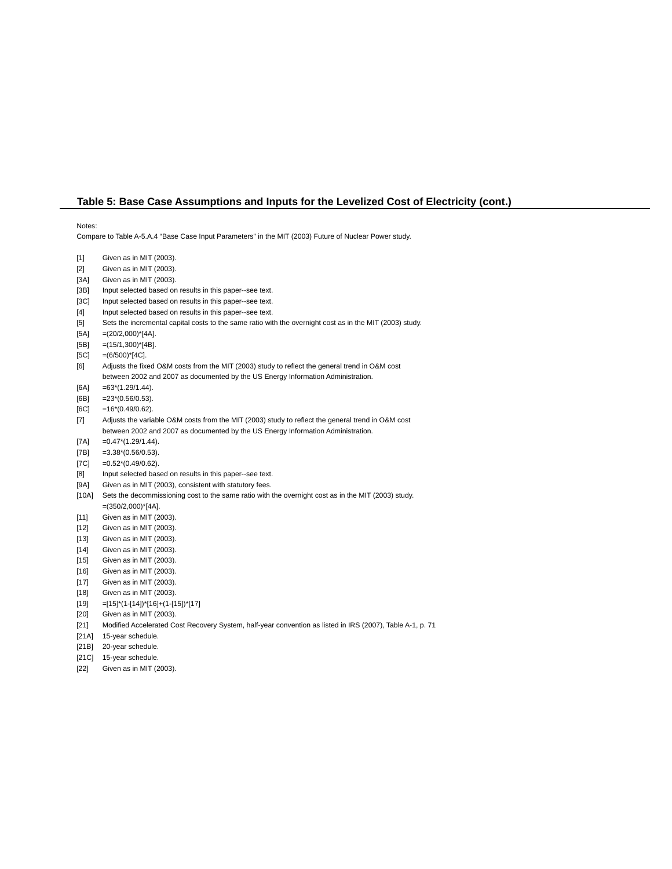### **Table 5: Base Case Assumptions and Inputs for the Levelized Cost of Electricity (cont.)**

Notes: Compare to Table A-5.A.4 "Base Case Input Parameters" in the MIT (2003) Future of Nuclear Power study. [1] Given as in MIT (2003). [2] Given as in MIT (2003). [3A] Given as in MIT (2003). [3B] Input selected based on results in this paper--see text. [3C] Input selected based on results in this paper--see text. [4] Input selected based on results in this paper--see text. [5] Sets the incremental capital costs to the same ratio with the overnight cost as in the MIT (2003) study.  $[5A] = (20/2,000)^*[4A].$ [5B] =(15/1,300)\*[4B].  $[5C] = (6/500)^*[4C].$ [6] Adjusts the fixed O&M costs from the MIT (2003) study to reflect the general trend in O&M cost between 2002 and 2007 as documented by the US Energy Information Administration.  $[6A]$  =63\*(1.29/1.44).  $[6B]$  =23\*(0.56/0.53).  $[6C]$  =16\*(0.49/0.62). [7] Adjusts the variable O&M costs from the MIT (2003) study to reflect the general trend in O&M cost between 2002 and 2007 as documented by the US Energy Information Administration.  $[7A] = 0.47*(1.29/1.44).$  $[7B]$  =3.38\*(0.56/0.53).  $[7C] = 0.52*(0.49/0.62).$ [8] Input selected based on results in this paper--see text. [9A] Given as in MIT (2003), consistent with statutory fees. [10A] Sets the decommissioning cost to the same ratio with the overnight cost as in the MIT (2003) study. =(350/2,000)\*[4A]. [11] Given as in MIT (2003). [12] Given as in MIT (2003). [13] Given as in MIT (2003). [14] Given as in MIT (2003). [15] Given as in MIT (2003). [16] Given as in MIT (2003). [17] Given as in MIT (2003). [18] Given as in MIT (2003).  $[19]$  =[15]\*(1-[14])\*[16]+(1-[15])\*[17] [20] Given as in MIT (2003). [21] Modified Accelerated Cost Recovery System, half-year convention as listed in IRS (2007), Table A-1, p. 71 [21A] 15-year schedule. [21B] 20-year schedule. [21C] 15-year schedule.

[22] Given as in MIT (2003).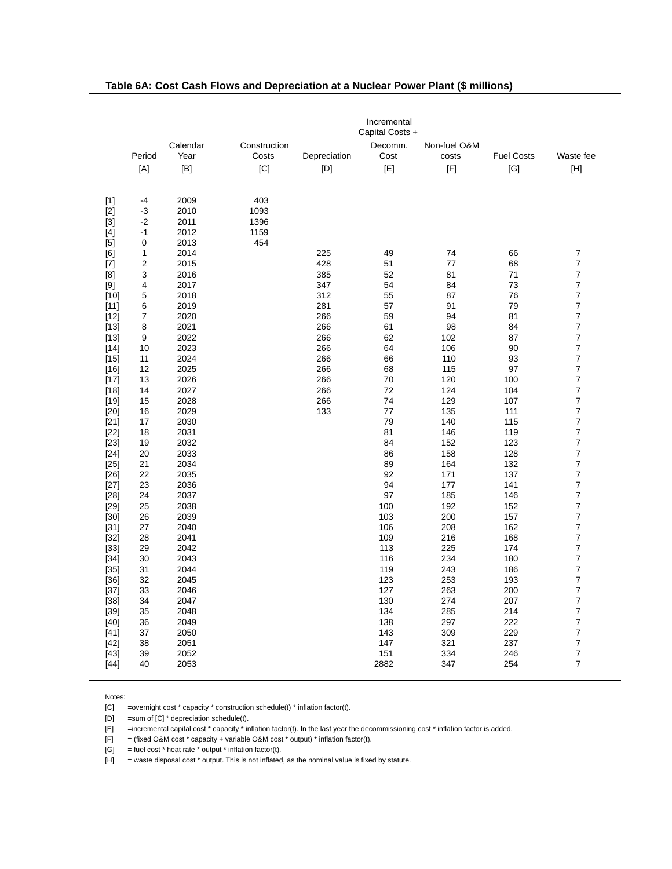|                                                                                                                                                                                                            |                     |              |              |              | Incremental<br>Capital Costs + |              |                   |                     |
|------------------------------------------------------------------------------------------------------------------------------------------------------------------------------------------------------------|---------------------|--------------|--------------|--------------|--------------------------------|--------------|-------------------|---------------------|
|                                                                                                                                                                                                            |                     | Calendar     | Construction |              | Decomm.                        | Non-fuel O&M |                   |                     |
|                                                                                                                                                                                                            | Period              | Year         | Costs        | Depreciation | Cost                           | costs        | <b>Fuel Costs</b> | Waste fee           |
|                                                                                                                                                                                                            | [A]                 | [B]          | [C]          | [D]          | [E]                            | [F]          | [G]               |                     |
| [1]                                                                                                                                                                                                        | $-4$                | 2009         | 403          |              |                                |              |                   |                     |
| $[2]$                                                                                                                                                                                                      | $-3$                | 2010         | 1093         |              |                                |              |                   |                     |
| [3]                                                                                                                                                                                                        | $-2$                | 2011         | 1396         |              |                                |              |                   |                     |
| $[4] % \begin{center} \includegraphics[width=\linewidth]{imagesSupplemental/Imetad-Architecture.png} \end{center} % \caption { % \textit{DefNet} and { \textit{DefNet}~Supplemental} \label{fig:DefNet} %$ | -1                  | 2012         | 1159         |              |                                |              |                   |                     |
| [5]                                                                                                                                                                                                        | $\mathbf 0$         | 2013         | 454          |              |                                |              |                   |                     |
| [6]                                                                                                                                                                                                        | $\mathbf{1}$        | 2014         |              | 225          | 49                             | 74           | 66                | 7                   |
| [7]                                                                                                                                                                                                        | $\overline{c}$      | 2015         |              | 428          | 51                             | 77           | 68                | $\overline{7}$      |
| [8]                                                                                                                                                                                                        | 3                   | 2016         |              | 385          | 52                             | 81           | 71                | 7                   |
| [9]                                                                                                                                                                                                        | 4                   | 2017         |              | 347          | 54                             | 84           | 73                | 7                   |
| $[10]$                                                                                                                                                                                                     | 5                   | 2018         |              | 312          | 55                             | 87           | 76                | 7                   |
| $[11]$                                                                                                                                                                                                     | 6                   | 2019         |              | 281          | 57                             | 91           | 79                | 7<br>$\overline{7}$ |
| $[12]$                                                                                                                                                                                                     | $\overline{7}$<br>8 | 2020         |              | 266<br>266   | 59<br>61                       | 94           | 81<br>84          | 7                   |
| [13]<br>$[13]$                                                                                                                                                                                             | 9                   | 2021<br>2022 |              | 266          | 62                             | 98<br>102    | 87                | 7                   |
| [14]                                                                                                                                                                                                       | 10                  | 2023         |              | 266          | 64                             | 106          | 90                | 7                   |
| $[15]$                                                                                                                                                                                                     | 11                  | 2024         |              | 266          | 66                             | 110          | 93                | 7                   |
| [16]                                                                                                                                                                                                       | 12                  | 2025         |              | 266          | 68                             | 115          | 97                | $\overline{7}$      |
| $[17]$                                                                                                                                                                                                     | 13                  | 2026         |              | 266          | 70                             | 120          | 100               | $\overline{7}$      |
| [18]                                                                                                                                                                                                       | 14                  | 2027         |              | 266          | 72                             | 124          | 104               | 7                   |
| $[19]$                                                                                                                                                                                                     | 15                  | 2028         |              | 266          | 74                             | 129          | 107               | 7                   |
| [20]                                                                                                                                                                                                       | 16                  | 2029         |              | 133          | 77                             | 135          | 111               | 7                   |
| [21]                                                                                                                                                                                                       | 17                  | 2030         |              |              | 79                             | 140          | 115               | 7                   |
| $[22]$                                                                                                                                                                                                     | 18                  | 2031         |              |              | 81                             | 146          | 119               | $\overline{7}$      |
| $[23]$                                                                                                                                                                                                     | 19                  | 2032         |              |              | 84                             | 152          | 123               | 7                   |
| [24]                                                                                                                                                                                                       | 20                  | 2033         |              |              | 86                             | 158          | 128               | 7                   |
| [25]                                                                                                                                                                                                       | 21                  | 2034         |              |              | 89                             | 164          | 132               | 7                   |
| [26]                                                                                                                                                                                                       | 22                  | 2035         |              |              | 92                             | 171          | 137               | 7                   |
| [27]                                                                                                                                                                                                       | 23                  | 2036         |              |              | 94                             | 177          | 141               | $\overline{7}$      |
| $[28]$                                                                                                                                                                                                     | 24                  | 2037         |              |              | 97                             | 185          | 146               | 7                   |
| [29]                                                                                                                                                                                                       | 25                  | 2038         |              |              | 100                            | 192          | 152               | $\overline{7}$      |
| [30]                                                                                                                                                                                                       | 26                  | 2039         |              |              | 103                            | 200          | 157               | $\overline{7}$      |
| [31]                                                                                                                                                                                                       | 27<br>28            | 2040<br>2041 |              |              | 106<br>109                     | 208<br>216   | 162               | 7<br>$\overline{7}$ |
| $[32]$<br>$[33]$                                                                                                                                                                                           | 29                  | 2042         |              |              | 113                            | 225          | 168<br>174        | 7                   |
| $[34]$                                                                                                                                                                                                     | 30                  | 2043         |              |              | 116                            | 234          | 180               | 7                   |
| [35]                                                                                                                                                                                                       | 31                  | 2044         |              |              | 119                            | 243          | 186               | 7                   |
| [36]                                                                                                                                                                                                       | 32                  | 2045         |              |              | 123                            | 253          | 193               | 7                   |
| [37]                                                                                                                                                                                                       | 33                  | 2046         |              |              | 127                            | 263          | 200               | $\overline{7}$      |
| $[38]$                                                                                                                                                                                                     | 34                  | 2047         |              |              | 130                            | 274          | 207               | 7                   |
| $[39]$                                                                                                                                                                                                     | 35                  | 2048         |              |              | 134                            | 285          | 214               | 7                   |
| $[40]$                                                                                                                                                                                                     | 36                  | 2049         |              |              | 138                            | 297          | 222               | $\overline{7}$      |
| [41]                                                                                                                                                                                                       | 37                  | 2050         |              |              | 143                            | 309          | 229               | 7                   |
| [42]                                                                                                                                                                                                       | 38                  | 2051         |              |              | 147                            | 321          | 237               | 7                   |
| [43]                                                                                                                                                                                                       | 39                  | 2052         |              |              | 151                            | 334          | 246               | 7                   |
| [44]                                                                                                                                                                                                       | 40                  | 2053         |              |              | 2882                           | 347          | 254               | $\overline{7}$      |

### **Table 6A: Cost Cash Flows and Depreciation at a Nuclear Power Plant (\$ millions)**

Notes:

[C] =overnight cost  $*$  capacity  $*$  construction schedule(t)  $*$  inflation factor(t).

[D] =sum of [C] \* depreciation schedule(t).

[E] =incremental capital cost \* capacity \* inflation factor(t). In the last year the decommissioning cost \* inflation factor is added.

 $[F]$  = (fixed O&M cost \* capacity + variable O&M cost \* output) \* inflation factor(t).

 $[G]$  = fuel cost \* heat rate \* output \* inflation factor(t).

[H] = waste disposal cost \* output. This is not inflated, as the nominal value is fixed by statute.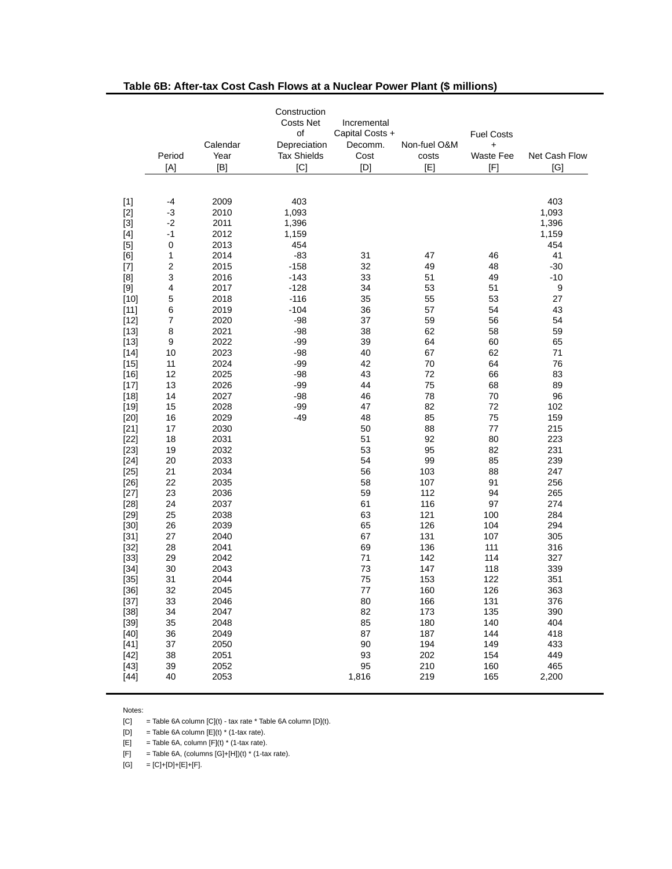|                                                                                                                                                                                                    | Period                    | Calendar<br>Year | Construction<br><b>Costs Net</b><br>of<br>Depreciation<br><b>Tax Shields</b> | Incremental<br>Capital Costs +<br>Decomm.<br>Cost | Non-fuel O&M<br>costs | <b>Fuel Costs</b><br>$\ddot{}$<br>Waste Fee | Net Cash Flow |
|----------------------------------------------------------------------------------------------------------------------------------------------------------------------------------------------------|---------------------------|------------------|------------------------------------------------------------------------------|---------------------------------------------------|-----------------------|---------------------------------------------|---------------|
|                                                                                                                                                                                                    | [A]                       | [B]              | [C]                                                                          | [D]                                               | [E]                   | [F]                                         | [G]           |
|                                                                                                                                                                                                    |                           |                  |                                                                              |                                                   |                       |                                             |               |
| $[1]$                                                                                                                                                                                              | -4                        | 2009             | 403                                                                          |                                                   |                       |                                             | 403           |
| $[2]$                                                                                                                                                                                              | $-3$                      | 2010             | 1,093                                                                        |                                                   |                       |                                             | 1,093         |
| $[3]$                                                                                                                                                                                              | $-2$                      | 2011             | 1,396                                                                        |                                                   |                       |                                             | 1,396         |
| $[4]$                                                                                                                                                                                              | $-1$                      | 2012             | 1,159                                                                        |                                                   |                       |                                             | 1,159         |
| $[5]$                                                                                                                                                                                              | $\pmb{0}$                 | 2013             | 454                                                                          |                                                   |                       |                                             | 454           |
| [6]                                                                                                                                                                                                | 1                         | 2014             | $-83$                                                                        | 31                                                | 47                    | 46                                          | 41            |
| $[7] \centering% \includegraphics[width=1\textwidth]{images/TransY.pdf} \caption{The first two different values of $d=3$ and $d=4$ (left) and $d=5$ (right) and $d=6$ (right).} \label{fig:class}$ | $\boldsymbol{2}$          | 2015             | $-158$                                                                       | 32                                                | 49                    | 48                                          | $-30$         |
| [8]                                                                                                                                                                                                | $\ensuremath{\mathsf{3}}$ | 2016             | $-143$                                                                       | 33                                                | 51                    | 49                                          | $-10$         |
| $[9]$                                                                                                                                                                                              | $\overline{\mathbf{4}}$   | 2017             | $-128$                                                                       | 34                                                | 53                    | 51                                          | 9             |
| $[10]$                                                                                                                                                                                             | 5<br>6                    | 2018<br>2019     | $-116$<br>$-104$                                                             | 35<br>36                                          | 55<br>57              | 53<br>54                                    | 27<br>43      |
| $[11]$<br>$[12]$                                                                                                                                                                                   | $\overline{7}$            | 2020             | $-98$                                                                        | 37                                                | 59                    | 56                                          | 54            |
| $[13]$                                                                                                                                                                                             | 8                         | 2021             | -98                                                                          | 38                                                | 62                    | 58                                          | 59            |
| $[13]$                                                                                                                                                                                             | 9                         | 2022             | -99                                                                          | 39                                                | 64                    | 60                                          | 65            |
| $[14]$                                                                                                                                                                                             | 10                        | 2023             | -98                                                                          | 40                                                | 67                    | 62                                          | 71            |
| $[15]$                                                                                                                                                                                             | 11                        | 2024             | -99                                                                          | 42                                                | 70                    | 64                                          | 76            |
| $[16]$                                                                                                                                                                                             | 12                        | 2025             | -98                                                                          | 43                                                | 72                    | 66                                          | 83            |
| $[17]$                                                                                                                                                                                             | 13                        | 2026             | $-99$                                                                        | 44                                                | 75                    | 68                                          | 89            |
| $[18]$                                                                                                                                                                                             | 14                        | 2027             | $-98$                                                                        | 46                                                | 78                    | 70                                          | 96            |
| $[19]$                                                                                                                                                                                             | 15                        | 2028             | -99                                                                          | 47                                                | 82                    | 72                                          | 102           |
| $[20]$                                                                                                                                                                                             | 16                        | 2029             | $-49$                                                                        | 48                                                | 85                    | 75                                          | 159           |
| $[21]$                                                                                                                                                                                             | 17                        | 2030             |                                                                              | 50                                                | 88                    | 77                                          | 215           |
| $[22]$                                                                                                                                                                                             | 18                        | 2031             |                                                                              | 51                                                | 92                    | 80                                          | 223           |
| $[23]$                                                                                                                                                                                             | 19                        | 2032             |                                                                              | 53                                                | 95                    | 82                                          | 231           |
| $[24]$                                                                                                                                                                                             | 20                        | 2033             |                                                                              | 54                                                | 99                    | 85                                          | 239           |
| $[25]$                                                                                                                                                                                             | 21                        | 2034             |                                                                              | 56                                                | 103                   | 88                                          | 247           |
| $[26]$                                                                                                                                                                                             | 22                        | 2035             |                                                                              | 58                                                | 107                   | 91                                          | 256           |
| $[27]$                                                                                                                                                                                             | 23                        | 2036             |                                                                              | 59                                                | 112                   | 94                                          | 265           |
| $[28]$                                                                                                                                                                                             | 24<br>25                  | 2037<br>2038     |                                                                              | 61<br>63                                          | 116<br>121            | 97<br>100                                   | 274<br>284    |
| $[29]$<br>$[30]$                                                                                                                                                                                   | 26                        | 2039             |                                                                              | 65                                                | 126                   | 104                                         | 294           |
| $[31]$                                                                                                                                                                                             | 27                        | 2040             |                                                                              | 67                                                | 131                   | 107                                         | 305           |
| $[32]$                                                                                                                                                                                             | 28                        | 2041             |                                                                              | 69                                                | 136                   | 111                                         | 316           |
| $[33]$                                                                                                                                                                                             | 29                        | 2042             |                                                                              | 71                                                | 142                   | 114                                         | 327           |
| $[34]$                                                                                                                                                                                             | 30                        | 2043             |                                                                              | 73                                                | 147                   | 118                                         | 339           |
| $[35]$                                                                                                                                                                                             | 31                        | 2044             |                                                                              | 75                                                | 153                   | 122                                         | 351           |
| $[36]$                                                                                                                                                                                             | 32                        | 2045             |                                                                              | 77                                                | 160                   | 126                                         | 363           |
| $[37]$                                                                                                                                                                                             | 33                        | 2046             |                                                                              | 80                                                | 166                   | 131                                         | 376           |
| $[38]$                                                                                                                                                                                             | 34                        | 2047             |                                                                              | 82                                                | 173                   | 135                                         | 390           |
| $[39]$                                                                                                                                                                                             | 35                        | 2048             |                                                                              | 85                                                | 180                   | 140                                         | 404           |
| $[40]$                                                                                                                                                                                             | 36                        | 2049             |                                                                              | 87                                                | 187                   | 144                                         | 418           |
| $[41]$                                                                                                                                                                                             | 37                        | 2050             |                                                                              | 90                                                | 194                   | 149                                         | 433           |
| $[42]$                                                                                                                                                                                             | 38                        | 2051             |                                                                              | 93                                                | 202                   | 154                                         | 449           |
| $[43]$                                                                                                                                                                                             | 39                        | 2052             |                                                                              | 95                                                | 210                   | 160                                         | 465           |
| $[44]$                                                                                                                                                                                             | 40                        | 2053             |                                                                              | 1,816                                             | 219                   | 165                                         | 2,200         |

## **Table 6B: After-tax Cost Cash Flows at a Nuclear Power Plant (\$ millions)**

Notes:

 $[C]$  = Table 6A column  $[C](t)$  - tax rate  $*$  Table 6A column  $[D](t)$ .

 $[D]$  = Table 6A column  $[E](t)$  \* (1-tax rate).

 $[E]$  = Table 6A, column  $[F](t)$  \* (1-tax rate).

 $[F]$  = Table 6A, (columns  $[G]+[H])(t)$  \* (1-tax rate).

 $[G] = [C]+[D]+[E]+[F].$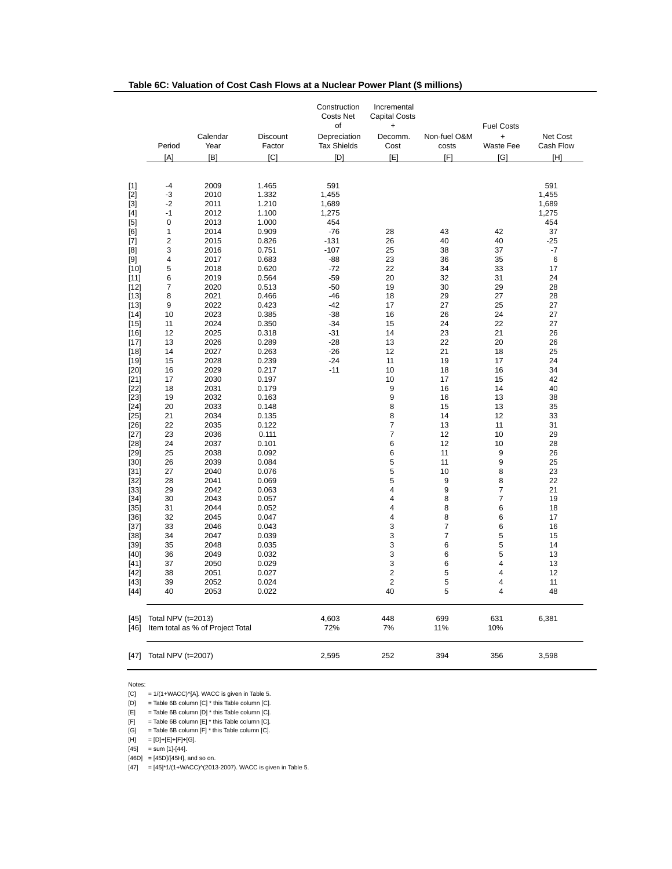| Table 6C: Valuation of Cost Cash Flows at a Nuclear Power Plant (\$ millions) |  |  |  |  |  |  |  |  |
|-------------------------------------------------------------------------------|--|--|--|--|--|--|--|--|
|-------------------------------------------------------------------------------|--|--|--|--|--|--|--|--|

|                |                         | Calendar                         | Discount       | Construction<br>Costs Net<br>of<br>Depreciation | Incremental<br><b>Capital Costs</b><br>$\ddot{}$<br>Decomm. | Non-fuel O&M | <b>Fuel Costs</b><br>$\ddot{}$ | Net Cost  |
|----------------|-------------------------|----------------------------------|----------------|-------------------------------------------------|-------------------------------------------------------------|--------------|--------------------------------|-----------|
|                | Period                  | Year                             | Factor         | <b>Tax Shields</b>                              | Cost                                                        | costs        | <b>Waste Fee</b>               | Cash Flow |
|                | [A]                     | [B]                              | C              | [D]                                             | [E]                                                         | [F]          | [G]                            | [H]       |
|                |                         |                                  |                |                                                 |                                                             |              |                                |           |
| [1]            | $-4$                    | 2009                             | 1.465          | 591                                             |                                                             |              |                                | 591       |
| [2]            | -3                      | 2010                             | 1.332          | 1,455                                           |                                                             |              |                                | 1,455     |
| [3]            | $-2$                    | 2011                             | 1.210          | 1,689                                           |                                                             |              |                                | 1,689     |
| [4]            | $-1$                    | 2012                             | 1.100          | 1,275                                           |                                                             |              |                                | 1,275     |
| [5]            | 0                       | 2013                             | 1.000          | 454                                             |                                                             |              |                                | 454       |
| [6]            | $\mathbf{1}$            | 2014                             | 0.909          | $-76$                                           | 28                                                          | 43           | 42                             | 37        |
| [7]            | $\overline{\mathbf{c}}$ | 2015                             | 0.826          | $-131$                                          | 26                                                          | 40           | 40                             | $-25$     |
| [8]            | 3                       | 2016                             | 0.751          | $-107$                                          | 25                                                          | 38           | 37                             | -7        |
| [9]            | 4                       | 2017                             | 0.683          | -88                                             | 23                                                          | 36           | 35                             | 6         |
| [10]           | 5                       | 2018                             | 0.620          | -72                                             | 22                                                          | 34           | 33                             | 17        |
| [11]           | 6                       | 2019                             | 0.564          | $-59$                                           | 20                                                          | 32           | 31                             | 24        |
| [12]           | 7                       | 2020                             | 0.513          | $-50$                                           | 19                                                          | 30           | 29                             | 28        |
| [13]           | 8                       | 2021                             | 0.466          | -46                                             | 18                                                          | 29           | 27                             | 28        |
| [13]           | 9                       | 2022                             | 0.423          | $-42$                                           | 17                                                          | 27           | 25                             | 27        |
| [14]           | 10                      | 2023                             | 0.385          | $-38$                                           | 16                                                          | 26           | 24                             | 27        |
| $[15]$         | 11                      | 2024                             | 0.350          | $-34$                                           | 15                                                          | 24           | 22                             | 27        |
| $[16]$         | 12                      | 2025                             | 0.318          | $-31$                                           | 14                                                          | 23           | 21                             | 26        |
| [17]           | 13                      | 2026                             | 0.289          | $-28$                                           | 13                                                          | 22           | 20                             | 26        |
| [18]           | 14                      | 2027                             | 0.263          | $-26$                                           | 12                                                          | 21           | 18                             | 25        |
| [19]           | 15                      | 2028                             | 0.239          | $-24$                                           | 11                                                          | 19           | 17                             | 24        |
| [20]           | 16                      | 2029                             | 0.217          | $-11$                                           | 10                                                          | 18           | 16                             | 34        |
| [21]           | 17                      | 2030                             | 0.197          |                                                 | 10                                                          | 17           | 15                             | 42        |
| [22]           | 18                      | 2031                             | 0.179          |                                                 | 9                                                           | 16           | 14                             | 40        |
| $[23]$         | 19                      | 2032                             | 0.163          |                                                 | 9                                                           | 16           | 13                             | 38        |
| $[24]$         | 20                      | 2033                             | 0.148          |                                                 | 8                                                           | 15           | 13                             | 35        |
| $[25]$         | 21                      | 2034                             | 0.135          |                                                 | 8                                                           | 14           | 12                             | 33        |
| $[26]$         | 22                      | 2035                             | 0.122          |                                                 | $\overline{7}$                                              | 13           | 11                             | 31        |
| [27]           | 23                      | 2036                             | 0.111          |                                                 | $\overline{7}$                                              | 12           | 10                             | 29        |
| [28]           | 24                      | 2037                             | 0.101          |                                                 | 6                                                           | 12           | 10                             | 28        |
| [29]           | 25                      | 2038                             | 0.092          |                                                 | 6                                                           | 11           | 9                              | 26        |
| [30]           | 26                      | 2039                             | 0.084          |                                                 | 5                                                           | 11           | 9                              | 25        |
| [31]           | 27                      | 2040                             | 0.076          |                                                 | 5                                                           | 10           | 8                              | 23        |
| [32]           | 28                      | 2041                             | 0.069          |                                                 | 5                                                           | 9            | 8                              | 22        |
| $[33]$         | 29                      | 2042                             | 0.063          |                                                 | 4<br>4                                                      | 9            | 7<br>$\overline{7}$            | 21<br>19  |
| $[34]$         | 30                      | 2043<br>2044                     | 0.057<br>0.052 |                                                 | $\overline{4}$                                              | 8            | 6                              | 18        |
| $[35]$         | 31<br>32                |                                  |                |                                                 | 4                                                           | 8<br>8       | 6                              | 17        |
| [36]<br>$[37]$ | 33                      | 2045<br>2046                     | 0.047<br>0.043 |                                                 | 3                                                           | 7            | 6                              | 16        |
| [38]           | 34                      | 2047                             | 0.039          |                                                 | 3                                                           | 7            | 5                              | 15        |
| [39]           | 35                      | 2048                             | 0.035          |                                                 | 3                                                           | 6            | 5                              | 14        |
| $[40]$         | 36                      | 2049                             | 0.032          |                                                 | 3                                                           | 6            | 5                              | 13        |
| [41]           | 37                      | 2050                             | 0.029          |                                                 | 3                                                           | 6            | 4                              | 13        |
| [42]           | 38                      | 2051                             | 0.027          |                                                 | $\overline{2}$                                              | 5            | 4                              | 12        |
| [43]           | 39                      | 2052                             | 0.024          |                                                 | $\overline{\mathbf{c}}$                                     | 5            | 4                              | 11        |
| $[44]$         | 40                      | 2053                             | 0.022          |                                                 | 40                                                          | 5            | 4                              | 48        |
| [45]<br>[46]   | Total NPV (t=2013)      | Item total as % of Project Total |                | 4,603<br>72%                                    | 448<br>7%                                                   | 699<br>11%   | 631<br>10%                     | 6,381     |
| [47]           | Total NPV (t=2007)      |                                  |                | 2,595                                           | 252                                                         | 394          | 356                            | 3,598     |

Notes:

 $[C]$  = 1/(1+WACC)^[A]. WACC is given in Table 5.

[D] = Table 6B column [C] \* this Table column [C].

 $[E]$  = Table 6B column  $[D]$  \* this Table column  $[C]$ .

 $[F]$  = Table 6B column  $[E]$  \* this Table column  $[C]$ .

 $[G]$  = Table 6B column  $[F]$  \* this Table column  $[C]$ .

 $[H] = [D]+[E]+[F]+[G].$ 

 $[45]$  = sum  $[1]$ - $[44]$ .

 $[46D] = [45D]/[45H]$ , and so on.

 $[47]$  =  $[45]^*1/(1+WACC)^(2013-2007)$ . WACC is given in Table 5.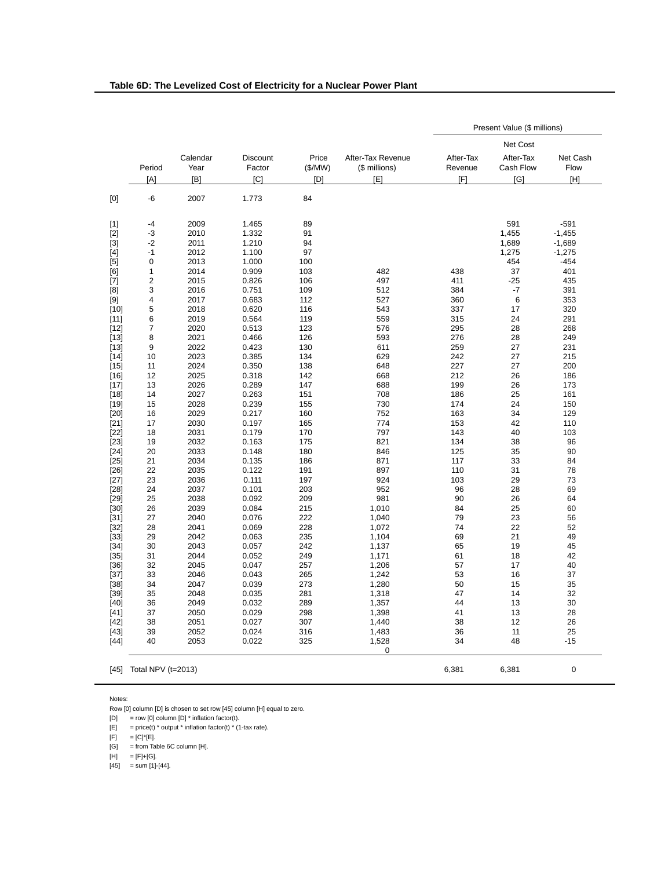| Net Cost<br>Price<br>Calendar<br><b>Discount</b><br>After-Tax Revenue<br>After-Tax<br>After-Tax<br>Period<br>Year<br>Factor<br>(S/MW)<br>(\$ millions)<br>Cash Flow<br>Revenue<br>[A]<br>[B]<br> C <br>[D]<br>[E]<br>[F]<br>[G]<br>[H]<br>-6<br>2007<br>1.773<br>84<br>2009<br>1.465<br>89<br>591<br>$-591$<br>$-4$<br>-3<br>$-1,455$<br>2010<br>1.332<br>91<br>1,455<br>$-2$<br>2011<br>1.210<br>94<br>1,689<br>$-1,689$<br>97<br>$-1$<br>2012<br>1.100<br>1,275<br>$-1,275$<br>$\mathbf 0$<br>454<br>$-454$<br>2013<br>1.000<br>100<br>482<br>1<br>2014<br>0.909<br>103<br>438<br>37<br>401<br>$\overline{\mathbf{c}}$<br>2015<br>0.826<br>106<br>497<br>411<br>$-25$<br>435<br>3<br>109<br>384<br>$-7$<br>391<br>2016<br>0.751<br>512<br>4<br>6<br>2017<br>0.683<br>112<br>527<br>360<br>353<br>5<br>320<br>2018<br>0.620<br>116<br>543<br>337<br>17<br>6<br>2019<br>0.564<br>119<br>559<br>24<br>291<br>315<br>$\overline{7}$<br>123<br>295<br>28<br>268<br>2020<br>0.513<br>576<br>8<br>28<br>2021<br>0.466<br>126<br>593<br>276<br>249<br>9<br>2022<br>0.423<br>130<br>611<br>259<br>27<br>231<br>$[13]$<br>10<br>27<br>$[14]$<br>2023<br>0.385<br>134<br>629<br>242<br>215<br>[15]<br>11<br>2024<br>0.350<br>138<br>648<br>227<br>27<br>200<br>12<br>2025<br>0.318<br>142<br>668<br>212<br>26<br>186<br>$[16]$<br>13<br>2026<br>0.289<br>147<br>688<br>199<br>26<br>173<br>2027<br>708<br>25<br>161<br>14<br>0.263<br>151<br>186<br>24<br>15<br>2028<br>0.239<br>155<br>730<br>174<br>150<br>16<br>2029<br>0.217<br>160<br>752<br>163<br>34<br>129<br>17<br>2030<br>0.197<br>165<br>774<br>42<br>110<br>153<br>797<br>40<br>103<br>18<br>2031<br>0.179<br>170<br>143<br>19<br>0.163<br>175<br>821<br>134<br>38<br>96<br>2032<br>20<br>2033<br>0.148<br>180<br>846<br>125<br>35<br>90<br>21<br>2034<br>0.135<br>186<br>871<br>117<br>33<br>84<br>22<br>2035<br>0.122<br>191<br>897<br>31<br>78<br>$[26]$<br>110<br>2036<br>924<br>29<br>73<br>$[27]$<br>23<br>0.111<br>197<br>103<br>2037<br>0.101<br>203<br>952<br>96<br>28<br>69<br>[28]<br>24<br>[29]<br>25<br>2038<br>0.092<br>209<br>981<br>90<br>26<br>64<br>$[30]$<br>26<br>2039<br>0.084<br>215<br>1,010<br>84<br>25<br>60<br>27<br>2040<br>0.076<br>222<br>1,040<br>79<br>23<br>56<br>28<br>2041<br>228<br>74<br>22<br>52<br>0.069<br>1,072<br>21<br>29<br>2042<br>0.063<br>235<br>1,104<br>69<br>49<br>30<br>2043<br>0.057<br>242<br>65<br>19<br>45<br>1,137<br>2044<br>0.052<br>249<br>1,171<br>61<br>18<br>42<br>31<br>40<br>32<br>2045<br>0.047<br>257<br>1,206<br>57<br>17<br>33<br>2046<br>0.043<br>265<br>1,242<br>53<br>16<br>37<br>$[37]$<br>2047<br>0.039<br>1,280<br>50<br>15<br>$[38]$<br>34<br>273<br>35<br>47<br>14<br>32<br>$[39]$<br>35<br>2048<br>0.035<br>281<br>1,318<br>36<br>2049<br>0.032<br>289<br>1,357<br>44<br>13<br>30<br>[40]<br>37<br>2050<br>0.029<br>298<br>1,398<br>41<br>13<br>28<br>38<br>0.027<br>307<br>1,440<br>38<br>12<br>26<br>2051<br>1,483<br>36<br>25<br>39<br>2052<br>0.024<br>316<br>11<br>34<br>40<br>2053<br>0.022<br>325<br>1,528<br>48<br>$-15$<br>0<br>Total NPV (t=2013) |            |  |  |       | Present Value (\$ millions) |                  |
|--------------------------------------------------------------------------------------------------------------------------------------------------------------------------------------------------------------------------------------------------------------------------------------------------------------------------------------------------------------------------------------------------------------------------------------------------------------------------------------------------------------------------------------------------------------------------------------------------------------------------------------------------------------------------------------------------------------------------------------------------------------------------------------------------------------------------------------------------------------------------------------------------------------------------------------------------------------------------------------------------------------------------------------------------------------------------------------------------------------------------------------------------------------------------------------------------------------------------------------------------------------------------------------------------------------------------------------------------------------------------------------------------------------------------------------------------------------------------------------------------------------------------------------------------------------------------------------------------------------------------------------------------------------------------------------------------------------------------------------------------------------------------------------------------------------------------------------------------------------------------------------------------------------------------------------------------------------------------------------------------------------------------------------------------------------------------------------------------------------------------------------------------------------------------------------------------------------------------------------------------------------------------------------------------------------------------------------------------------------------------------------------------------------------------------------------------------------------------------------------------------------------------------------------------------------------------------------------------------------------------------------------------------------------------------------------------------------------------------------------------------------------------------------------------------------------------------------------------------------------------------------------------------------------------------------------------------------------------------------------------------------------------------------------------------------------------------------------|------------|--|--|-------|-----------------------------|------------------|
|                                                                                                                                                                                                                                                                                                                                                                                                                                                                                                                                                                                                                                                                                                                                                                                                                                                                                                                                                                                                                                                                                                                                                                                                                                                                                                                                                                                                                                                                                                                                                                                                                                                                                                                                                                                                                                                                                                                                                                                                                                                                                                                                                                                                                                                                                                                                                                                                                                                                                                                                                                                                                                                                                                                                                                                                                                                                                                                                                                                                                                                                                            |            |  |  |       |                             |                  |
|                                                                                                                                                                                                                                                                                                                                                                                                                                                                                                                                                                                                                                                                                                                                                                                                                                                                                                                                                                                                                                                                                                                                                                                                                                                                                                                                                                                                                                                                                                                                                                                                                                                                                                                                                                                                                                                                                                                                                                                                                                                                                                                                                                                                                                                                                                                                                                                                                                                                                                                                                                                                                                                                                                                                                                                                                                                                                                                                                                                                                                                                                            |            |  |  |       |                             | Net Cash<br>Flow |
|                                                                                                                                                                                                                                                                                                                                                                                                                                                                                                                                                                                                                                                                                                                                                                                                                                                                                                                                                                                                                                                                                                                                                                                                                                                                                                                                                                                                                                                                                                                                                                                                                                                                                                                                                                                                                                                                                                                                                                                                                                                                                                                                                                                                                                                                                                                                                                                                                                                                                                                                                                                                                                                                                                                                                                                                                                                                                                                                                                                                                                                                                            | [0]        |  |  |       |                             |                  |
|                                                                                                                                                                                                                                                                                                                                                                                                                                                                                                                                                                                                                                                                                                                                                                                                                                                                                                                                                                                                                                                                                                                                                                                                                                                                                                                                                                                                                                                                                                                                                                                                                                                                                                                                                                                                                                                                                                                                                                                                                                                                                                                                                                                                                                                                                                                                                                                                                                                                                                                                                                                                                                                                                                                                                                                                                                                                                                                                                                                                                                                                                            | $[1]$      |  |  |       |                             |                  |
|                                                                                                                                                                                                                                                                                                                                                                                                                                                                                                                                                                                                                                                                                                                                                                                                                                                                                                                                                                                                                                                                                                                                                                                                                                                                                                                                                                                                                                                                                                                                                                                                                                                                                                                                                                                                                                                                                                                                                                                                                                                                                                                                                                                                                                                                                                                                                                                                                                                                                                                                                                                                                                                                                                                                                                                                                                                                                                                                                                                                                                                                                            | $[2]$      |  |  |       |                             |                  |
|                                                                                                                                                                                                                                                                                                                                                                                                                                                                                                                                                                                                                                                                                                                                                                                                                                                                                                                                                                                                                                                                                                                                                                                                                                                                                                                                                                                                                                                                                                                                                                                                                                                                                                                                                                                                                                                                                                                                                                                                                                                                                                                                                                                                                                                                                                                                                                                                                                                                                                                                                                                                                                                                                                                                                                                                                                                                                                                                                                                                                                                                                            | $[3]$      |  |  |       |                             |                  |
|                                                                                                                                                                                                                                                                                                                                                                                                                                                                                                                                                                                                                                                                                                                                                                                                                                                                                                                                                                                                                                                                                                                                                                                                                                                                                                                                                                                                                                                                                                                                                                                                                                                                                                                                                                                                                                                                                                                                                                                                                                                                                                                                                                                                                                                                                                                                                                                                                                                                                                                                                                                                                                                                                                                                                                                                                                                                                                                                                                                                                                                                                            |            |  |  |       |                             |                  |
|                                                                                                                                                                                                                                                                                                                                                                                                                                                                                                                                                                                                                                                                                                                                                                                                                                                                                                                                                                                                                                                                                                                                                                                                                                                                                                                                                                                                                                                                                                                                                                                                                                                                                                                                                                                                                                                                                                                                                                                                                                                                                                                                                                                                                                                                                                                                                                                                                                                                                                                                                                                                                                                                                                                                                                                                                                                                                                                                                                                                                                                                                            | [4]<br>[5] |  |  |       |                             |                  |
|                                                                                                                                                                                                                                                                                                                                                                                                                                                                                                                                                                                                                                                                                                                                                                                                                                                                                                                                                                                                                                                                                                                                                                                                                                                                                                                                                                                                                                                                                                                                                                                                                                                                                                                                                                                                                                                                                                                                                                                                                                                                                                                                                                                                                                                                                                                                                                                                                                                                                                                                                                                                                                                                                                                                                                                                                                                                                                                                                                                                                                                                                            |            |  |  |       |                             |                  |
|                                                                                                                                                                                                                                                                                                                                                                                                                                                                                                                                                                                                                                                                                                                                                                                                                                                                                                                                                                                                                                                                                                                                                                                                                                                                                                                                                                                                                                                                                                                                                                                                                                                                                                                                                                                                                                                                                                                                                                                                                                                                                                                                                                                                                                                                                                                                                                                                                                                                                                                                                                                                                                                                                                                                                                                                                                                                                                                                                                                                                                                                                            | [6]        |  |  |       |                             |                  |
|                                                                                                                                                                                                                                                                                                                                                                                                                                                                                                                                                                                                                                                                                                                                                                                                                                                                                                                                                                                                                                                                                                                                                                                                                                                                                                                                                                                                                                                                                                                                                                                                                                                                                                                                                                                                                                                                                                                                                                                                                                                                                                                                                                                                                                                                                                                                                                                                                                                                                                                                                                                                                                                                                                                                                                                                                                                                                                                                                                                                                                                                                            | $[7]$      |  |  |       |                             |                  |
|                                                                                                                                                                                                                                                                                                                                                                                                                                                                                                                                                                                                                                                                                                                                                                                                                                                                                                                                                                                                                                                                                                                                                                                                                                                                                                                                                                                                                                                                                                                                                                                                                                                                                                                                                                                                                                                                                                                                                                                                                                                                                                                                                                                                                                                                                                                                                                                                                                                                                                                                                                                                                                                                                                                                                                                                                                                                                                                                                                                                                                                                                            | [8]        |  |  |       |                             |                  |
|                                                                                                                                                                                                                                                                                                                                                                                                                                                                                                                                                                                                                                                                                                                                                                                                                                                                                                                                                                                                                                                                                                                                                                                                                                                                                                                                                                                                                                                                                                                                                                                                                                                                                                                                                                                                                                                                                                                                                                                                                                                                                                                                                                                                                                                                                                                                                                                                                                                                                                                                                                                                                                                                                                                                                                                                                                                                                                                                                                                                                                                                                            | [9]        |  |  |       |                             |                  |
|                                                                                                                                                                                                                                                                                                                                                                                                                                                                                                                                                                                                                                                                                                                                                                                                                                                                                                                                                                                                                                                                                                                                                                                                                                                                                                                                                                                                                                                                                                                                                                                                                                                                                                                                                                                                                                                                                                                                                                                                                                                                                                                                                                                                                                                                                                                                                                                                                                                                                                                                                                                                                                                                                                                                                                                                                                                                                                                                                                                                                                                                                            | $[10]$     |  |  |       |                             |                  |
|                                                                                                                                                                                                                                                                                                                                                                                                                                                                                                                                                                                                                                                                                                                                                                                                                                                                                                                                                                                                                                                                                                                                                                                                                                                                                                                                                                                                                                                                                                                                                                                                                                                                                                                                                                                                                                                                                                                                                                                                                                                                                                                                                                                                                                                                                                                                                                                                                                                                                                                                                                                                                                                                                                                                                                                                                                                                                                                                                                                                                                                                                            | [11]       |  |  |       |                             |                  |
|                                                                                                                                                                                                                                                                                                                                                                                                                                                                                                                                                                                                                                                                                                                                                                                                                                                                                                                                                                                                                                                                                                                                                                                                                                                                                                                                                                                                                                                                                                                                                                                                                                                                                                                                                                                                                                                                                                                                                                                                                                                                                                                                                                                                                                                                                                                                                                                                                                                                                                                                                                                                                                                                                                                                                                                                                                                                                                                                                                                                                                                                                            | $[12]$     |  |  |       |                             |                  |
|                                                                                                                                                                                                                                                                                                                                                                                                                                                                                                                                                                                                                                                                                                                                                                                                                                                                                                                                                                                                                                                                                                                                                                                                                                                                                                                                                                                                                                                                                                                                                                                                                                                                                                                                                                                                                                                                                                                                                                                                                                                                                                                                                                                                                                                                                                                                                                                                                                                                                                                                                                                                                                                                                                                                                                                                                                                                                                                                                                                                                                                                                            | $[13]$     |  |  |       |                             |                  |
|                                                                                                                                                                                                                                                                                                                                                                                                                                                                                                                                                                                                                                                                                                                                                                                                                                                                                                                                                                                                                                                                                                                                                                                                                                                                                                                                                                                                                                                                                                                                                                                                                                                                                                                                                                                                                                                                                                                                                                                                                                                                                                                                                                                                                                                                                                                                                                                                                                                                                                                                                                                                                                                                                                                                                                                                                                                                                                                                                                                                                                                                                            |            |  |  |       |                             |                  |
|                                                                                                                                                                                                                                                                                                                                                                                                                                                                                                                                                                                                                                                                                                                                                                                                                                                                                                                                                                                                                                                                                                                                                                                                                                                                                                                                                                                                                                                                                                                                                                                                                                                                                                                                                                                                                                                                                                                                                                                                                                                                                                                                                                                                                                                                                                                                                                                                                                                                                                                                                                                                                                                                                                                                                                                                                                                                                                                                                                                                                                                                                            |            |  |  |       |                             |                  |
|                                                                                                                                                                                                                                                                                                                                                                                                                                                                                                                                                                                                                                                                                                                                                                                                                                                                                                                                                                                                                                                                                                                                                                                                                                                                                                                                                                                                                                                                                                                                                                                                                                                                                                                                                                                                                                                                                                                                                                                                                                                                                                                                                                                                                                                                                                                                                                                                                                                                                                                                                                                                                                                                                                                                                                                                                                                                                                                                                                                                                                                                                            |            |  |  |       |                             |                  |
|                                                                                                                                                                                                                                                                                                                                                                                                                                                                                                                                                                                                                                                                                                                                                                                                                                                                                                                                                                                                                                                                                                                                                                                                                                                                                                                                                                                                                                                                                                                                                                                                                                                                                                                                                                                                                                                                                                                                                                                                                                                                                                                                                                                                                                                                                                                                                                                                                                                                                                                                                                                                                                                                                                                                                                                                                                                                                                                                                                                                                                                                                            |            |  |  |       |                             |                  |
|                                                                                                                                                                                                                                                                                                                                                                                                                                                                                                                                                                                                                                                                                                                                                                                                                                                                                                                                                                                                                                                                                                                                                                                                                                                                                                                                                                                                                                                                                                                                                                                                                                                                                                                                                                                                                                                                                                                                                                                                                                                                                                                                                                                                                                                                                                                                                                                                                                                                                                                                                                                                                                                                                                                                                                                                                                                                                                                                                                                                                                                                                            |            |  |  |       |                             |                  |
|                                                                                                                                                                                                                                                                                                                                                                                                                                                                                                                                                                                                                                                                                                                                                                                                                                                                                                                                                                                                                                                                                                                                                                                                                                                                                                                                                                                                                                                                                                                                                                                                                                                                                                                                                                                                                                                                                                                                                                                                                                                                                                                                                                                                                                                                                                                                                                                                                                                                                                                                                                                                                                                                                                                                                                                                                                                                                                                                                                                                                                                                                            | $[17]$     |  |  |       |                             |                  |
|                                                                                                                                                                                                                                                                                                                                                                                                                                                                                                                                                                                                                                                                                                                                                                                                                                                                                                                                                                                                                                                                                                                                                                                                                                                                                                                                                                                                                                                                                                                                                                                                                                                                                                                                                                                                                                                                                                                                                                                                                                                                                                                                                                                                                                                                                                                                                                                                                                                                                                                                                                                                                                                                                                                                                                                                                                                                                                                                                                                                                                                                                            | [18]       |  |  |       |                             |                  |
|                                                                                                                                                                                                                                                                                                                                                                                                                                                                                                                                                                                                                                                                                                                                                                                                                                                                                                                                                                                                                                                                                                                                                                                                                                                                                                                                                                                                                                                                                                                                                                                                                                                                                                                                                                                                                                                                                                                                                                                                                                                                                                                                                                                                                                                                                                                                                                                                                                                                                                                                                                                                                                                                                                                                                                                                                                                                                                                                                                                                                                                                                            | [19]       |  |  |       |                             |                  |
|                                                                                                                                                                                                                                                                                                                                                                                                                                                                                                                                                                                                                                                                                                                                                                                                                                                                                                                                                                                                                                                                                                                                                                                                                                                                                                                                                                                                                                                                                                                                                                                                                                                                                                                                                                                                                                                                                                                                                                                                                                                                                                                                                                                                                                                                                                                                                                                                                                                                                                                                                                                                                                                                                                                                                                                                                                                                                                                                                                                                                                                                                            | [20]       |  |  |       |                             |                  |
|                                                                                                                                                                                                                                                                                                                                                                                                                                                                                                                                                                                                                                                                                                                                                                                                                                                                                                                                                                                                                                                                                                                                                                                                                                                                                                                                                                                                                                                                                                                                                                                                                                                                                                                                                                                                                                                                                                                                                                                                                                                                                                                                                                                                                                                                                                                                                                                                                                                                                                                                                                                                                                                                                                                                                                                                                                                                                                                                                                                                                                                                                            | [21]       |  |  |       |                             |                  |
|                                                                                                                                                                                                                                                                                                                                                                                                                                                                                                                                                                                                                                                                                                                                                                                                                                                                                                                                                                                                                                                                                                                                                                                                                                                                                                                                                                                                                                                                                                                                                                                                                                                                                                                                                                                                                                                                                                                                                                                                                                                                                                                                                                                                                                                                                                                                                                                                                                                                                                                                                                                                                                                                                                                                                                                                                                                                                                                                                                                                                                                                                            | $[22]$     |  |  |       |                             |                  |
|                                                                                                                                                                                                                                                                                                                                                                                                                                                                                                                                                                                                                                                                                                                                                                                                                                                                                                                                                                                                                                                                                                                                                                                                                                                                                                                                                                                                                                                                                                                                                                                                                                                                                                                                                                                                                                                                                                                                                                                                                                                                                                                                                                                                                                                                                                                                                                                                                                                                                                                                                                                                                                                                                                                                                                                                                                                                                                                                                                                                                                                                                            | [23]       |  |  |       |                             |                  |
|                                                                                                                                                                                                                                                                                                                                                                                                                                                                                                                                                                                                                                                                                                                                                                                                                                                                                                                                                                                                                                                                                                                                                                                                                                                                                                                                                                                                                                                                                                                                                                                                                                                                                                                                                                                                                                                                                                                                                                                                                                                                                                                                                                                                                                                                                                                                                                                                                                                                                                                                                                                                                                                                                                                                                                                                                                                                                                                                                                                                                                                                                            | $[24]$     |  |  |       |                             |                  |
|                                                                                                                                                                                                                                                                                                                                                                                                                                                                                                                                                                                                                                                                                                                                                                                                                                                                                                                                                                                                                                                                                                                                                                                                                                                                                                                                                                                                                                                                                                                                                                                                                                                                                                                                                                                                                                                                                                                                                                                                                                                                                                                                                                                                                                                                                                                                                                                                                                                                                                                                                                                                                                                                                                                                                                                                                                                                                                                                                                                                                                                                                            | $[25]$     |  |  |       |                             |                  |
|                                                                                                                                                                                                                                                                                                                                                                                                                                                                                                                                                                                                                                                                                                                                                                                                                                                                                                                                                                                                                                                                                                                                                                                                                                                                                                                                                                                                                                                                                                                                                                                                                                                                                                                                                                                                                                                                                                                                                                                                                                                                                                                                                                                                                                                                                                                                                                                                                                                                                                                                                                                                                                                                                                                                                                                                                                                                                                                                                                                                                                                                                            |            |  |  |       |                             |                  |
|                                                                                                                                                                                                                                                                                                                                                                                                                                                                                                                                                                                                                                                                                                                                                                                                                                                                                                                                                                                                                                                                                                                                                                                                                                                                                                                                                                                                                                                                                                                                                                                                                                                                                                                                                                                                                                                                                                                                                                                                                                                                                                                                                                                                                                                                                                                                                                                                                                                                                                                                                                                                                                                                                                                                                                                                                                                                                                                                                                                                                                                                                            |            |  |  |       |                             |                  |
|                                                                                                                                                                                                                                                                                                                                                                                                                                                                                                                                                                                                                                                                                                                                                                                                                                                                                                                                                                                                                                                                                                                                                                                                                                                                                                                                                                                                                                                                                                                                                                                                                                                                                                                                                                                                                                                                                                                                                                                                                                                                                                                                                                                                                                                                                                                                                                                                                                                                                                                                                                                                                                                                                                                                                                                                                                                                                                                                                                                                                                                                                            |            |  |  |       |                             |                  |
|                                                                                                                                                                                                                                                                                                                                                                                                                                                                                                                                                                                                                                                                                                                                                                                                                                                                                                                                                                                                                                                                                                                                                                                                                                                                                                                                                                                                                                                                                                                                                                                                                                                                                                                                                                                                                                                                                                                                                                                                                                                                                                                                                                                                                                                                                                                                                                                                                                                                                                                                                                                                                                                                                                                                                                                                                                                                                                                                                                                                                                                                                            |            |  |  |       |                             |                  |
|                                                                                                                                                                                                                                                                                                                                                                                                                                                                                                                                                                                                                                                                                                                                                                                                                                                                                                                                                                                                                                                                                                                                                                                                                                                                                                                                                                                                                                                                                                                                                                                                                                                                                                                                                                                                                                                                                                                                                                                                                                                                                                                                                                                                                                                                                                                                                                                                                                                                                                                                                                                                                                                                                                                                                                                                                                                                                                                                                                                                                                                                                            |            |  |  |       |                             |                  |
|                                                                                                                                                                                                                                                                                                                                                                                                                                                                                                                                                                                                                                                                                                                                                                                                                                                                                                                                                                                                                                                                                                                                                                                                                                                                                                                                                                                                                                                                                                                                                                                                                                                                                                                                                                                                                                                                                                                                                                                                                                                                                                                                                                                                                                                                                                                                                                                                                                                                                                                                                                                                                                                                                                                                                                                                                                                                                                                                                                                                                                                                                            |            |  |  |       |                             |                  |
|                                                                                                                                                                                                                                                                                                                                                                                                                                                                                                                                                                                                                                                                                                                                                                                                                                                                                                                                                                                                                                                                                                                                                                                                                                                                                                                                                                                                                                                                                                                                                                                                                                                                                                                                                                                                                                                                                                                                                                                                                                                                                                                                                                                                                                                                                                                                                                                                                                                                                                                                                                                                                                                                                                                                                                                                                                                                                                                                                                                                                                                                                            | $[31]$     |  |  |       |                             |                  |
|                                                                                                                                                                                                                                                                                                                                                                                                                                                                                                                                                                                                                                                                                                                                                                                                                                                                                                                                                                                                                                                                                                                                                                                                                                                                                                                                                                                                                                                                                                                                                                                                                                                                                                                                                                                                                                                                                                                                                                                                                                                                                                                                                                                                                                                                                                                                                                                                                                                                                                                                                                                                                                                                                                                                                                                                                                                                                                                                                                                                                                                                                            | $[32]$     |  |  |       |                             |                  |
|                                                                                                                                                                                                                                                                                                                                                                                                                                                                                                                                                                                                                                                                                                                                                                                                                                                                                                                                                                                                                                                                                                                                                                                                                                                                                                                                                                                                                                                                                                                                                                                                                                                                                                                                                                                                                                                                                                                                                                                                                                                                                                                                                                                                                                                                                                                                                                                                                                                                                                                                                                                                                                                                                                                                                                                                                                                                                                                                                                                                                                                                                            | $[33]$     |  |  |       |                             |                  |
|                                                                                                                                                                                                                                                                                                                                                                                                                                                                                                                                                                                                                                                                                                                                                                                                                                                                                                                                                                                                                                                                                                                                                                                                                                                                                                                                                                                                                                                                                                                                                                                                                                                                                                                                                                                                                                                                                                                                                                                                                                                                                                                                                                                                                                                                                                                                                                                                                                                                                                                                                                                                                                                                                                                                                                                                                                                                                                                                                                                                                                                                                            | $[34]$     |  |  |       |                             |                  |
|                                                                                                                                                                                                                                                                                                                                                                                                                                                                                                                                                                                                                                                                                                                                                                                                                                                                                                                                                                                                                                                                                                                                                                                                                                                                                                                                                                                                                                                                                                                                                                                                                                                                                                                                                                                                                                                                                                                                                                                                                                                                                                                                                                                                                                                                                                                                                                                                                                                                                                                                                                                                                                                                                                                                                                                                                                                                                                                                                                                                                                                                                            | $[35]$     |  |  |       |                             |                  |
|                                                                                                                                                                                                                                                                                                                                                                                                                                                                                                                                                                                                                                                                                                                                                                                                                                                                                                                                                                                                                                                                                                                                                                                                                                                                                                                                                                                                                                                                                                                                                                                                                                                                                                                                                                                                                                                                                                                                                                                                                                                                                                                                                                                                                                                                                                                                                                                                                                                                                                                                                                                                                                                                                                                                                                                                                                                                                                                                                                                                                                                                                            | $[36]$     |  |  |       |                             |                  |
|                                                                                                                                                                                                                                                                                                                                                                                                                                                                                                                                                                                                                                                                                                                                                                                                                                                                                                                                                                                                                                                                                                                                                                                                                                                                                                                                                                                                                                                                                                                                                                                                                                                                                                                                                                                                                                                                                                                                                                                                                                                                                                                                                                                                                                                                                                                                                                                                                                                                                                                                                                                                                                                                                                                                                                                                                                                                                                                                                                                                                                                                                            |            |  |  |       |                             |                  |
|                                                                                                                                                                                                                                                                                                                                                                                                                                                                                                                                                                                                                                                                                                                                                                                                                                                                                                                                                                                                                                                                                                                                                                                                                                                                                                                                                                                                                                                                                                                                                                                                                                                                                                                                                                                                                                                                                                                                                                                                                                                                                                                                                                                                                                                                                                                                                                                                                                                                                                                                                                                                                                                                                                                                                                                                                                                                                                                                                                                                                                                                                            |            |  |  |       |                             |                  |
|                                                                                                                                                                                                                                                                                                                                                                                                                                                                                                                                                                                                                                                                                                                                                                                                                                                                                                                                                                                                                                                                                                                                                                                                                                                                                                                                                                                                                                                                                                                                                                                                                                                                                                                                                                                                                                                                                                                                                                                                                                                                                                                                                                                                                                                                                                                                                                                                                                                                                                                                                                                                                                                                                                                                                                                                                                                                                                                                                                                                                                                                                            |            |  |  |       |                             |                  |
|                                                                                                                                                                                                                                                                                                                                                                                                                                                                                                                                                                                                                                                                                                                                                                                                                                                                                                                                                                                                                                                                                                                                                                                                                                                                                                                                                                                                                                                                                                                                                                                                                                                                                                                                                                                                                                                                                                                                                                                                                                                                                                                                                                                                                                                                                                                                                                                                                                                                                                                                                                                                                                                                                                                                                                                                                                                                                                                                                                                                                                                                                            |            |  |  |       |                             |                  |
|                                                                                                                                                                                                                                                                                                                                                                                                                                                                                                                                                                                                                                                                                                                                                                                                                                                                                                                                                                                                                                                                                                                                                                                                                                                                                                                                                                                                                                                                                                                                                                                                                                                                                                                                                                                                                                                                                                                                                                                                                                                                                                                                                                                                                                                                                                                                                                                                                                                                                                                                                                                                                                                                                                                                                                                                                                                                                                                                                                                                                                                                                            |            |  |  |       |                             |                  |
|                                                                                                                                                                                                                                                                                                                                                                                                                                                                                                                                                                                                                                                                                                                                                                                                                                                                                                                                                                                                                                                                                                                                                                                                                                                                                                                                                                                                                                                                                                                                                                                                                                                                                                                                                                                                                                                                                                                                                                                                                                                                                                                                                                                                                                                                                                                                                                                                                                                                                                                                                                                                                                                                                                                                                                                                                                                                                                                                                                                                                                                                                            | $[41]$     |  |  |       |                             |                  |
|                                                                                                                                                                                                                                                                                                                                                                                                                                                                                                                                                                                                                                                                                                                                                                                                                                                                                                                                                                                                                                                                                                                                                                                                                                                                                                                                                                                                                                                                                                                                                                                                                                                                                                                                                                                                                                                                                                                                                                                                                                                                                                                                                                                                                                                                                                                                                                                                                                                                                                                                                                                                                                                                                                                                                                                                                                                                                                                                                                                                                                                                                            | $[42]$     |  |  |       |                             |                  |
|                                                                                                                                                                                                                                                                                                                                                                                                                                                                                                                                                                                                                                                                                                                                                                                                                                                                                                                                                                                                                                                                                                                                                                                                                                                                                                                                                                                                                                                                                                                                                                                                                                                                                                                                                                                                                                                                                                                                                                                                                                                                                                                                                                                                                                                                                                                                                                                                                                                                                                                                                                                                                                                                                                                                                                                                                                                                                                                                                                                                                                                                                            | $[43]$     |  |  |       |                             |                  |
|                                                                                                                                                                                                                                                                                                                                                                                                                                                                                                                                                                                                                                                                                                                                                                                                                                                                                                                                                                                                                                                                                                                                                                                                                                                                                                                                                                                                                                                                                                                                                                                                                                                                                                                                                                                                                                                                                                                                                                                                                                                                                                                                                                                                                                                                                                                                                                                                                                                                                                                                                                                                                                                                                                                                                                                                                                                                                                                                                                                                                                                                                            | $[44]$     |  |  |       |                             |                  |
|                                                                                                                                                                                                                                                                                                                                                                                                                                                                                                                                                                                                                                                                                                                                                                                                                                                                                                                                                                                                                                                                                                                                                                                                                                                                                                                                                                                                                                                                                                                                                                                                                                                                                                                                                                                                                                                                                                                                                                                                                                                                                                                                                                                                                                                                                                                                                                                                                                                                                                                                                                                                                                                                                                                                                                                                                                                                                                                                                                                                                                                                                            | [45]       |  |  | 6,381 | 6,381                       | $\mathbf 0$      |

Notes:

Row [0] column [D] is chosen to set row [45] column [H] equal to zero.

 $[D]$  = row  $[0]$  column  $[D]$  \* inflation factor(t).

 $[E]$  = price(t)  $*$  output  $*$  inflation factor(t)  $*$  (1-tax rate).

 $[F] = [C]^* [E].$ 

[G] = from Table 6C column [H].

[H] = [F]+[G].

[45] = sum [1]-[44].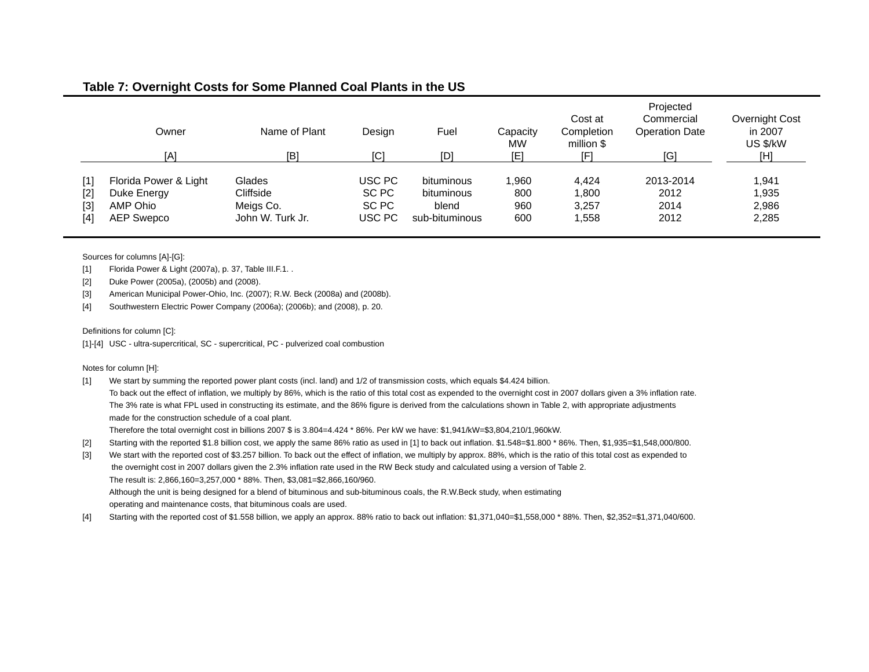# **Table 7: Overnight Costs for Some Planned Coal Plants in the US**

|                              | Owner                                                                 | Name of Plant                                               | Design                             | Fuel                                                | Capacity<br><b>MW</b>     | Cost at<br>Completion<br>million \$ | Projected<br>Commercial<br><b>Operation Date</b> | Overnight Cost<br>in 2007<br>US \$/kW |
|------------------------------|-----------------------------------------------------------------------|-------------------------------------------------------------|------------------------------------|-----------------------------------------------------|---------------------------|-------------------------------------|--------------------------------------------------|---------------------------------------|
|                              | ſАì                                                                   | B                                                           | [C]                                | וחו                                                 | IEI                       |                                     | [G]                                              | [H]                                   |
| $[1]$<br>[2]<br>[3]<br>$[4]$ | Florida Power & Light<br>Duke Energy<br>AMP Ohio<br><b>AEP Swepco</b> | <b>Glades</b><br>Cliffside<br>Meigs Co.<br>John W. Turk Jr. | USC PC<br>SC PC<br>SC PC<br>USC PC | bituminous<br>bituminous<br>blend<br>sub-bituminous | ,960<br>800<br>960<br>600 | 4.424<br>1.800<br>3.257<br>1,558    | 2013-2014<br>2012<br>2014<br>2012                | 1,941<br>1,935<br>2,986<br>2,285      |

Sources for columns [A]-[G]:

[1] Florida Power & Light (2007a), p. 37, Table III.F.1. .

[2] Duke Power (2005a), (2005b) and (2008).

[3] American Municipal Power-Ohio, Inc. (2007); R.W. Beck (2008a) and (2008b).

[4] Southwestern Electric Power Company (2006a); (2006b); and (2008), p. 20.

Definitions for column [C]:

[1]-[4] USC - ultra-supercritical, SC - supercritical, PC - pulverized coal combustion

Notes for column [H]:

[1] We start by summing the reported power plant costs (incl. land) and 1/2 of transmission costs, which equals \$4.424 billion. To back out the effect of inflation, we multiply by 86%, which is the ratio of this total cost as expended to the overnight cost in 2007 dollars given a 3% inflation rate. The 3% rate is what FPL used in constructing its estimate, and the 86% figure is derived from the calculations shown in Table 2, with appropriate adjustments made for the construction schedule of a coal plant.

Therefore the total overnight cost in billions 2007 \$ is 3.804=4.424 \* 86%. Per kW we have: \$1,941/kW=\$3,804,210/1,960kW.

[2] Starting with the reported \$1.8 billion cost, we apply the same 86% ratio as used in [1] to back out inflation. \$1.548=\$1.800 \* 86%. Then, \$1,935=\$1,548,000/800.

- [3] We start with the reported cost of \$3.257 billion. To back out the effect of inflation, we multiply by approx. 88%, which is the ratio of this total cost as expended to the overnight cost in 2007 dollars given the 2.3% inflation rate used in the RW Beck study and calculated using a version of Table 2. The result is: 2,866,160=3,257,000 \* 88%. Then, \$3,081=\$2,866,160/960. Although the unit is being designed for a blend of bituminous and sub-bituminous coals, the R.W.Beck study, when estimating operating and maintenance costs, that bituminous coals are used.
- [4] Starting with the reported cost of \$1.558 billion, we apply an approx. 88% ratio to back out inflation: \$1,371,040=\$1,558,000 \* 88%. Then, \$2,352=\$1,371,040/600.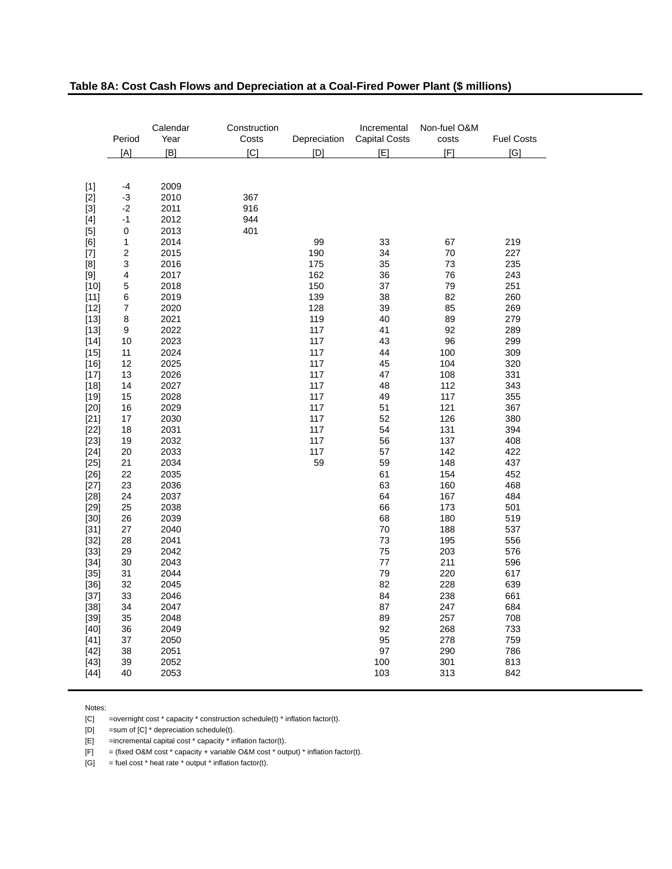|                                                                                                                                                                                                                                                                                 | Period                       | Calendar<br>Year | Construction<br>Costs | Depreciation | Incremental<br><b>Capital Costs</b> | Non-fuel O&M<br>costs | <b>Fuel Costs</b> |
|---------------------------------------------------------------------------------------------------------------------------------------------------------------------------------------------------------------------------------------------------------------------------------|------------------------------|------------------|-----------------------|--------------|-------------------------------------|-----------------------|-------------------|
|                                                                                                                                                                                                                                                                                 | [A]                          | [B]              | [C]                   | [D]          | [E]                                 | [F]                   | [G]               |
|                                                                                                                                                                                                                                                                                 |                              |                  |                       |              |                                     |                       |                   |
| $[1]$                                                                                                                                                                                                                                                                           | -4<br>$-3$                   | 2009             |                       |              |                                     |                       |                   |
| $[2]$                                                                                                                                                                                                                                                                           | $-2$                         | 2010             | 367                   |              |                                     |                       |                   |
| $[3]$                                                                                                                                                                                                                                                                           | $-1$                         | 2011             | 916                   |              |                                     |                       |                   |
| $[4]$                                                                                                                                                                                                                                                                           |                              | 2012             | 944<br>401            |              |                                     |                       |                   |
| [5]                                                                                                                                                                                                                                                                             | $\mathbf 0$                  | 2013             |                       |              |                                     |                       |                   |
| [6]                                                                                                                                                                                                                                                                             | $\mathbf{1}$                 | 2014             |                       | 99           | 33                                  | 67                    | 219               |
| $[7]$                                                                                                                                                                                                                                                                           | $\overline{\mathbf{c}}$      | 2015             |                       | 190          | 34                                  | 70                    | 227               |
| [8]                                                                                                                                                                                                                                                                             | 3<br>$\overline{\mathbf{4}}$ | 2016<br>2017     |                       | 175<br>162   | 35                                  | 73<br>76              | 235<br>243        |
| $[9] % \begin{center} \includegraphics[width=\linewidth]{imagesSupplemental/Imetad.png} \end{center} % \vspace{-1em} \caption{The image shows the number of parameters of the parameter $\mathcal{M}$ with the number of parameters in the left and right.} \label{fig:limsub}$ | $\mathbf 5$                  |                  |                       | 150          | 36<br>37                            | 79                    |                   |
| $[10]$                                                                                                                                                                                                                                                                          | 6                            | 2018<br>2019     |                       |              | 38                                  | 82                    | 251               |
| $[11]$                                                                                                                                                                                                                                                                          | $\overline{7}$               |                  |                       | 139<br>128   | 39                                  | 85                    | 260<br>269        |
| $[12]$                                                                                                                                                                                                                                                                          | 8                            | 2020<br>2021     |                       | 119          | 40                                  | 89                    | 279               |
| $[13]$<br>$[13]$                                                                                                                                                                                                                                                                | 9                            | 2022             |                       | 117          | 41                                  | 92                    | 289               |
| $[14]$                                                                                                                                                                                                                                                                          | 10                           | 2023             |                       | 117          | 43                                  | 96                    | 299               |
| $[15]$                                                                                                                                                                                                                                                                          | 11                           | 2024             |                       | 117          | 44                                  | 100                   | 309               |
|                                                                                                                                                                                                                                                                                 | 12                           | 2025             |                       | 117          | 45                                  | 104                   | 320               |
| $[16]$<br>$[17]$                                                                                                                                                                                                                                                                | 13                           | 2026             |                       | 117          | 47                                  | 108                   | 331               |
| $[18]$                                                                                                                                                                                                                                                                          | 14                           | 2027             |                       | 117          | 48                                  | 112                   | 343               |
| $[19]$                                                                                                                                                                                                                                                                          | 15                           | 2028             |                       | 117          | 49                                  | 117                   | 355               |
| $[20]$                                                                                                                                                                                                                                                                          | 16                           | 2029             |                       | 117          | 51                                  | 121                   | 367               |
| $[21]$                                                                                                                                                                                                                                                                          | 17                           | 2030             |                       | 117          | 52                                  | 126                   | 380               |
| $[22]$                                                                                                                                                                                                                                                                          | 18                           | 2031             |                       | 117          | 54                                  | 131                   | 394               |
| $[23]$                                                                                                                                                                                                                                                                          | 19                           | 2032             |                       | 117          | 56                                  | 137                   | 408               |
| $[24]$                                                                                                                                                                                                                                                                          | 20                           | 2033             |                       | 117          | 57                                  | 142                   | 422               |
| $[25]$                                                                                                                                                                                                                                                                          | 21                           | 2034             |                       | 59           | 59                                  | 148                   | 437               |
| $[26]$                                                                                                                                                                                                                                                                          | 22                           | 2035             |                       |              | 61                                  | 154                   | 452               |
| $[27]$                                                                                                                                                                                                                                                                          | 23                           | 2036             |                       |              | 63                                  | 160                   | 468               |
| $[28]$                                                                                                                                                                                                                                                                          | 24                           | 2037             |                       |              | 64                                  | 167                   | 484               |
| $[29]$                                                                                                                                                                                                                                                                          | 25                           | 2038             |                       |              | 66                                  | 173                   | 501               |
| $[30]$                                                                                                                                                                                                                                                                          | 26                           | 2039             |                       |              | 68                                  | 180                   | 519               |
| $[31]$                                                                                                                                                                                                                                                                          | 27                           | 2040             |                       |              | 70                                  | 188                   | 537               |
| $[32]$                                                                                                                                                                                                                                                                          | 28                           | 2041             |                       |              | 73                                  | 195                   | 556               |
| $[33]$                                                                                                                                                                                                                                                                          | 29                           | 2042             |                       |              | 75                                  | 203                   | 576               |
| $[34]$                                                                                                                                                                                                                                                                          | 30                           | 2043             |                       |              | 77                                  | 211                   | 596               |
| $[35]$                                                                                                                                                                                                                                                                          | 31                           | 2044             |                       |              | 79                                  | 220                   | 617               |
| $[36]$                                                                                                                                                                                                                                                                          | 32                           | 2045             |                       |              | 82                                  | 228                   | 639               |
| $[37]$                                                                                                                                                                                                                                                                          | 33                           | 2046             |                       |              | 84                                  | 238                   | 661               |
| $[38]$                                                                                                                                                                                                                                                                          | 34                           | 2047             |                       |              | 87                                  | 247                   | 684               |
| $[39]$                                                                                                                                                                                                                                                                          | 35                           | 2048             |                       |              | 89                                  | 257                   | 708               |
| $[40]$                                                                                                                                                                                                                                                                          | 36                           | 2049             |                       |              | 92                                  | 268                   | 733               |
| $[41]$                                                                                                                                                                                                                                                                          | 37                           | 2050             |                       |              | 95                                  | 278                   | 759               |
| $[42]$                                                                                                                                                                                                                                                                          | 38                           | 2051             |                       |              | 97                                  | 290                   | 786               |
| $[43]$                                                                                                                                                                                                                                                                          | 39                           | 2052             |                       |              | 100                                 | 301                   | 813               |
| $[44]$                                                                                                                                                                                                                                                                          | 40                           | 2053             |                       |              | 103                                 | 313                   | 842               |

# **Table 8A: Cost Cash Flows and Depreciation at a Coal-Fired Power Plant (\$ millions)**

Notes:

 $[C]$  =overnight cost  $*$  capacity  $*$  construction schedule(t)  $*$  inflation factor(t).

[D] =sum of [C] \* depreciation schedule(t).

[E] =incremental capital cost \* capacity \* inflation factor(t).

 $[F]$  = (fixed O&M cost  $*$  capacity + variable O&M cost  $*$  output)  $*$  inflation factor(t).

 $[G]$  = fuel cost \* heat rate \* output \* inflation factor(t).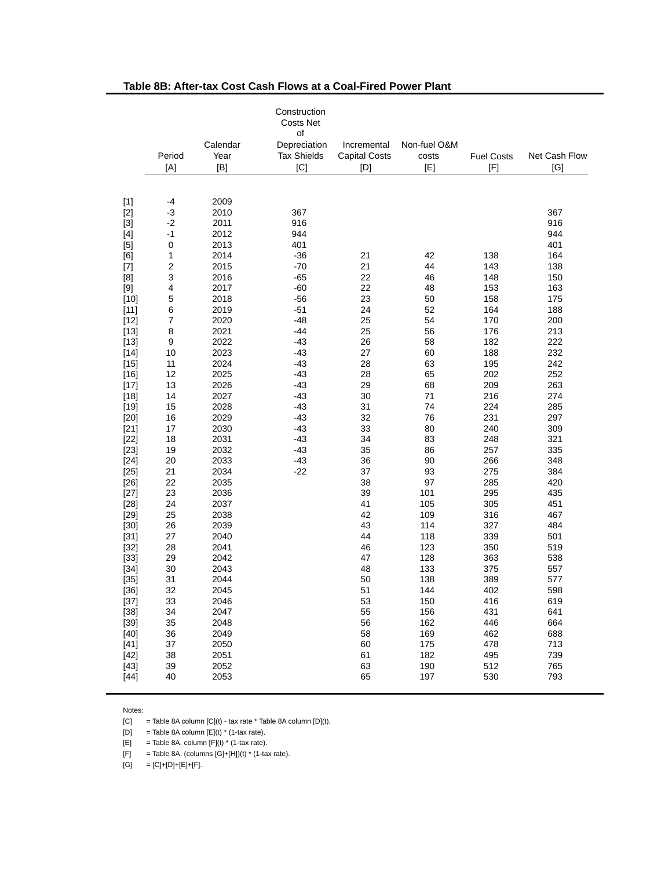| Table 8B: After-tax Cost Cash Flows at a Coal-Fired Power Plant |  |  |  |
|-----------------------------------------------------------------|--|--|--|
|-----------------------------------------------------------------|--|--|--|

|                  |                |              | Construction<br><b>Costs Net</b><br>of |                      |              |                   |               |
|------------------|----------------|--------------|----------------------------------------|----------------------|--------------|-------------------|---------------|
|                  |                | Calendar     | Depreciation                           | Incremental          | Non-fuel O&M |                   |               |
|                  | Period         | Year         | <b>Tax Shields</b>                     | <b>Capital Costs</b> | costs        | <b>Fuel Costs</b> | Net Cash Flow |
|                  | [A]            | [B]          | [C]                                    | וסן                  | [E]          | [F]               | [G]           |
|                  |                |              |                                        |                      |              |                   |               |
|                  |                |              |                                        |                      |              |                   |               |
| $[1]$            | -4             | 2009         |                                        |                      |              |                   |               |
| $[2]$            | $-3$           | 2010         | 367                                    |                      |              |                   | 367           |
| $[3]$            | $-2$<br>$-1$   | 2011<br>2012 | 916                                    |                      |              |                   | 916<br>944    |
| $[4]$            | $\pmb{0}$      | 2013         | 944<br>401                             |                      |              |                   | 401           |
| $[5]$            | 1              | 2014         | $-36$                                  | 21                   | 42           | 138               | 164           |
| [6]<br>$^{[7]}$  | $\overline{c}$ | 2015         | $-70$                                  | 21                   | 44           | 143               | 138           |
| [8]              | 3              | 2016         | $-65$                                  | 22                   | 46           | 148               | 150           |
| [9]              | 4              | 2017         | -60                                    | 22                   | 48           | 153               | 163           |
| $[10]$           | 5              | 2018         | $-56$                                  | 23                   | 50           | 158               | 175           |
| $[11]$           | 6              | 2019         | -51                                    | 24                   | 52           | 164               | 188           |
| $[12]$           | $\overline{7}$ | 2020         | -48                                    | 25                   | 54           | 170               | 200           |
| $[13]$           | 8              | 2021         | $-44$                                  | 25                   | 56           | 176               | 213           |
| $[13]$           | 9              | 2022         | -43                                    | 26                   | 58           | 182               | 222           |
| $[14]$           | 10             | 2023         | -43                                    | 27                   | 60           | 188               | 232           |
| $[15]$           | 11             | 2024         | -43                                    | 28                   | 63           | 195               | 242           |
| $[16]$           | 12             | 2025         | -43                                    | 28                   | 65           | 202               | 252           |
| $[17]$           | 13             | 2026         | $-43$                                  | 29                   | 68           | 209               | 263           |
| $[18]$           | 14             | 2027         | $-43$                                  | 30                   | 71           | 216               | 274           |
| $[19]$           | 15             | 2028         | -43                                    | 31                   | 74           | 224               | 285           |
| $[20]$           | 16             | 2029         | $-43$                                  | 32                   | 76           | 231               | 297           |
| $[21]$           | 17             | 2030         | -43                                    | 33                   | 80           | 240               | 309           |
| $[22]$           | 18             | 2031         | -43                                    | 34                   | 83           | 248               | 321           |
| $[23]$           | 19             | 2032         | $-43$                                  | 35                   | 86           | 257               | 335           |
| $[24]$           | 20             | 2033         | $-43$                                  | 36                   | 90           | 266               | 348           |
| $[25]$           | 21             | 2034         | -22                                    | 37                   | 93           | 275               | 384           |
| $[26]$           | 22             | 2035         |                                        | 38                   | 97           | 285               | 420           |
| $[27]$           | 23             | 2036         |                                        | 39                   | 101          | 295               | 435           |
| $[28]$           | 24             | 2037         |                                        | 41                   | 105          | 305               | 451           |
| $[29]$           | 25             | 2038         |                                        | 42                   | 109          | 316               | 467           |
| $[30]$           | 26             | 2039         |                                        | 43<br>44             | 114          | 327               | 484           |
| $[31]$           | 27             | 2040<br>2041 |                                        | 46                   | 118<br>123   | 339               | 501<br>519    |
| $[32]$           | 28<br>29       | 2042         |                                        | 47                   | 128          | 350<br>363        |               |
| $[33]$<br>$[34]$ | 30             | 2043         |                                        | 48                   | 133          | 375               | 538<br>557    |
| $[35]$           | 31             | 2044         |                                        | 50                   | 138          | 389               | 577           |
| $[36]$           | 32             | 2045         |                                        | 51                   | 144          | 402               | 598           |
| $[37]$           | 33             | 2046         |                                        | 53                   | 150          | 416               | 619           |
| $[38]$           | 34             | 2047         |                                        | 55                   | 156          | 431               | 641           |
| $[39]$           | 35             | 2048         |                                        | 56                   | 162          | 446               | 664           |
| $[40]$           | 36             | 2049         |                                        | 58                   | 169          | 462               | 688           |
| $[41]$           | 37             | 2050         |                                        | 60                   | 175          | 478               | 713           |
| $[42]$           | 38             | 2051         |                                        | 61                   | 182          | 495               | 739           |
| $[43]$           | 39             | 2052         |                                        | 63                   | 190          | 512               | 765           |
| [44]             | 40             | 2053         |                                        | 65                   | 197          | 530               | 793           |

Notes:

 $[C]$  = Table 8A column  $[C](t)$  - tax rate  $*$  Table 8A column  $[D](t)$ .

 $[D]$  = Table 8A column  $[E](t)$  \* (1-tax rate).

 $[E]$  = Table 8A, column  $[F](t)$  \* (1-tax rate).

 $[F]$  = Table 8A, (columns  $[G]+[H])(t)$  \* (1-tax rate).

 $[G] = [C]+[D]+[E]+[F].$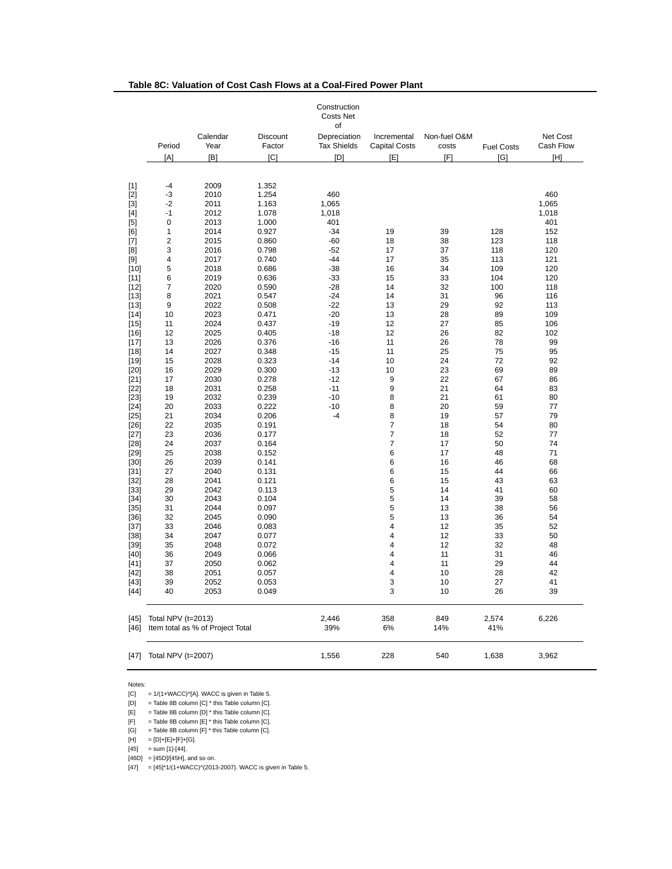### **Table 8C: Valuation of Cost Cash Flows at a Coal-Fired Power Plant**

|                  |                         |                                  |                    | Construction<br><b>Costs Net</b>   |                                     |                       |                   |                       |
|------------------|-------------------------|----------------------------------|--------------------|------------------------------------|-------------------------------------|-----------------------|-------------------|-----------------------|
|                  |                         |                                  |                    | of                                 |                                     |                       |                   |                       |
|                  | Period                  | Calendar<br>Year                 | Discount<br>Factor | Depreciation<br><b>Tax Shields</b> | Incremental<br><b>Capital Costs</b> | Non-fuel O&M<br>costs | <b>Fuel Costs</b> | Net Cost<br>Cash Flow |
|                  | [A]                     | [B]                              | [C]                | [D]                                | [E]                                 | [F]                   | [G]               | [H]                   |
|                  |                         |                                  |                    |                                    |                                     |                       |                   |                       |
| $[1]$            | $-4$                    | 2009                             | 1.352              |                                    |                                     |                       |                   |                       |
| [2]              | -3                      | 2010                             | 1.254              | 460                                |                                     |                       |                   | 460                   |
| $[3]$            | $-2$                    | 2011                             | 1.163              | 1,065                              |                                     |                       |                   | 1,065                 |
| [4]              | $-1$                    | 2012                             | 1.078              | 1,018                              |                                     |                       |                   | 1,018                 |
| [5]              | $\mathbf 0$             | 2013                             | 1.000              | 401                                |                                     |                       |                   | 401                   |
| [6]<br>$[7]$     | 1<br>$\overline{2}$     | 2014<br>2015                     | 0.927<br>0.860     | $-34$<br>$-60$                     | 19<br>18                            | 39<br>38              | 128<br>123        | 152<br>118            |
| [8]              | 3                       | 2016                             | 0.798              | $-52$                              | 17                                  | 37                    | 118               | 120                   |
| $[9]$            | $\overline{\mathbf{4}}$ | 2017                             | 0.740              | $-44$                              | 17                                  | 35                    | 113               | 121                   |
| [10]             | 5                       | 2018                             | 0.686              | $-38$                              | 16                                  | 34                    | 109               | 120                   |
| [11]             | 6                       | 2019                             | 0.636              | $-33$                              | 15                                  | 33                    | 104               | 120                   |
| $[12]$           | $\overline{7}$          | 2020                             | 0.590              | $-28$                              | 14                                  | 32                    | 100               | 118                   |
| $[13]$           | 8                       | 2021                             | 0.547              | $-24$                              | 14                                  | 31                    | 96                | 116                   |
| $[13]$           | 9<br>10                 | 2022<br>2023                     | 0.508<br>0.471     | $-22$<br>$-20$                     | 13<br>13                            | 29<br>28              | 92<br>89          | 113<br>109            |
| $[14]$<br>$[15]$ | 11                      | 2024                             | 0.437              | $-19$                              | 12                                  | 27                    | 85                | 106                   |
| [16]             | 12                      | 2025                             | 0.405              | $-18$                              | 12                                  | 26                    | 82                | 102                   |
| $[17]$           | 13                      | 2026                             | 0.376              | $-16$                              | 11                                  | 26                    | 78                | 99                    |
| $[18]$           | 14                      | 2027                             | 0.348              | $-15$                              | 11                                  | 25                    | 75                | 95                    |
| $[19]$           | 15                      | 2028                             | 0.323              | $-14$                              | 10                                  | 24                    | 72                | 92                    |
| [20]             | 16                      | 2029                             | 0.300              | $-13$                              | 10                                  | 23                    | 69                | 89                    |
| $[21]$           | 17                      | 2030                             | 0.278              | $-12$                              | 9                                   | 22                    | 67                | 86                    |
| $[22]$           | 18<br>19                | 2031                             | 0.258              | $-11$<br>$-10$                     | 9                                   | 21<br>21              | 64<br>61          | 83<br>80              |
| $[23]$<br>$[24]$ | 20                      | 2032<br>2033                     | 0.239<br>0.222     | $-10$                              | 8<br>8                              | 20                    | 59                | 77                    |
| $[25]$           | 21                      | 2034                             | 0.206              | $-4$                               | 8                                   | 19                    | 57                | 79                    |
| $[26]$           | 22                      | 2035                             | 0.191              |                                    | $\overline{7}$                      | 18                    | 54                | 80                    |
| $[27]$           | 23                      | 2036                             | 0.177              |                                    | $\overline{7}$                      | 18                    | 52                | 77                    |
| [28]             | 24                      | 2037                             | 0.164              |                                    | $\overline{7}$                      | 17                    | 50                | 74                    |
| [29]             | 25                      | 2038                             | 0.152              |                                    | 6                                   | 17                    | 48                | 71                    |
| $[30]$           | 26                      | 2039                             | 0.141              |                                    | 6                                   | 16                    | 46                | 68                    |
| $[31]$<br>$[32]$ | 27<br>28                | 2040<br>2041                     | 0.131<br>0.121     |                                    | 6<br>6                              | 15<br>15              | 44<br>43          | 66<br>63              |
| $[33]$           | 29                      | 2042                             | 0.113              |                                    | 5                                   | 14                    | 41                | 60                    |
| $[34]$           | 30                      | 2043                             | 0.104              |                                    | 5                                   | 14                    | 39                | 58                    |
| $[35]$           | 31                      | 2044                             | 0.097              |                                    | 5                                   | 13                    | 38                | 56                    |
| $[36]$           | 32                      | 2045                             | 0.090              |                                    | 5                                   | 13                    | 36                | 54                    |
| $[37]$           | 33                      | 2046                             | 0.083              |                                    | $\overline{4}$                      | 12                    | 35                | 52                    |
| $[38]$           | 34                      | 2047                             | 0.077              |                                    | 4                                   | 12                    | 33                | 50                    |
| $[39]$           | 35                      | 2048                             | 0.072              |                                    | 4                                   | 12                    | 32                | 48                    |
| [40]<br>[41]     | 36<br>37                | 2049<br>2050                     | 0.066<br>0.062     |                                    | 4<br>4                              | 11<br>11              | 31<br>29          | 46<br>44              |
| $[42]$           | 38                      | 2051                             | 0.057              |                                    | $\overline{4}$                      | 10                    | 28                | 42                    |
| $[43]$           | 39                      | 2052                             | 0.053              |                                    | 3                                   | 10                    | 27                | 41                    |
| $[44]$           | 40                      | 2053                             | 0.049              |                                    | 3                                   | 10                    | 26                | 39                    |
|                  |                         |                                  |                    |                                    |                                     |                       |                   |                       |
| $[45]$           | Total NPV (t=2013)      |                                  |                    | 2,446                              | 358                                 | 849                   | 2,574             | 6,226                 |
| [46]             |                         | Item total as % of Project Total |                    | 39%                                | 6%                                  | 14%                   | 41%               |                       |
|                  |                         |                                  |                    | 1,556                              | 228                                 | 540                   |                   | 3,962                 |
|                  | [47] Total NPV (t=2007) |                                  |                    |                                    |                                     |                       | 1,638             |                       |

Notes:

 $[C]$  = 1/(1+WACC)^[A]. WACC is given in Table 5.

[D] = Table 8B column [C] \* this Table column [C].

[E] = Table 8B column [D] \* this Table column [C].

 $[F]$  = Table 8B column  $[E]$  \* this Table column  $[C]$ .

 $[G]$  = Table 8B column  $[F]$  \* this Table column  $[C]$ .

 $[H] = [D]+[E]+[F]+[G].$ 

 $[45]$  = sum  $[1]$ - $[44]$ .

 $[46D] = [45D]/[45H]$ , and so on.

 $[47]$  =  $[45]^*1/(1+WACC)^(2013-2007)$ . WACC is given in Table 5.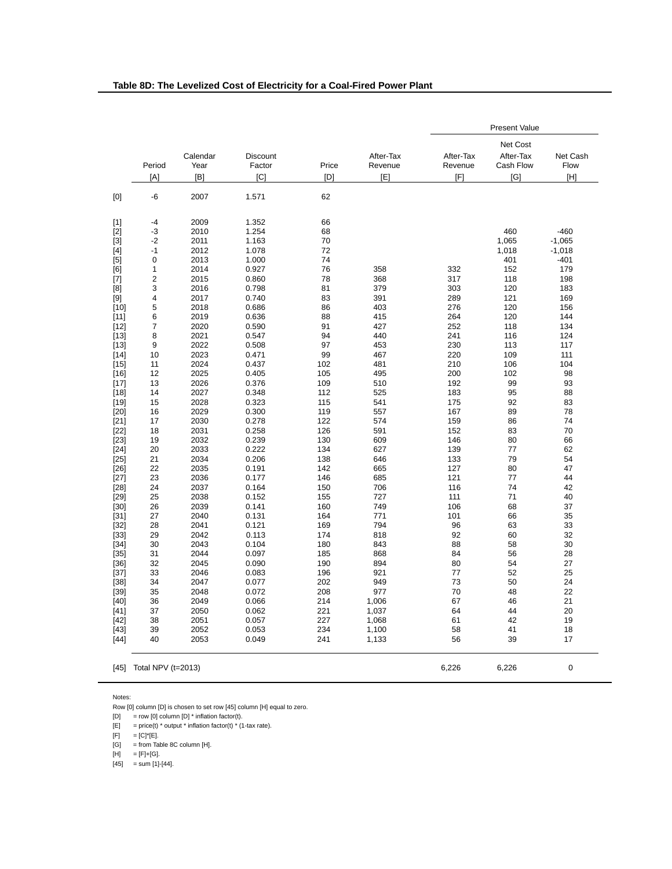|              |                          |          |                 |       |                |           | <b>Present Value</b>  |          |
|--------------|--------------------------|----------|-----------------|-------|----------------|-----------|-----------------------|----------|
|              |                          | Calendar | <b>Discount</b> |       | After-Tax      | After-Tax | Net Cost<br>After-Tax | Net Cash |
|              | Period                   | Year     | Factor          | Price | Revenue        | Revenue   | Cash Flow             | Flow     |
|              | [A]                      | [B]      | [C]             | [D]   | [E]            | [F]       | [G]                   | [H]      |
| [0]          | -6                       | 2007     | 1.571           | 62    |                |           |                       |          |
| $[1]$        | $-4$                     | 2009     | 1.352           | 66    |                |           |                       |          |
| $[2]$        | $-3$                     | 2010     | 1.254           | 68    |                |           | 460                   | $-460$   |
| $[3]$        | $-2$                     | 2011     | 1.163           | 70    |                |           | 1,065                 | $-1,065$ |
| $[4]$        | $-1$                     | 2012     | 1.078           | 72    |                |           | 1,018                 | $-1,018$ |
| $[5]$        | $\pmb{0}$                | 2013     | 1.000           | 74    |                |           | 401                   | $-401$   |
| [6]          | 1                        | 2014     | 0.927           | 76    | 358            | 332       | 152                   | 179      |
| $[7]$        | $\overline{\mathbf{c}}$  | 2015     | 0.860           | 78    | 368            | 317       | 118                   | 198      |
| [8]          | 3                        | 2016     | 0.798           | 81    | 379            | 303       | 120                   | 183      |
| [9]          | 4                        | 2017     | 0.740           | 83    | 391            | 289       | 121                   | 169      |
| $[10]$       | 5                        | 2018     | 0.686           | 86    | 403            | 276       | 120                   | 156      |
| $[11]$       | 6                        | 2019     | 0.636           | 88    | 415            | 264       | 120                   | 144      |
| $[12]$       | $\overline{\mathcal{I}}$ | 2020     | 0.590           | 91    | 427            | 252       | 118                   | 134      |
| $[13]$       | 8                        | 2021     | 0.547           | 94    | 440            | 241       | 116                   | 124      |
| $[13]$       | 9                        | 2022     | 0.508           | 97    | 453            | 230       | 113                   | 117      |
| $[14]$       | 10                       | 2023     | 0.471           | 99    | 467            | 220       | 109                   | 111      |
| $[15]$       | 11                       | 2024     | 0.437           | 102   | 481            | 210       | 106                   | 104      |
| $[16]$       | 12                       | 2025     | 0.405           | 105   | 495            | 200       | 102                   | 98       |
| $[17]$       | 13                       | 2026     | 0.376           | 109   | 510            | 192       | 99                    | 93       |
| $[18]$       | 14                       | 2027     | 0.348           | 112   | 525            | 183       | 95                    | 88       |
| $[19]$       | 15                       | 2028     | 0.323           | 115   | 541            | 175       | 92                    | 83       |
| $[20]$       | 16                       | 2029     | 0.300           | 119   | 557            | 167       | 89                    | 78       |
| $[21]$       | 17                       | 2030     | 0.278           | 122   | 574            | 159       | 86                    | 74       |
| $[22]$       | 18                       | 2031     | 0.258           | 126   | 591            | 152       | 83                    | 70       |
| $[23]$       | 19                       | 2032     | 0.239           | 130   | 609            | 146       | 80                    | 66       |
| $[24]$       | 20                       | 2033     | 0.222           | 134   | 627            | 139       | 77                    | 62       |
| $[25]$       | 21                       | 2034     | 0.206           | 138   | 646            | 133       | 79                    | 54       |
| $[26]$       | 22                       | 2035     | 0.191           | 142   | 665            | 127       | 80                    | 47       |
| $[27]$       | 23                       | 2036     | 0.177           | 146   | 685            | 121       | 77                    | 44       |
| $[28]$       | 24                       | 2037     | 0.164           | 150   | 706            | 116       | 74                    | 42       |
| [29]         | 25                       | 2038     | 0.152           | 155   | 727            | 111       | 71                    | 40       |
| $[30]$       | 26                       | 2039     | 0.141           | 160   | 749            | 106       | 68                    | 37       |
| $[31]$       | 27                       | 2040     | 0.131           | 164   | 771            | 101       | 66                    | 35       |
| $[32]$       | 28                       | 2041     | 0.121           | 169   | 794            | 96        | 63                    | 33       |
| $[33]$       | 29                       | 2042     | 0.113           | 174   | 818            | 92        | 60                    | 32       |
| $[34]$       | 30                       | 2043     | 0.104           | 180   | 843            | 88        | 58                    | 30       |
| $[35]$       | 31                       | 2044     | 0.097           | 185   | 868            | 84        | 56                    | 28       |
| [36]         | 32                       | 2045     | 0.090           | 190   | 894            | 80        | 54                    | 27       |
| $[37]$       | 33                       | 2046     | 0.083           | 196   | 921            | 77        | 52                    | 25       |
| $[38]$       | 34                       | 2047     | 0.077           | 202   | 949            | 73        | 50                    | 24       |
| $[39]$       | 35                       | 2048     | 0.072           | 208   | 977            | 70        | 48                    | 22       |
| $[40]$       | 36                       | 2049     | 0.066           | 214   | 1,006          | 67        | 46                    | 21       |
| $[41]$       | 37                       | 2050     | 0.062           | 221   | 1,037          | 64        | 44                    | 20       |
| $[42]$       | 38                       | 2051     | 0.057           | 227   | 1,068          | 61        | 42                    | 19       |
|              | 39                       | 2052     | 0.053           | 234   |                | 58        | 41                    | 18       |
| [43]<br>[44] | 40                       | 2053     | 0.049           | 241   | 1,100<br>1,133 | 56        | 39                    | 17       |
|              |                          |          |                 |       |                |           |                       |          |
| [45]         | Total NPV (t=2013)       |          |                 |       |                | 6,226     | 6,226                 | 0        |

Notes:

Row [0] column [D] is chosen to set row [45] column [H] equal to zero.

 $[D]$  = row  $[0]$  column  $[D]$  \* inflation factor(t).

 $[E]$  = price(t)  $*$  output  $*$  inflation factor(t)  $*$  (1-tax rate).

 $[F] = [C]^*[E].$ 

 $[G]$  = from Table 8C column  $[H]$ .

[H] = [F]+[G].

 $[45]$  = sum  $[1]-[44]$ .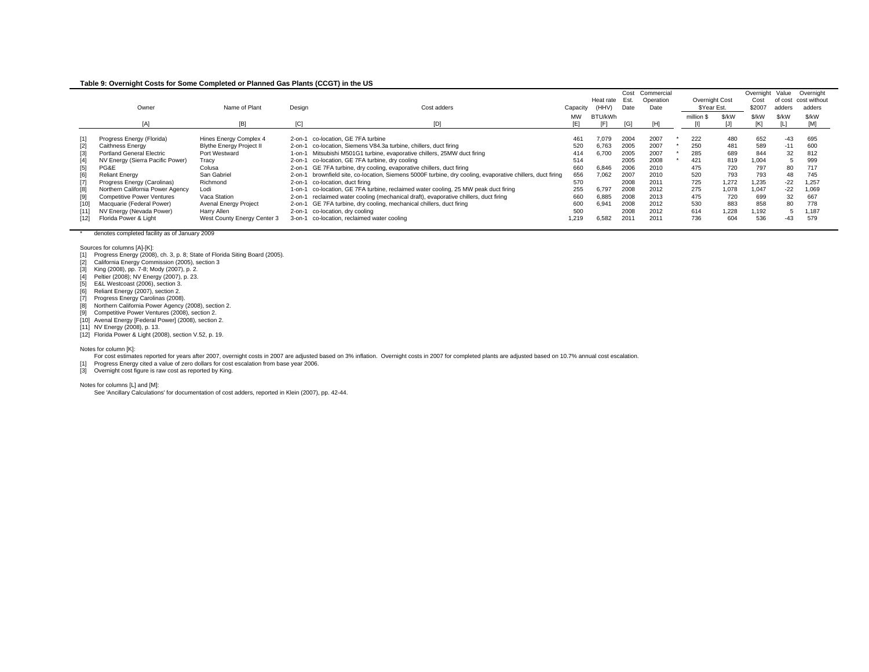### **Table 9: Overnight Costs for Some Completed or Planned Gas Plants (CCGT) in the US**

|        |                                   |                                 |           |                                                                                                     |           |           | Cost | Commercial |                |       | Overnight | Value   | Overnight    |
|--------|-----------------------------------|---------------------------------|-----------|-----------------------------------------------------------------------------------------------------|-----------|-----------|------|------------|----------------|-------|-----------|---------|--------------|
|        |                                   |                                 |           |                                                                                                     |           | Heat rate | Est. | Operation  | Overnight Cost |       | Cost      | of cost | cost without |
|        | Owner                             | Name of Plant                   | Design    | Cost adders                                                                                         | Capacity  | (HHV)     | Date | Date       | \$Year Est.    |       | \$2007    | adders  | adders       |
|        |                                   |                                 |           |                                                                                                     | <b>MW</b> | BTU/kWh   |      |            | million \$     | \$/kW | \$/kW     | \$/kW   | \$/kW        |
|        | [A]                               | B                               |           |                                                                                                     |           |           |      |            |                |       |           |         | [M]          |
|        |                                   |                                 |           |                                                                                                     |           |           |      |            |                |       |           |         |              |
| $[1]$  | Progress Energy (Florida)         | Hines Energy Complex 4          | $2$ -on-1 | co-location, GE 7FA turbine                                                                         | 461       | 7.079     | 2004 | 2007       | 222            | 480   | 652       | $-43$   | 695          |
| $[2]$  | Caithness Energy                  | <b>Blythe Energy Project II</b> | $2$ -on-1 | co-location, Siemens V84.3a turbine, chillers, duct firing                                          | 520       | 6.763     | 2005 | 2007       | 250            | 481   | 589       | $-11$   | 600          |
| $[3]$  | <b>Portland General Electric</b>  | Port Westward                   | 1-on-1    | Mitsubishi M501G1 turbine, evaporative chillers, 25MW duct firing                                   | 414       | 6.700     | 2005 | 2007       | 285            | 689   | 844       | 32      | 812          |
| $[4]$  | NV Energy (Sierra Pacific Power)  | Tracv                           | $2$ -on-1 | co-location, GE 7FA turbine, dry cooling                                                            | 514       |           | 2005 | 2008       | 421            | 819   | 1.004     | 5       | 999          |
| $[5]$  | PG&E                              | Colusa                          | $2$ -on-1 | GE 7FA turbine, dry cooling, evaporative chillers, duct firing                                      | 660       | 6.846     | 2006 | 2010       | 475            | 720   | 797       | 80      | 717          |
| [6]    | <b>Reliant Energy</b>             | San Gabriel                     | $2$ -on-1 | brownfield site, co-location, Siemens 5000F turbine, dry cooling, evaporative chillers, duct firing | 656       | 7.062     | 2007 | 2010       | 520            | 793   | 793       | 48      | 745          |
| $[7]$  | Progress Energy (Carolinas)       | Richmond                        | $2$ -on-1 | co-location, duct firing                                                                            | 570       |           | 2008 | 2011       | 725            | 1.272 | 1.235     | $-22$   | 1.257        |
| [8]    | Northern California Power Agency  | Lodi                            | 1-on-1    | co-location, GE 7FA turbine, reclaimed water cooling, 25 MW peak duct firing                        | 255       | 6.797     | 2008 | 2012       | 275            | 1.078 | 1.047     | $-22$   | 1,069        |
| $[9]$  | <b>Competitive Power Ventures</b> | Vaca Station                    | $2$ -on-1 | reclaimed water cooling (mechanical draft), evaporative chillers, duct firing                       | 660       | 6.885     | 2008 | 2013       | 475            | 720   | 699       | 32      | 667          |
| $[10]$ | Macquarie (Federal Power)         | Avenal Energy Project           | $2$ -on-1 | GE 7FA turbine, dry cooling, mechanical chillers, duct firing                                       | 600       | 6.941     | 2008 | 2012       | 530            | 883   | 858       | 80      | 778          |
| [11    | NV Energy (Nevada Power)          | Harry Allen                     | $2$ -on-1 | co-location, dry cooling                                                                            | 500       |           | 2008 | 2012       | 614            | 1.228 | 1.192     |         | 1.187        |
| $[12]$ | Florida Power & Light             | West County Energy Center 3     | 3-on-1    | co-location, reclaimed water cooling                                                                | 1,219     | 6,582     | 2011 | 2011       | 736            | 604   | 536       | -43     | 579          |

denotes completed facility as of January 2009

Sources for columns [A]-[K]: [1] Progress Energy (2008), ch. 3, p. 8; State of Florida Siting Board (2005).

[2] California Energy Commission (2005), section 3<br>[3] King (2008), pp. 7-8; Mody (2007), p. 2.<br>[4] Peltier (2008); NV Energy (2007), p. 23.<br>[5] E&L Westcoast (2006), section 3.<br>[6] Reliant Energy (2007), section 2.<br>[7] Pr

- 
- 

[8] Northern California Power Agency (2008), section 2.

[9] Competitive Power Ventures (2008), section 2.

[10] Avenal Energy [Federal Power] (2008), section 2. [11] NV Energy (2008), p. 13.

[12] Florida Power & Light (2008), section V.52, p. 19.

#### Notes for column [K]:

For cost estimates reported for years after 2007, overnight costs in 2007 are adjusted based on 3% inflation. Overnight costs in 2007 for completed plants are adjusted based on 10.7% annual cost escalation.<br>[1] Progress En

[3] Overnight cost figure is raw cost as reported by King.

Notes for columns [L] and [M]:

See 'Ancillary Calculations' for documentation of cost adders, reported in Klein (2007), pp. 42-44.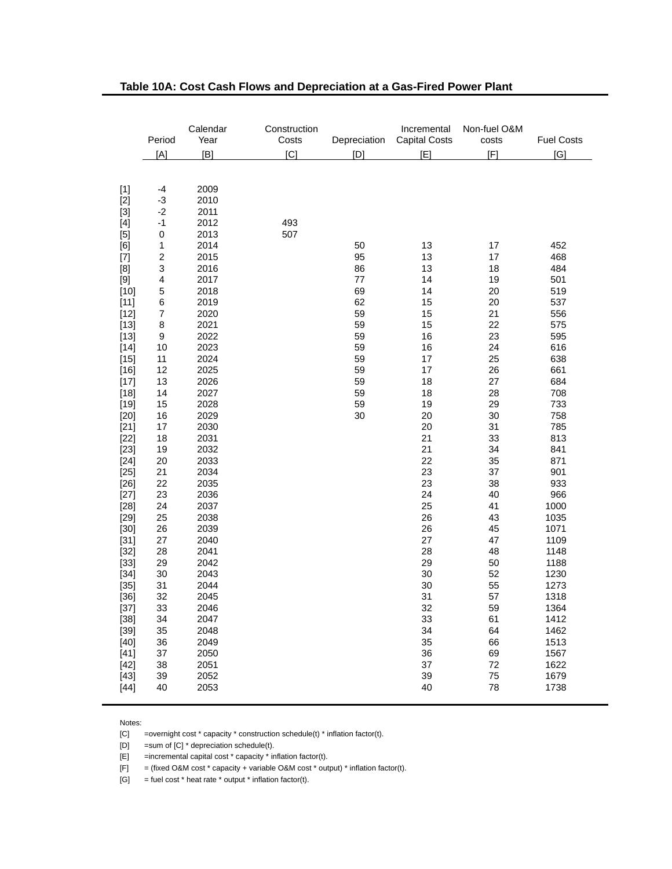|        | Period                  | Calendar<br>Year | Construction<br>Costs | Depreciation | Incremental<br><b>Capital Costs</b> | Non-fuel O&M<br>costs | <b>Fuel Costs</b> |
|--------|-------------------------|------------------|-----------------------|--------------|-------------------------------------|-----------------------|-------------------|
|        | [A]                     | [B]              | [C]                   | [D]          | [E]                                 | [F]                   | [G]               |
|        |                         |                  |                       |              |                                     |                       |                   |
| $[1]$  | $-4$                    | 2009             |                       |              |                                     |                       |                   |
| $[2]$  | $-3$                    | 2010             |                       |              |                                     |                       |                   |
| $[3]$  | $-2$                    | 2011             |                       |              |                                     |                       |                   |
| $[4]$  | $-1$                    | 2012             | 493                   |              |                                     |                       |                   |
| $[5]$  | $\mathbf 0$             | 2013             | 507                   |              |                                     |                       |                   |
| [6]    | $\mathbf{1}$            | 2014             |                       | 50           | 13                                  | 17                    | 452               |
| $[7]$  | $\boldsymbol{2}$        | 2015             |                       | 95           | 13                                  | 17                    | 468               |
| [8]    | 3                       | 2016             |                       | 86           | 13                                  | 18                    | 484               |
| $[9]$  | $\overline{\mathbf{4}}$ | 2017             |                       | $77 \,$      | 14                                  | 19                    | 501               |
| $[10]$ | 5                       | 2018             |                       | 69           | 14                                  | 20                    | 519               |
| $[11]$ | $\,6$                   | 2019             |                       | 62           | 15                                  | 20                    | 537               |
| $[12]$ | $\boldsymbol{7}$        | 2020             |                       | 59           | 15                                  | 21                    | 556               |
| $[13]$ | 8                       | 2021             |                       | 59           | 15                                  | 22                    | 575               |
| $[13]$ | 9                       | 2022             |                       | 59           | 16                                  | 23                    | 595               |
| $[14]$ | $10$                    | 2023             |                       | 59           | 16                                  | 24                    | 616               |
| $[15]$ | 11                      | 2024             |                       | 59           | 17                                  | 25                    | 638               |
| $[16]$ | 12                      | 2025             |                       | 59           | 17                                  | 26                    | 661               |
| $[17]$ | 13                      | 2026             |                       | 59           | 18                                  | 27                    | 684               |
| $[18]$ | 14                      | 2027             |                       | 59           | 18                                  | 28                    | 708               |
| $[19]$ | 15                      | 2028             |                       | 59           | 19                                  | 29                    | 733               |
| $[20]$ | 16                      | 2029             |                       | 30           | 20                                  | $30\,$                | 758               |
| $[21]$ | 17                      | 2030             |                       |              | 20                                  | 31                    | 785               |
| $[22]$ | 18                      | 2031             |                       |              | 21                                  | 33                    | 813               |
| $[23]$ | 19                      | 2032             |                       |              | 21                                  | 34                    | 841               |
| $[24]$ | 20                      | 2033             |                       |              | 22                                  | 35                    | 871               |
| $[25]$ | 21                      | 2034             |                       |              | 23                                  | 37                    | 901               |
| $[26]$ | 22                      | 2035             |                       |              | 23                                  | 38                    | 933               |
| $[27]$ | 23                      | 2036             |                       |              | 24                                  | 40                    | 966               |
| $[28]$ | 24                      | 2037             |                       |              | 25                                  | 41                    | 1000              |
| $[29]$ | 25                      | 2038             |                       |              | 26                                  | 43                    | 1035              |
| $[30]$ | 26                      | 2039             |                       |              | 26                                  | 45                    | 1071              |
| $[31]$ | 27                      | 2040             |                       |              | 27                                  | 47                    | 1109              |
| $[32]$ | 28                      | 2041             |                       |              | 28                                  | 48                    | 1148              |
| $[33]$ | 29                      | 2042             |                       |              | 29                                  | 50                    | 1188              |
| $[34]$ | 30                      | 2043             |                       |              | 30                                  | 52                    | 1230              |
| $[35]$ | 31                      | 2044             |                       |              | 30                                  | 55                    | 1273              |
| $[36]$ | 32                      | 2045             |                       |              | 31                                  | 57                    | 1318              |
| $[37]$ | 33                      | 2046             |                       |              | 32                                  | 59                    | 1364              |
| $[38]$ | 34                      | 2047             |                       |              | 33                                  | 61                    | 1412              |
| $[39]$ | 35                      | 2048             |                       |              | 34                                  | 64                    | 1462              |
| $[40]$ | 36                      | 2049             |                       |              | 35                                  | 66                    | 1513              |
| $[41]$ | 37                      | 2050             |                       |              | 36                                  | 69                    | 1567              |
| $[42]$ | 38                      | 2051             |                       |              | 37                                  | 72                    | 1622              |
| $[43]$ | 39                      | 2052             |                       |              | 39                                  | 75                    | 1679              |
| $[44]$ | 40                      | 2053             |                       |              | 40                                  | 78                    | 1738              |

# **Table 10A: Cost Cash Flows and Depreciation at a Gas-Fired Power Plant**

Notes:

[C] =overnight cost  $*$  capacity  $*$  construction schedule(t)  $*$  inflation factor(t).

[D] =sum of [C]  $*$  depreciation schedule(t).

[E] =incremental capital cost \* capacity \* inflation factor(t).

 $[F]$  = (fixed O&M cost  $*$  capacity + variable O&M cost  $*$  output)  $*$  inflation factor(t).

 $[G]$  = fuel cost \* heat rate \* output \* inflation factor(t).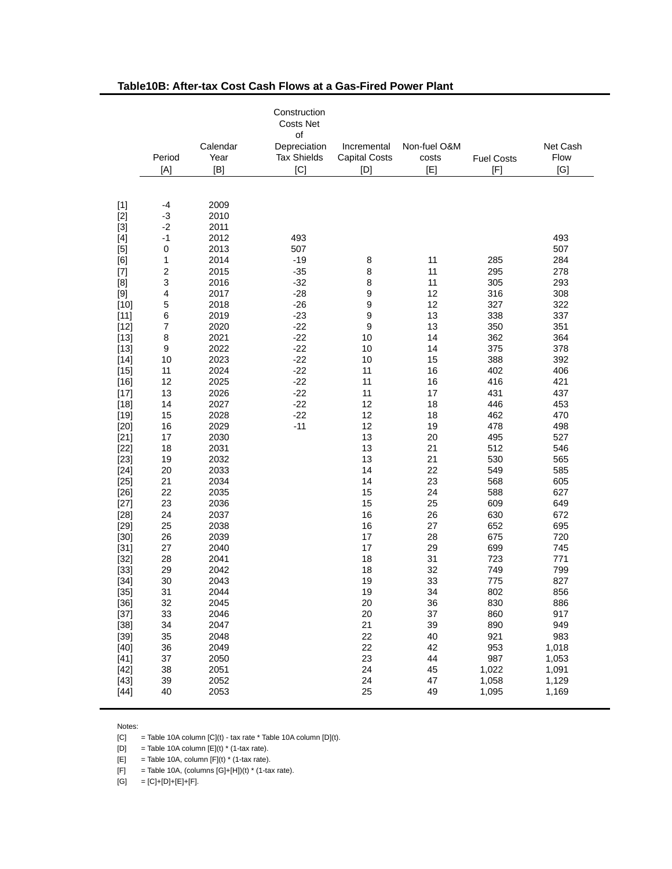|                  |                  |              | Construction<br><b>Costs Net</b><br>οf |                      |              |                   |            |
|------------------|------------------|--------------|----------------------------------------|----------------------|--------------|-------------------|------------|
|                  |                  | Calendar     | Depreciation                           | Incremental          | Non-fuel O&M |                   | Net Cash   |
|                  | Period           | Year         | <b>Tax Shields</b>                     | <b>Capital Costs</b> | costs        | <b>Fuel Costs</b> | Flow       |
|                  | [A]              | [B]          | [C]                                    | [D]                  | [E]          | [F]               | [G]        |
|                  |                  |              |                                        |                      |              |                   |            |
|                  |                  |              |                                        |                      |              |                   |            |
| $[1]$            | -4               | 2009         |                                        |                      |              |                   |            |
| $[2]$            | $-3$             | 2010         |                                        |                      |              |                   |            |
| $[3]$            | $-2$             | 2011         |                                        |                      |              |                   |            |
| $[4]$            | $-1$             | 2012         | 493                                    |                      |              |                   | 493        |
| $[5]$            | $\pmb{0}$        | 2013         | 507                                    |                      |              |                   | 507        |
| [6]              | 1                | 2014         | $-19$                                  | 8                    | 11           | 285               | 284        |
| $[7]$            | $\boldsymbol{2}$ | 2015         | $-35$                                  | 8                    | 11           | 295               | 278        |
| [8]              | 3                | 2016         | $-32$                                  | 8                    | 11           | 305               | 293        |
| $[9]$            | 4                | 2017         | $-28$                                  | 9                    | 12           | 316               | 308        |
| $[10]$           | 5                | 2018         | $-26$                                  | 9                    | 12           | 327               | 322        |
| $[11]$           | 6                | 2019         | $-23$                                  | $\boldsymbol{9}$     | 13           | 338               | 337        |
| $[12]$           | 7                | 2020         | $-22$                                  | 9                    | 13           | 350               | 351        |
| $[13]$           | 8                | 2021         | $-22$                                  | 10                   | 14           | 362               | 364        |
| $[13]$           | $\boldsymbol{9}$ | 2022         | $-22$                                  | 10                   | 14           | 375               | 378        |
| $[14]$           | 10               | 2023         | $-22$                                  | 10                   | 15           | 388               | 392        |
| $[15]$           | 11               | 2024         | $-22$                                  | 11                   | 16           | 402               | 406        |
| $[16]$           | 12               | 2025<br>2026 | $-22$                                  | 11                   | 16           | 416               | 421        |
| $[17]$           | 13               |              | $-22$                                  | 11                   | 17           | 431               | 437        |
| $[18]$           | 14               | 2027<br>2028 | $-22$<br>$-22$                         | 12<br>12             | 18           | 446               | 453        |
| $[19]$           | 15<br>16         | 2029         | $-11$                                  | 12                   | 18<br>19     | 462<br>478        | 470<br>498 |
| $[20]$           | 17               | 2030         |                                        | 13                   | 20           | 495               | 527        |
| $[21]$<br>$[22]$ | 18               | 2031         |                                        | 13                   | 21           | 512               | 546        |
| $[23]$           | 19               | 2032         |                                        | 13                   | 21           | 530               | 565        |
| $[24]$           | 20               | 2033         |                                        | 14                   | 22           | 549               | 585        |
| $[25]$           | 21               | 2034         |                                        | 14                   | 23           | 568               | 605        |
| $[26]$           | 22               | 2035         |                                        | 15                   | 24           | 588               | 627        |
| $[27]$           | 23               | 2036         |                                        | 15                   | 25           | 609               | 649        |
| $[28]$           | 24               | 2037         |                                        | 16                   | 26           | 630               | 672        |
| $[29]$           | 25               | 2038         |                                        | 16                   | 27           | 652               | 695        |
| $[30]$           | 26               | 2039         |                                        | 17                   | 28           | 675               | 720        |
| $[31]$           | 27               | 2040         |                                        | 17                   | 29           | 699               | 745        |
| $[32]$           | 28               | 2041         |                                        | 18                   | 31           | 723               | 771        |
| $[33]$           | 29               | 2042         |                                        | 18                   | 32           | 749               | 799        |
| $[34]$           | 30               | 2043         |                                        | 19                   | 33           | 775               | 827        |
| $[35]$           | 31               | 2044         |                                        | $19$                 | 34           | 802               | 856        |
| $[36]$           | 32               | 2045         |                                        | 20                   | 36           | 830               | 886        |
| $[37]$           | 33               | 2046         |                                        | 20                   | 37           | 860               | 917        |
| $[38]$           | 34               | 2047         |                                        | 21                   | 39           | 890               | 949        |
| $[39]$           | 35               | 2048         |                                        | 22                   | 40           | 921               | 983        |
| $[40]$           | 36               | 2049         |                                        | 22                   | 42           | 953               | 1,018      |
| $[41]$           | 37               | 2050         |                                        | 23                   | 44           | 987               | 1,053      |
| $[42]$           | 38               | 2051         |                                        | 24                   | 45           | 1,022             | 1,091      |
| $[43]$           | 39               | 2052         |                                        | 24                   | 47           | 1,058             | 1,129      |
| $[44]$           | 40               | 2053         |                                        | 25                   | 49           | 1,095             | 1,169      |

## **Table10B: After-tax Cost Cash Flows at a Gas-Fired Power Plant**

Notes:

 $[C]$  = Table 10A column  $[C](t)$  - tax rate \* Table 10A column  $[D](t)$ .

 $[D]$  = Table 10A column  $[E](t)$  \* (1-tax rate).

 $[E]$  = Table 10A, column  $[F](t)$  \* (1-tax rate).

 $[F]$  = Table 10A, (columns  $[G]+[H])(t)$  \* (1-tax rate).

 $[G] = [C]+[D]+[E]+[F].$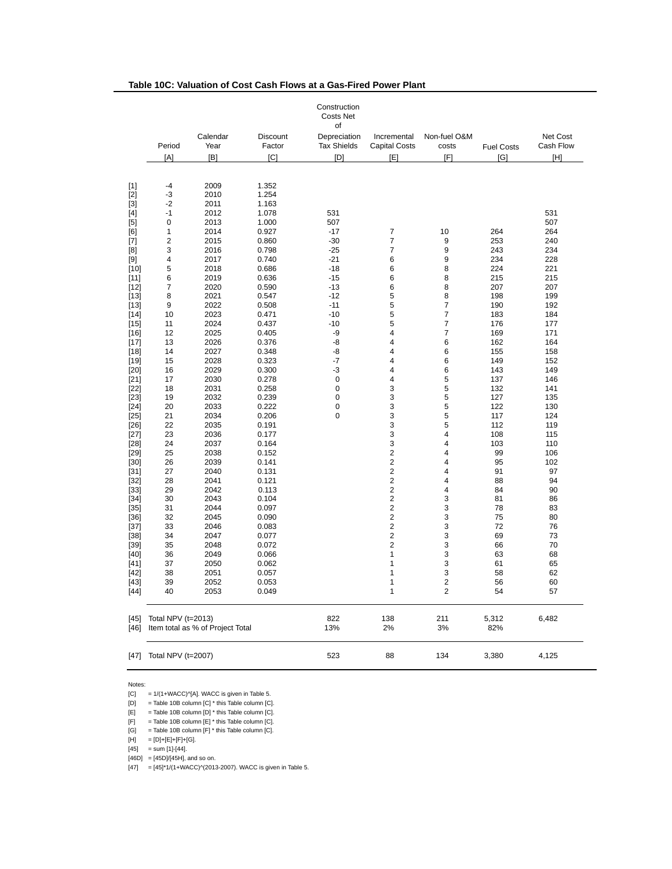| Table 10C: Valuation of Cost Cash Flows at a Gas-Fired Power Plant |  |  |  |  |  |
|--------------------------------------------------------------------|--|--|--|--|--|
|--------------------------------------------------------------------|--|--|--|--|--|

|                  |                         |                                  |                    | Construction<br><b>Costs Net</b><br>of |                                     |                       |                   |                       |
|------------------|-------------------------|----------------------------------|--------------------|----------------------------------------|-------------------------------------|-----------------------|-------------------|-----------------------|
|                  | Period                  | Calendar<br>Year                 | Discount<br>Factor | Depreciation<br><b>Tax Shields</b>     | Incremental<br><b>Capital Costs</b> | Non-fuel O&M<br>costs | <b>Fuel Costs</b> | Net Cost<br>Cash Flow |
|                  | [A]                     | [B]                              | C                  | [D]                                    | [E]                                 | [F]                   | [G]               | [H]                   |
|                  |                         |                                  |                    |                                        |                                     |                       |                   |                       |
| $[1]$<br>[2]     | $-4$<br>-3              | 2009<br>2010                     | 1.352<br>1.254     |                                        |                                     |                       |                   |                       |
| $[3]$            | $-2$                    | 2011                             | 1.163              |                                        |                                     |                       |                   |                       |
| [4]              | $-1$                    | 2012                             | 1.078              | 531                                    |                                     |                       |                   | 531                   |
| $[5]$            | 0                       | 2013                             | 1.000              | 507                                    |                                     |                       |                   | 507                   |
| [6]              | $\mathbf{1}$            | 2014                             | 0.927              | $-17$                                  | 7                                   | 10                    | 264               | 264                   |
| $[7]$            | $\overline{2}$          | 2015                             | 0.860              | $-30$                                  | $\overline{7}$                      | 9                     | 253               | 240                   |
| [8]              | 3                       | 2016                             | 0.798              | $-25$                                  | $\overline{7}$                      | 9                     | 243               | 234                   |
| [9]              | $\overline{\mathbf{4}}$ | 2017                             | 0.740              | $-21$                                  | 6                                   | 9                     | 234               | 228                   |
| $[10]$           | 5                       | 2018                             | 0.686              | $-18$                                  | 6                                   | 8                     | 224               | 221                   |
| $[11]$<br>$[12]$ | 6<br>$\overline{7}$     | 2019<br>2020                     | 0.636<br>0.590     | $-15$<br>$-13$                         | 6<br>6                              | 8<br>8                | 215<br>207        | 215<br>207            |
| $[13]$           | 8                       | 2021                             | 0.547              | $-12$                                  | 5                                   | 8                     | 198               | 199                   |
| $[13]$           | 9                       | 2022                             | 0.508              | $-11$                                  | 5                                   | $\overline{7}$        | 190               | 192                   |
| $[14]$           | 10                      | 2023                             | 0.471              | $-10$                                  | 5                                   | $\overline{7}$        | 183               | 184                   |
| $[15]$           | 11                      | 2024                             | 0.437              | $-10$                                  | 5                                   | $\overline{7}$        | 176               | 177                   |
| $[16]$           | 12                      | 2025                             | 0.405              | -9                                     | 4                                   | 7                     | 169               | 171                   |
| $[17]$           | 13                      | 2026                             | 0.376              | -8                                     | 4                                   | 6                     | 162               | 164                   |
| [18]             | 14                      | 2027                             | 0.348              | -8                                     | 4                                   | 6                     | 155               | 158                   |
| [19]             | 15                      | 2028                             | 0.323              | $-7$                                   | 4                                   | 6                     | 149               | 152                   |
| [20]             | 16                      | 2029                             | 0.300              | -3                                     | $\overline{4}$                      | 6                     | 143               | 149                   |
| $[21]$           | 17                      | 2030                             | 0.278              | $\mathbf 0$<br>$\mathbf 0$             | 4<br>3                              | 5<br>5                | 137               | 146<br>141            |
| $[22]$<br>$[23]$ | 18<br>19                | 2031<br>2032                     | 0.258<br>0.239     | 0                                      | 3                                   | 5                     | 132<br>127        | 135                   |
| $[24]$           | 20                      | 2033                             | 0.222              | 0                                      | 3                                   | 5                     | 122               | 130                   |
| $[25]$           | 21                      | 2034                             | 0.206              | 0                                      | 3                                   | 5                     | 117               | 124                   |
| $[26]$           | 22                      | 2035                             | 0.191              |                                        | 3                                   | 5                     | 112               | 119                   |
| $[27]$           | 23                      | 2036                             | 0.177              |                                        | 3                                   | 4                     | 108               | 115                   |
| $[28]$           | 24                      | 2037                             | 0.164              |                                        | 3                                   | 4                     | 103               | 110                   |
| [29]             | 25                      | 2038                             | 0.152              |                                        | $\overline{2}$                      | 4                     | 99                | 106                   |
| [30]             | 26                      | 2039                             | 0.141              |                                        | $\overline{2}$                      | 4                     | 95                | 102                   |
| $[31]$           | 27                      | 2040                             | 0.131              |                                        | $\overline{2}$                      | 4                     | 91                | 97                    |
| $[32]$           | 28                      | 2041                             | 0.121              |                                        | $\overline{2}$                      | 4                     | 88                | 94                    |
| $[33]$           | 29                      | 2042                             | 0.113              |                                        | $\overline{2}$<br>$\overline{2}$    | 4<br>3                | 84                | 90                    |
| $[34]$<br>$[35]$ | 30<br>31                | 2043<br>2044                     | 0.104<br>0.097     |                                        | $\overline{2}$                      | 3                     | 81<br>78          | 86<br>83              |
| $[36]$           | 32                      | 2045                             | 0.090              |                                        | $\overline{2}$                      | 3                     | 75                | 80                    |
| $[37]$           | 33                      | 2046                             | 0.083              |                                        | $\overline{c}$                      | 3                     | 72                | 76                    |
| [38]             | 34                      | 2047                             | 0.077              |                                        | $\overline{2}$                      | 3                     | 69                | 73                    |
| [39]             | 35                      | 2048                             | 0.072              |                                        | $\overline{2}$                      | 3                     | 66                | 70                    |
| [40]             | 36                      | 2049                             | 0.066              |                                        | 1                                   | 3                     | 63                | 68                    |
| $[41]$           | 37                      | 2050                             | 0.062              |                                        | 1                                   | 3                     | 61                | 65                    |
| $[42]$           | 38                      | 2051                             | 0.057              |                                        | 1                                   | 3                     | 58                | 62                    |
| $[43]$           | 39                      | 2052                             | 0.053              |                                        | 1                                   | $\boldsymbol{2}$      | 56                | 60                    |
| $[44]$           | 40                      | 2053                             | 0.049              |                                        | 1                                   | $\overline{2}$        | 54                | 57                    |
| $[45]$           | Total NPV (t=2013)      |                                  |                    | 822                                    | 138                                 | 211                   | 5,312             | 6,482                 |
| $[46]$           |                         | Item total as % of Project Total |                    | 13%                                    | 2%                                  | 3%                    | 82%               |                       |
|                  | [47] Total NPV (t=2007) |                                  |                    | 523                                    | 88                                  | 134                   | 3,380             | 4,125                 |

Notes:

 $[C]$  = 1/(1+WACC)^[A]. WACC is given in Table 5.

[D] = Table 10B column [C] \* this Table column [C].

[E] = Table 10B column [D] \* this Table column [C].

 $[F]$  = Table 10B column  $[E]$  \* this Table column  $[C]$ .

 $[G]$  = Table 10B column  $[F]$  \* this Table column  $[C]$ .

 $[H] = [D]+[E]+[F]+[G].$ 

 $[45]$  = sum  $[1]$ - $[44]$ .

 $[46D] = [45D]/[45H]$ , and so on.

 $[47]$  =  $[45]^*1/(1+WACC)^(2013-2007)$ . WACC is given in Table 5.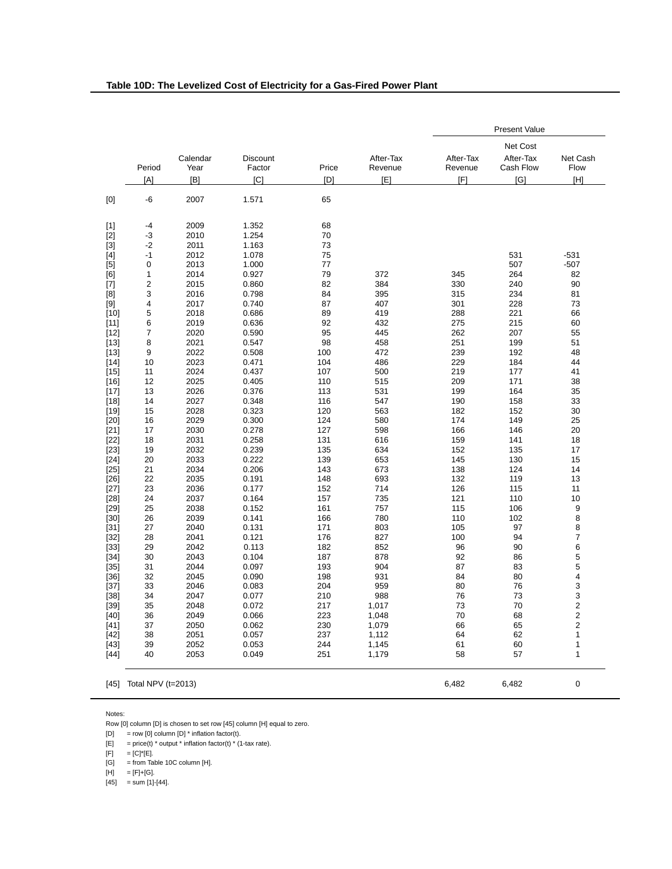| [0]<br>$[1]$<br>$[2]$<br>$[3]$<br>$[4]$<br>[5]<br>[6]<br>$[7]$<br>[8]<br>$[9]$<br>[10]<br>$[11]$<br>$[12]$<br>$[13]$<br>$[13]$ | Period<br>[A]<br>-6<br>-4 | Calendar<br>Year<br>[B] | Discount<br>Factor |       | After-Tax | After-Tax | <b>Net Cost</b>        |                         |
|--------------------------------------------------------------------------------------------------------------------------------|---------------------------|-------------------------|--------------------|-------|-----------|-----------|------------------------|-------------------------|
|                                                                                                                                |                           |                         |                    |       |           |           |                        |                         |
|                                                                                                                                |                           |                         |                    | Price | Revenue   | Revenue   | After-Tax<br>Cash Flow | Net Cash<br>Flow        |
|                                                                                                                                |                           |                         | C                  | [D]   | [E]       | [F]       | [G]                    | [H]                     |
|                                                                                                                                |                           | 2007                    | 1.571              | 65    |           |           |                        |                         |
|                                                                                                                                |                           | 2009                    | 1.352              | 68    |           |           |                        |                         |
|                                                                                                                                | -3                        | 2010                    | 1.254              | 70    |           |           |                        |                         |
|                                                                                                                                | $-2$                      | 2011                    | 1.163              | 73    |           |           |                        |                         |
|                                                                                                                                | $-1$                      | 2012                    | 1.078              | 75    |           |           | 531                    | $-531$                  |
|                                                                                                                                | $\mathbf 0$               | 2013                    | 1.000              | 77    |           |           | 507                    | $-507$                  |
|                                                                                                                                | 1                         | 2014                    | 0.927              | 79    | 372       | 345       | 264                    | 82                      |
|                                                                                                                                | $\overline{\mathbf{c}}$   | 2015                    | 0.860              | 82    | 384       | 330       | 240                    | 90                      |
|                                                                                                                                | 3                         | 2016                    | 0.798              | 84    | 395       | 315       | 234                    | 81                      |
|                                                                                                                                | 4                         | 2017                    | 0.740              | 87    | 407       | 301       | 228                    | 73                      |
|                                                                                                                                | 5                         | 2018                    | 0.686              | 89    | 419       | 288       | 221                    | 66                      |
|                                                                                                                                | 6                         | 2019                    | 0.636              | 92    | 432       | 275       | 215                    | 60                      |
|                                                                                                                                | 7                         | 2020                    | 0.590              | 95    | 445       | 262       | 207                    | 55                      |
|                                                                                                                                | 8                         | 2021                    | 0.547              | 98    | 458       | 251       | 199                    | 51                      |
|                                                                                                                                | 9                         | 2022                    | 0.508              | 100   | 472       | 239       | 192                    | 48                      |
| $[14]$                                                                                                                         | 10                        | 2023                    | 0.471              | 104   | 486       | 229       | 184                    | 44                      |
| $[15]$                                                                                                                         | 11                        | 2024                    | 0.437              | 107   | 500       | 219       | 177                    | 41                      |
| $[16]$                                                                                                                         | 12                        | 2025                    | 0.405              | 110   | 515       | 209       | 171                    | 38                      |
| $[17]$                                                                                                                         | 13                        | 2026                    | 0.376              | 113   | 531       | 199       | 164                    | 35                      |
| $[18]$                                                                                                                         | 14                        | 2027                    | 0.348              | 116   | 547       | 190       | 158                    | 33                      |
| $[19]$                                                                                                                         | 15                        | 2028                    | 0.323              | 120   | 563       | 182       | 152                    | 30                      |
| $[20]$                                                                                                                         | 16                        | 2029                    | 0.300              | 124   | 580       | 174       | 149                    | 25                      |
| [21]                                                                                                                           | 17                        | 2030                    | 0.278              | 127   | 598       | 166       | 146                    | 20                      |
| $[22]$                                                                                                                         | 18                        | 2031                    | 0.258              | 131   | 616       | 159       | 141                    | 18                      |
| $[23]$                                                                                                                         | 19                        | 2032                    | 0.239              | 135   | 634       | 152       | 135                    | 17                      |
| $[24]$                                                                                                                         | 20                        | 2033                    | 0.222              | 139   | 653       | 145       | 130                    | 15                      |
| $[25]$                                                                                                                         | 21                        | 2034                    | 0.206              | 143   | 673       | 138       | 124                    | 14                      |
| $[26]$                                                                                                                         | 22                        | 2035                    | 0.191              | 148   | 693       | 132       | 119                    | 13                      |
| $[27]$                                                                                                                         | 23                        | 2036                    | 0.177              | 152   | 714       | 126       | 115                    | 11                      |
| [28]                                                                                                                           | 24                        | 2037                    | 0.164              | 157   | 735       | 121       | 110                    | 10                      |
| [29]                                                                                                                           | 25                        | 2038                    | 0.152              | 161   | 757       | 115       | 106                    | 9                       |
| $[30]$                                                                                                                         | 26                        | 2039                    | 0.141              | 166   | 780       | 110       | 102                    | 8                       |
| $[31]$                                                                                                                         | 27                        | 2040                    | 0.131              | 171   | 803       | 105       | 97                     | 8                       |
| $[32]$                                                                                                                         | 28                        | 2041                    | 0.121              | 176   | 827       | 100       | 94                     | $\boldsymbol{7}$        |
| $[33]$                                                                                                                         | 29                        | 2042                    | 0.113              | 182   | 852       | 96        | 90                     | 6                       |
| $[34]$                                                                                                                         | 30                        | 2043                    | 0.104              | 187   | 878       | 92        | 86                     | 5                       |
| $[35]$                                                                                                                         | 31                        | 2044                    | 0.097              | 193   | 904       | 87        | 83                     | 5                       |
| $[36]$                                                                                                                         | 32                        | 2045                    | 0.090              | 198   | 931       | 84        | 80                     | $\overline{\mathbf{4}}$ |
| [37]                                                                                                                           | 33                        | 2046                    | 0.083              | 204   | 959       | 80        | 76                     | 3                       |
| $[38]$                                                                                                                         | 34                        | 2047                    | 0.077              | 210   | 988       | 76        | 73                     | $\overline{3}$          |
| $[39]$                                                                                                                         | 35                        | 2048                    | 0.072              | 217   | 1,017     | 73        | 70                     | $\mathbf 2$             |
| $[40]$                                                                                                                         | 36                        | 2049                    | 0.066              | 223   | 1,048     | 70        | 68                     | $\overline{\mathbf{c}}$ |
| $[41]$                                                                                                                         | 37                        | 2050                    | 0.062              | 230   | 1,079     | 66        | 65                     | $\overline{2}$          |
| $[42]$                                                                                                                         | 38                        | 2051                    | 0.057              | 237   | 1,112     | 64        | 62                     | 1                       |
| $[43]$                                                                                                                         | 39                        | 2052                    | 0.053              | 244   | 1,145     | 61        | 60                     | $\mathbf 1$             |
| $[44]$                                                                                                                         | 40                        | 2053                    | 0.049              | 251   | 1,179     | 58        | 57                     | 1                       |
| Total NPV (t=2013)<br>[45]                                                                                                     |                           |                         |                    |       |           | 6,482     | 6,482                  | $\mathbf 0$             |

Notes:

Row [0] column [D] is chosen to set row [45] column [H] equal to zero.

 $[D]$  = row  $[0]$  column  $[D]$  \* inflation factor(t).

 $[E]$  = price(t)  $*$  output  $*$  inflation factor(t)  $*$  (1-tax rate).

[F] = [C]\*[E].

[G] = from Table 10C column [H].

[H] = [F]+[G].

 $[45]$  = sum  $[1]$ - $[44]$ .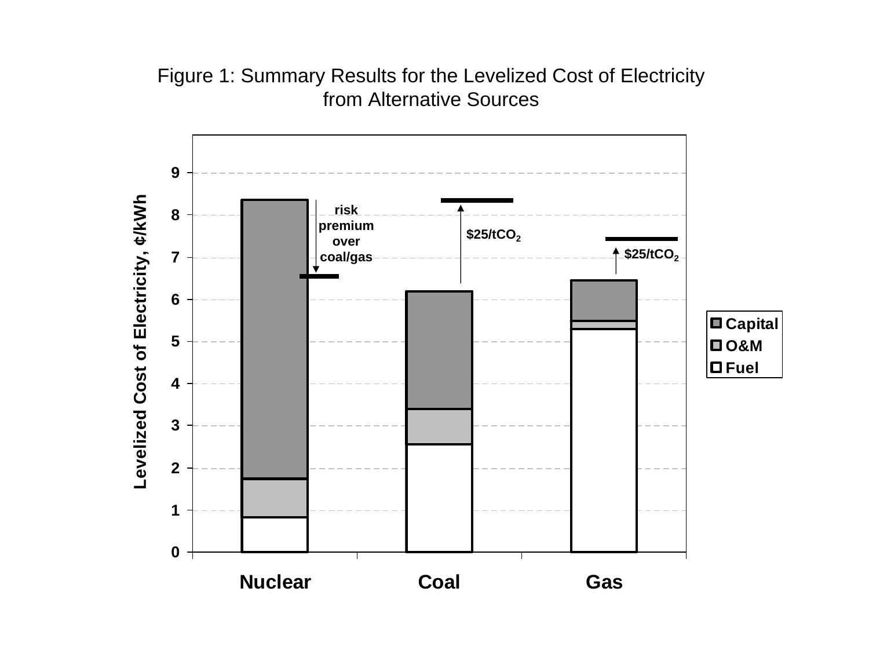

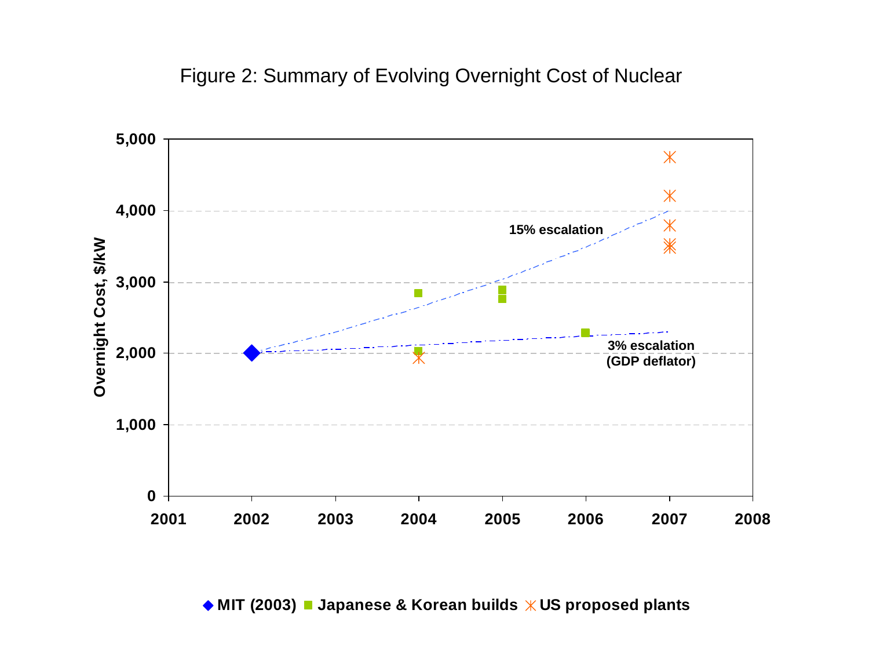Figure 2: Summary of Evolving Overnight Cost of Nuclear



◆ MIT (2003) ■ Japanese & Korean builds **X** US proposed plants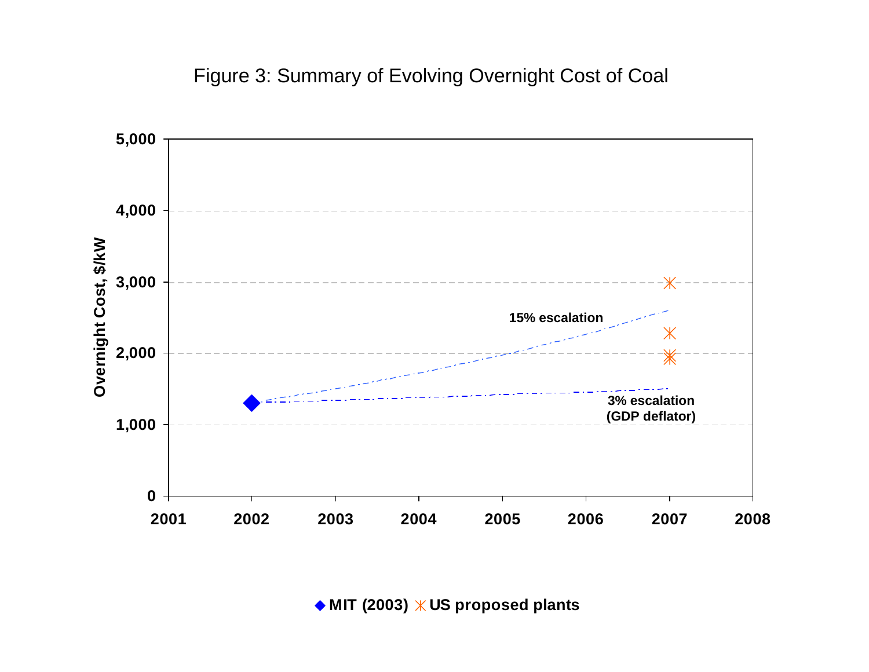Figure 3: Summary of Evolving Overnight Cost of Coal



◆ MIT (2003) **X US proposed plants**